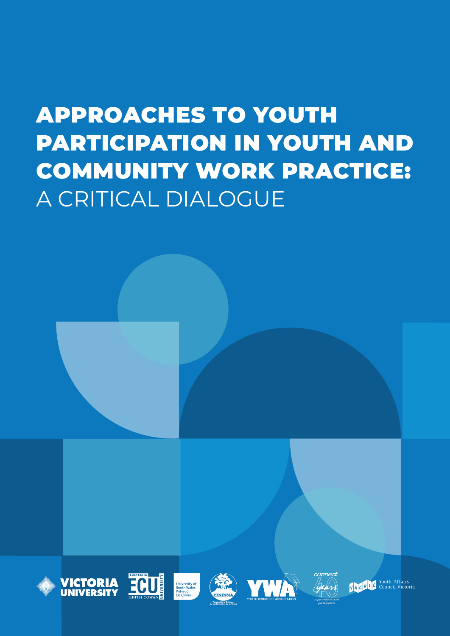# APPROACHES TO YOUTH PARTICIPATION IN YOUTH AND COMMUNITY WORK PRACTICE: A CRITICAL DIALOGUE







University of<br>South Wales<br>Prifysgol<br>De Cymru





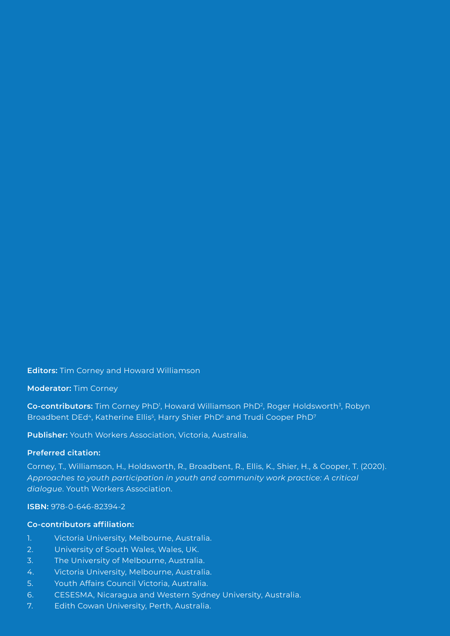**Editors:** Tim Corney and Howard Williamson

**Moderator:** Tim Corney

**Co-contributors:** Tim Corney PhD<sup>1</sup>, Howard Williamson PhD<sup>2</sup>, Roger Holdsworth<sup>3</sup>, Robyn Broadbent DEd<sup>4</sup>, Katherine Ellis<sup>5</sup>, Harry Shier PhD<sup>6</sup> and Trudi Cooper PhD<sup>7</sup>

**Publisher:** Youth Workers Association, Victoria, Australia.

#### **Preferred citation:**

Corney, T., Williamson, H., Holdsworth, R., Broadbent, R., Ellis, K., Shier, H., & Cooper, T. (2020). *Approaches to youth participation in youth and community work practice: A critical dialogue*. Youth Workers Association.

**ISBN:** 978-0-646-82394-2

#### **Co-contributors affiliation:**

- 1. Victoria University, Melbourne, Australia.
- 2. University of South Wales, Wales, UK.
- 3. The University of Melbourne, Australia.
- 4. Victoria University, Melbourne, Australia.
- 5. Youth Affairs Council Victoria, Australia.
- 6. CESESMA, Nicaragua and Western Sydney University, Australia.
- 7. Edith Cowan University, Perth, Australia.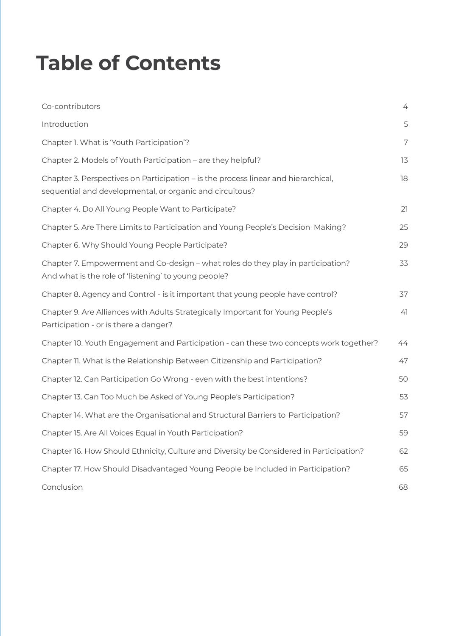## **Table of Contents**

| Co-contributors                                                                                                                                | 4  |
|------------------------------------------------------------------------------------------------------------------------------------------------|----|
| Introduction                                                                                                                                   | 5  |
| Chapter 1. What is 'Youth Participation'?                                                                                                      | 7  |
| Chapter 2. Models of Youth Participation - are they helpful?                                                                                   | 13 |
| Chapter 3. Perspectives on Participation – is the process linear and hierarchical,<br>sequential and developmental, or organic and circuitous? | 18 |
| Chapter 4. Do All Young People Want to Participate?                                                                                            | 21 |
| Chapter 5. Are There Limits to Participation and Young People's Decision Making?                                                               | 25 |
| Chapter 6. Why Should Young People Participate?                                                                                                | 29 |
| Chapter 7. Empowerment and Co-design - what roles do they play in participation?<br>And what is the role of 'listening' to young people?       | 33 |
| Chapter 8. Agency and Control - is it important that young people have control?                                                                | 37 |
| Chapter 9. Are Alliances with Adults Strategically Important for Young People's<br>Participation - or is there a danger?                       | 41 |
| Chapter 10. Youth Engagement and Participation - can these two concepts work together?                                                         | 44 |
| Chapter 11. What is the Relationship Between Citizenship and Participation?                                                                    | 47 |
| Chapter 12. Can Participation Go Wrong - even with the best intentions?                                                                        | 50 |
| Chapter 13. Can Too Much be Asked of Young People's Participation?                                                                             | 53 |
| Chapter 14. What are the Organisational and Structural Barriers to Participation?                                                              | 57 |
| Chapter 15. Are All Voices Equal in Youth Participation?                                                                                       | 59 |
| Chapter 16. How Should Ethnicity, Culture and Diversity be Considered in Participation?                                                        | 62 |
| Chapter 17. How Should Disadvantaged Young People be Included in Participation?                                                                | 65 |
| Conclusion                                                                                                                                     | 68 |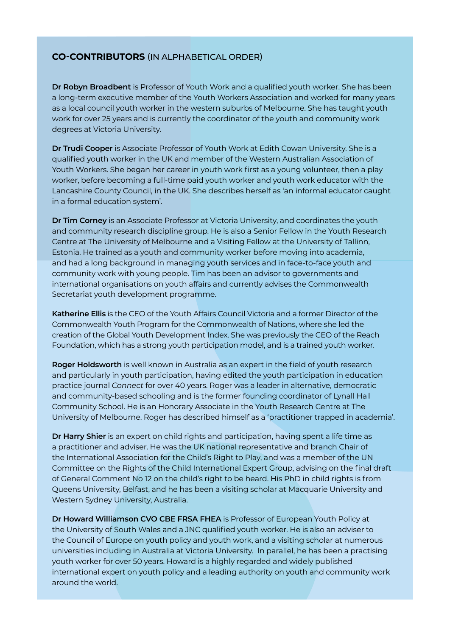#### **CO-CONTRIBUTORS** (IN ALPHABETICAL ORDER)

**Dr Robyn Broadbent** is Professor of Youth Work and a qualified youth worker. She has been a long-term executive member of the Youth Workers Association and worked for many years as a local council youth worker in the western suburbs of Melbourne. She has taught youth work for over 25 years and is currently the coordinator of the youth and community work degrees at Victoria University.

**Dr Trudi Cooper** is Associate Professor of Youth Work at Edith Cowan University. She is a qualified youth worker in the UK and member of the Western Australian Association of Youth Workers. She began her career in youth work first as a young volunteer, then a play worker, before becoming a full-time paid youth worker and youth work educator with the Lancashire County Council, in the UK. She describes herself as 'an informal educator caught in a formal education system'.

**Dr Tim Corney** is an Associate Professor at Victoria University, and coordinates the youth and community research discipline group. He is also a Senior Fellow in the Youth Research Centre at The University of Melbourne and a Visiting Fellow at the University of Tallinn, Estonia. He trained as a youth and community worker before moving into academia, and had a long background in managing youth services and in face-to-face youth and community work with young people. Tim has been an advisor to governments and international organisations on youth affairs and currently advises the Commonwealth Secretariat youth development programme.

**Katherine Ellis** is the CEO of the Youth Affairs Council Victoria and a former Director of the Commonwealth Youth Program for the Commonwealth of Nations, where she led the creation of the Global Youth Development Index. She was previously the CEO of the Reach Foundation, which has a strong youth participation model, and is a trained youth worker.

**Roger Holdsworth** is well known in Australia as an expert in the field of youth research and particularly in youth participation, having edited the youth participation in education practice journal *Connect* for over 40 years. Roger was a leader in alternative, democratic and community-based schooling and is the former founding coordinator of Lynall Hall Community School. He is an Honorary Associate in the Youth Research Centre at The University of Melbourne. Roger has described himself as a 'practitioner trapped in academia'.

**Dr Harry Shier** is an expert on child rights and participation, having spent a life time as a practitioner and adviser. He was the UK national representative and branch Chair of the International Association for the Child's Right to Play, and was a member of the UN Committee on the Rights of the Child International Expert Group, advising on the final draft of General Comment No 12 on the child's right to be heard. His PhD in child rights is from Queens University, Belfast, and he has been a visiting scholar at Macquarie University and Western Sydney University, Australia.

**Dr Howard Williamson CVO CBE FRSA FHEA** is Professor of European Youth Policy at the University of South Wales and a JNC qualified youth worker. He is also an adviser to the Council of Europe on youth policy and youth work, and a visiting scholar at numerous universities including in Australia at Victoria University. In parallel, he has been a practising youth worker for over 50 years. Howard is a highly regarded and widely published international expert on youth policy and a leading authority on youth and community work around the world.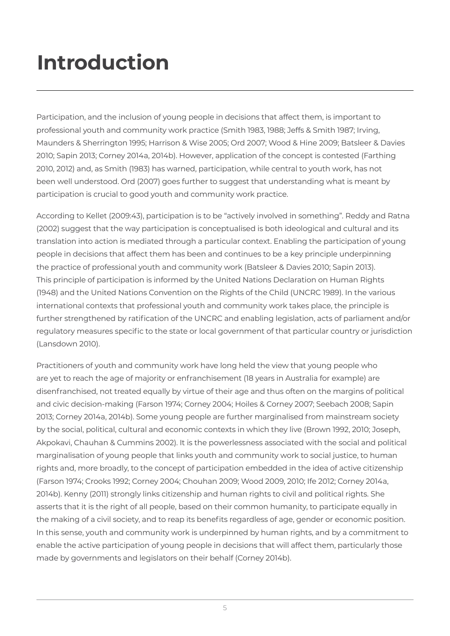# **Introduction**

Participation, and the inclusion of young people in decisions that affect them, is important to professional youth and community work practice (Smith 1983, 1988; Jeffs & Smith 1987; Irving, Maunders & Sherrington 1995; Harrison & Wise 2005; Ord 2007; Wood & Hine 2009; Batsleer & Davies 2010; Sapin 2013; Corney 2014a, 2014b). However, application of the concept is contested (Farthing 2010, 2012) and, as Smith (1983) has warned, participation, while central to youth work, has not been well understood. Ord (2007) goes further to suggest that understanding what is meant by participation is crucial to good youth and community work practice.

According to Kellet (2009:43), participation is to be "actively involved in something". Reddy and Ratna (2002) suggest that the way participation is conceptualised is both ideological and cultural and its translation into action is mediated through a particular context. Enabling the participation of young people in decisions that affect them has been and continues to be a key principle underpinning the practice of professional youth and community work (Batsleer & Davies 2010; Sapin 2013). This principle of participation is informed by the United Nations Declaration on Human Rights (1948) and the United Nations Convention on the Rights of the Child (UNCRC 1989). In the various international contexts that professional youth and community work takes place, the principle is further strengthened by ratification of the UNCRC and enabling legislation, acts of parliament and/or regulatory measures specific to the state or local government of that particular country or jurisdiction (Lansdown 2010).

Practitioners of youth and community work have long held the view that young people who are yet to reach the age of majority or enfranchisement (18 years in Australia for example) are disenfranchised, not treated equally by virtue of their age and thus often on the margins of political and civic decision-making (Farson 1974; Corney 2004; Hoiles & Corney 2007; Seebach 2008; Sapin 2013; Corney 2014a, 2014b). Some young people are further marginalised from mainstream society by the social, political, cultural and economic contexts in which they live (Brown 1992, 2010; Joseph, Akpokavi, Chauhan & Cummins 2002). It is the powerlessness associated with the social and political marginalisation of young people that links youth and community work to social justice, to human rights and, more broadly, to the concept of participation embedded in the idea of active citizenship (Farson 1974; Crooks 1992; Corney 2004; Chouhan 2009; Wood 2009, 2010; Ife 2012; Corney 2014a, 2014b). Kenny (2011) strongly links citizenship and human rights to civil and political rights. She asserts that it is the right of all people, based on their common humanity, to participate equally in the making of a civil society, and to reap its benefits regardless of age, gender or economic position. In this sense, youth and community work is underpinned by human rights, and by a commitment to enable the active participation of young people in decisions that will affect them, particularly those made by governments and legislators on their behalf (Corney 2014b).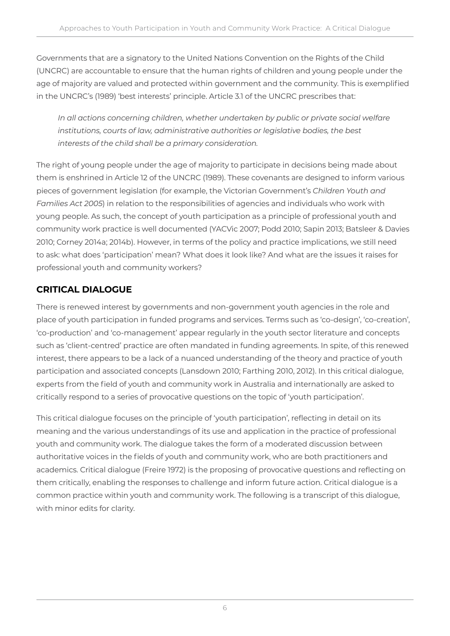Governments that are a signatory to the United Nations Convention on the Rights of the Child (UNCRC) are accountable to ensure that the human rights of children and young people under the age of majority are valued and protected within government and the community. This is exemplified in the UNCRC's (1989) 'best interests' principle. Article 3.1 of the UNCRC prescribes that:

*In all actions concerning children, whether undertaken by public or private social welfare institutions, courts of law, administrative authorities or legislative bodies, the best interests of the child shall be a primary consideration.*

The right of young people under the age of majority to participate in decisions being made about them is enshrined in Article 12 of the UNCRC (1989). These covenants are designed to inform various pieces of government legislation (for example, the Victorian Government's *Children Youth and Families Act 2005*) in relation to the responsibilities of agencies and individuals who work with young people. As such, the concept of youth participation as a principle of professional youth and community work practice is well documented (YACVic 2007; Podd 2010; Sapin 2013; Batsleer & Davies 2010; Corney 2014a; 2014b). However, in terms of the policy and practice implications, we still need to ask: what does 'participation' mean? What does it look like? And what are the issues it raises for professional youth and community workers?

### **CRITICAL DIALOGUE**

There is renewed interest by governments and non-government youth agencies in the role and place of youth participation in funded programs and services. Terms such as 'co-design', 'co-creation', 'co-production' and 'co-management' appear regularly in the youth sector literature and concepts such as 'client-centred' practice are often mandated in funding agreements. In spite, of this renewed interest, there appears to be a lack of a nuanced understanding of the theory and practice of youth participation and associated concepts (Lansdown 2010; Farthing 2010, 2012). In this critical dialogue, experts from the field of youth and community work in Australia and internationally are asked to critically respond to a series of provocative questions on the topic of 'youth participation'.

This critical dialogue focuses on the principle of 'youth participation', reflecting in detail on its meaning and the various understandings of its use and application in the practice of professional youth and community work. The dialogue takes the form of a moderated discussion between authoritative voices in the fields of youth and community work, who are both practitioners and academics. Critical dialogue (Freire 1972) is the proposing of provocative questions and reflecting on them critically, enabling the responses to challenge and inform future action. Critical dialogue is a common practice within youth and community work. The following is a transcript of this dialogue, with minor edits for clarity.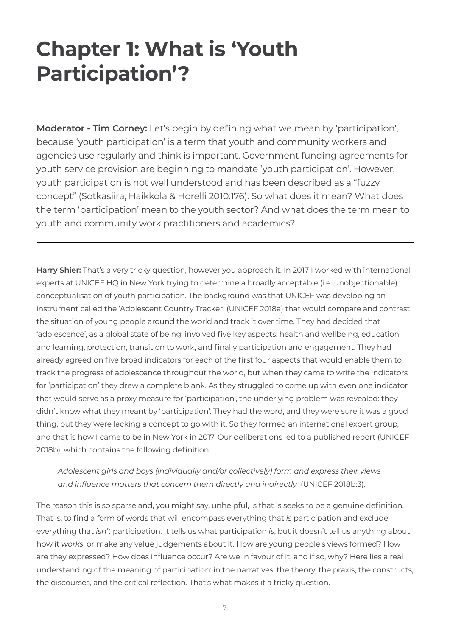## **Chapter 1: What is 'Youth Participation'?**

**Moderator - Tim Corney:** Let's begin by defining what we mean by 'participation', because 'youth participation' is a term that youth and community workers and agencies use regularly and think is important. Government funding agreements for youth service provision are beginning to mandate 'youth participation'. However, youth participation is not well understood and has been described as a "fuzzy concept" (Sotkasiira, Haikkola & Horelli 2010:176). So what does it mean? What does the term 'participation' mean to the youth sector? And what does the term mean to youth and community work practitioners and academics?

**Harry Shier:** That's a very tricky question, however you approach it. In 2017 I worked with international experts at UNICEF HQ in New York trying to determine a broadly acceptable (i.e. unobjectionable) conceptualisation of youth participation. The background was that UNICEF was developing an instrument called the 'Adolescent Country Tracker' (UNICEF 2018a) that would compare and contrast the situation of young people around the world and track it over time. They had decided that 'adolescence', as a global state of being, involved five key aspects: health and wellbeing, education and learning, protection, transition to work, and finally participation and engagement. They had already agreed on five broad indicators for each of the first four aspects that would enable them to track the progress of adolescence throughout the world, but when they came to write the indicators for 'participation' they drew a complete blank. As they struggled to come up with even one indicator that would serve as a proxy measure for 'participation', the underlying problem was revealed: they didn't know what they meant by 'participation'. They had the word, and they were sure it was a good thing, but they were lacking a concept to go with it. So they formed an international expert group, and that is how I came to be in New York in 2017. Our deliberations led to a published report (UNICEF 2018b), which contains the following definition:

### *Adolescent girls and boys (individually and/or collectively) form and express their views and influence matters that concern them directly and indirectly* (UNICEF 2018b:3).

The reason this is so sparse and, you might say, unhelpful, is that is seeks to be a genuine definition. That is, to find a form of words that will encompass everything that *is* participation and exclude everything that *isn't* participation. It tells us what participation *is*, but it doesn't tell us anything about how it *works*, or make any value judgements about it. How are young people's views formed? How are they expressed? How does influence occur? Are we in favour of it, and if so, why? Here lies a real understanding of the meaning of participation: in the narratives, the theory, the praxis, the constructs, the discourses, and the critical reflection. That's what makes it a tricky question.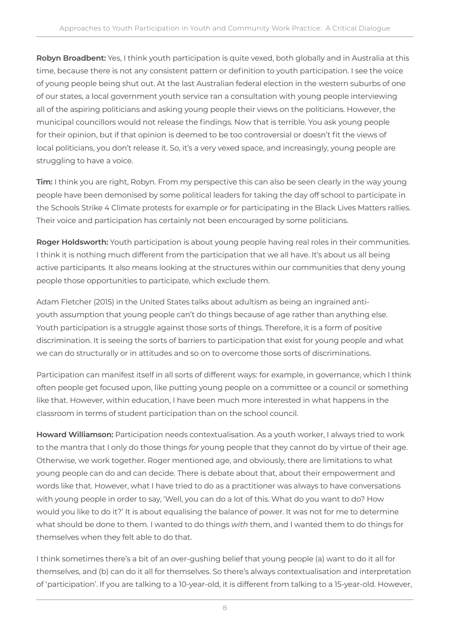**Robyn Broadbent:** Yes, I think youth participation is quite vexed, both globally and in Australia at this time, because there is not any consistent pattern or definition to youth participation. I see the voice of young people being shut out. At the last Australian federal election in the western suburbs of one of our states, a local government youth service ran a consultation with young people interviewing all of the aspiring politicians and asking young people their views on the politicians. However, the municipal councillors would not release the findings. Now that is terrible. You ask young people for their opinion, but if that opinion is deemed to be too controversial or doesn't fit the views of local politicians, you don't release it. So, it's a very vexed space, and increasingly, young people are struggling to have a voice.

**Tim:** I think you are right, Robyn. From my perspective this can also be seen clearly in the way young people have been demonised by some political leaders for taking the day off school to participate in the Schools Strike 4 Climate protests for example or for participating in the Black Lives Matters rallies. Their voice and participation has certainly not been encouraged by some politicians.

**Roger Holdsworth:** Youth participation is about young people having real roles in their communities. I think it is nothing much different from the participation that we all have. It's about us all being active participants. It also means looking at the structures within our communities that deny young people those opportunities to participate, which exclude them.

Adam Fletcher (2015) in the United States talks about adultism as being an ingrained antiyouth assumption that young people can't do things because of age rather than anything else. Youth participation is a struggle against those sorts of things. Therefore, it is a form of positive discrimination. It is seeing the sorts of barriers to participation that exist for young people and what we can do structurally or in attitudes and so on to overcome those sorts of discriminations.

Participation can manifest itself in all sorts of different ways: for example, in governance, which I think often people get focused upon, like putting young people on a committee or a council or something like that. However, within education, I have been much more interested in what happens in the classroom in terms of student participation than on the school council.

**Howard Williamson:** Participation needs contextualisation. As a youth worker, I always tried to work to the mantra that I only do those things *for* young people that they cannot do by virtue of their age. Otherwise, we work together. Roger mentioned age, and obviously, there are limitations to what young people can do and can decide. There is debate about that, about their empowerment and words like that. However, what I have tried to do as a practitioner was always to have conversations with young people in order to say, 'Well, you can do a lot of this. What do you want to do? How would you like to do it?' It is about equalising the balance of power. It was not for me to determine what should be done to them. I wanted to do things *with* them, and I wanted them to do things for themselves when they felt able to do that.

I think sometimes there's a bit of an over-gushing belief that young people (a) want to do it all for themselves, and (b) can do it all for themselves. So there's always contextualisation and interpretation of 'participation'. If you are talking to a 10-year-old, it is different from talking to a 15-year-old. However,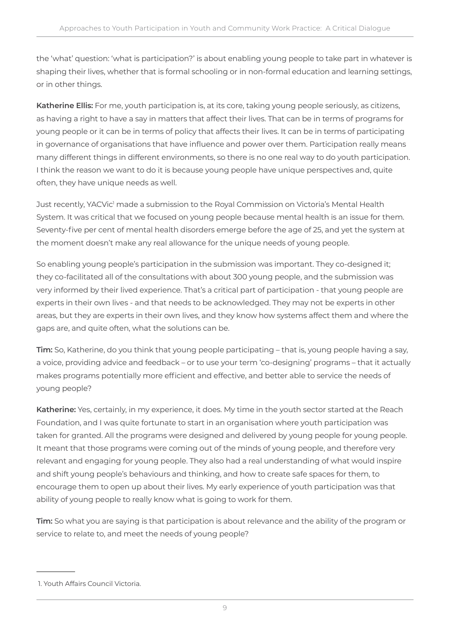the 'what' question: 'what is participation?' is about enabling young people to take part in whatever is shaping their lives, whether that is formal schooling or in non-formal education and learning settings, or in other things.

**Katherine Ellis:** For me, youth participation is, at its core, taking young people seriously, as citizens, as having a right to have a say in matters that affect their lives. That can be in terms of programs for young people or it can be in terms of policy that affects their lives. It can be in terms of participating in governance of organisations that have influence and power over them. Participation really means many different things in different environments, so there is no one real way to do youth participation. I think the reason we want to do it is because young people have unique perspectives and, quite often, they have unique needs as well.

Just recently, YACVic<sup>1</sup> made a submission to the Royal Commission on Victoria's Mental Health System. It was critical that we focused on young people because mental health is an issue for them. Seventy-five per cent of mental health disorders emerge before the age of 25, and yet the system at the moment doesn't make any real allowance for the unique needs of young people.

So enabling young people's participation in the submission was important. They co-designed it; they co-facilitated all of the consultations with about 300 young people, and the submission was very informed by their lived experience. That's a critical part of participation - that young people are experts in their own lives - and that needs to be acknowledged. They may not be experts in other areas, but they are experts in their own lives, and they know how systems affect them and where the gaps are, and quite often, what the solutions can be.

**Tim:** So, Katherine, do you think that young people participating – that is, young people having a say, a voice, providing advice and feedback – or to use your term 'co-designing' programs – that it actually makes programs potentially more efficient and effective, and better able to service the needs of young people?

**Katherine:** Yes, certainly, in my experience, it does. My time in the youth sector started at the Reach Foundation, and I was quite fortunate to start in an organisation where youth participation was taken for granted. All the programs were designed and delivered by young people for young people. It meant that those programs were coming out of the minds of young people, and therefore very relevant and engaging for young people. They also had a real understanding of what would inspire and shift young people's behaviours and thinking, and how to create safe spaces for them, to encourage them to open up about their lives. My early experience of youth participation was that ability of young people to really know what is going to work for them.

**Tim:** So what you are saying is that participation is about relevance and the ability of the program or service to relate to, and meet the needs of young people?

 <sup>1.</sup> Youth Affairs Council Victoria.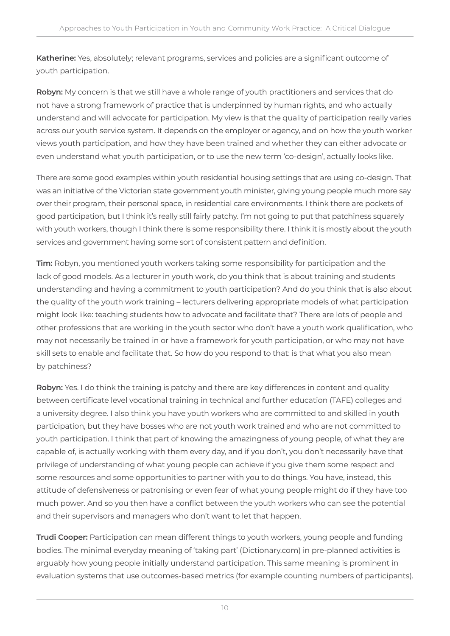**Katherine:** Yes, absolutely; relevant programs, services and policies are a significant outcome of youth participation.

**Robyn:** My concern is that we still have a whole range of youth practitioners and services that do not have a strong framework of practice that is underpinned by human rights, and who actually understand and will advocate for participation. My view is that the quality of participation really varies across our youth service system. It depends on the employer or agency, and on how the youth worker views youth participation, and how they have been trained and whether they can either advocate or even understand what youth participation, or to use the new term 'co-design', actually looks like.

There are some good examples within youth residential housing settings that are using co-design. That was an initiative of the Victorian state government youth minister, giving young people much more say over their program, their personal space, in residential care environments. I think there are pockets of good participation, but I think it's really still fairly patchy. I'm not going to put that patchiness squarely with youth workers, though I think there is some responsibility there. I think it is mostly about the youth services and government having some sort of consistent pattern and definition.

**Tim:** Robyn, you mentioned youth workers taking some responsibility for participation and the lack of good models. As a lecturer in youth work, do you think that is about training and students understanding and having a commitment to youth participation? And do you think that is also about the quality of the youth work training – lecturers delivering appropriate models of what participation might look like: teaching students how to advocate and facilitate that? There are lots of people and other professions that are working in the youth sector who don't have a youth work qualification, who may not necessarily be trained in or have a framework for youth participation, or who may not have skill sets to enable and facilitate that. So how do you respond to that: is that what you also mean by patchiness?

**Robyn:** Yes. I do think the training is patchy and there are key differences in content and quality between certificate level vocational training in technical and further education (TAFE) colleges and a university degree. I also think you have youth workers who are committed to and skilled in youth participation, but they have bosses who are not youth work trained and who are not committed to youth participation. I think that part of knowing the amazingness of young people, of what they are capable of, is actually working with them every day, and if you don't, you don't necessarily have that privilege of understanding of what young people can achieve if you give them some respect and some resources and some opportunities to partner with you to do things. You have, instead, this attitude of defensiveness or patronising or even fear of what young people might do if they have too much power. And so you then have a conflict between the youth workers who can see the potential and their supervisors and managers who don't want to let that happen.

**Trudi Cooper:** Participation can mean different things to youth workers, young people and funding bodies. The minimal everyday meaning of 'taking part' (Dictionary.com) in pre-planned activities is arguably how young people initially understand participation. This same meaning is prominent in evaluation systems that use outcomes-based metrics (for example counting numbers of participants).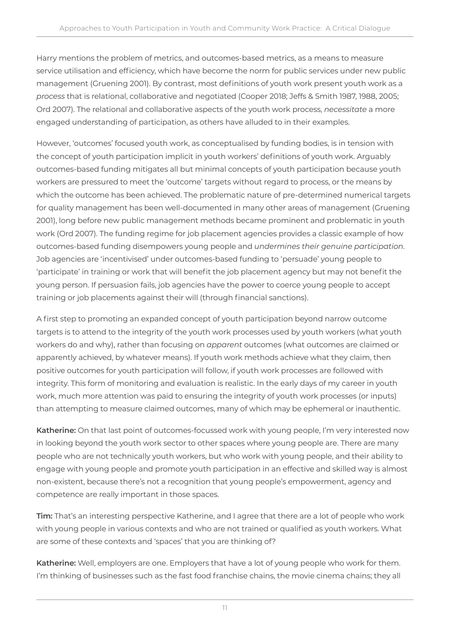Harry mentions the problem of metrics, and outcomes-based metrics, as a means to measure service utilisation and efficiency, which have become the norm for public services under new public management (Gruening 2001). By contrast, most definitions of youth work present youth work as a *process* that is relational, collaborative and negotiated (Cooper 2018; Jeffs & Smith 1987, 1988, 2005; Ord 2007). The relational and collaborative aspects of the youth work process, *necessitate* a more engaged understanding of participation, as others have alluded to in their examples.

However, 'outcomes' focused youth work, as conceptualised by funding bodies, is in tension with the concept of youth participation implicit in youth workers' definitions of youth work. Arguably outcomes-based funding mitigates all but minimal concepts of youth participation because youth workers are pressured to meet the 'outcome' targets without regard to process, or the means by which the outcome has been achieved. The problematic nature of pre-determined numerical targets for quality management has been well-documented in many other areas of management (Gruening 2001), long before new public management methods became prominent and problematic in youth work (Ord 2007). The funding regime for job placement agencies provides a classic example of how outcomes-based funding disempowers young people and *undermines their genuine participation*. Job agencies are 'incentivised' under outcomes-based funding to 'persuade' young people to 'participate' in training or work that will benefit the job placement agency but may not benefit the young person. If persuasion fails, job agencies have the power to coerce young people to accept training or job placements against their will (through financial sanctions).

A first step to promoting an expanded concept of youth participation beyond narrow outcome targets is to attend to the integrity of the youth work processes used by youth workers (what youth workers do and why), rather than focusing on *apparent* outcomes (what outcomes are claimed or apparently achieved, by whatever means). If youth work methods achieve what they claim, then positive outcomes for youth participation will follow, if youth work processes are followed with integrity. This form of monitoring and evaluation is realistic. In the early days of my career in youth work, much more attention was paid to ensuring the integrity of youth work processes (or inputs) than attempting to measure claimed outcomes, many of which may be ephemeral or inauthentic.

**Katherine:** On that last point of outcomes-focussed work with young people, I'm very interested now in looking beyond the youth work sector to other spaces where young people are. There are many people who are not technically youth workers, but who work with young people, and their ability to engage with young people and promote youth participation in an effective and skilled way is almost non-existent, because there's not a recognition that young people's empowerment, agency and competence are really important in those spaces.

**Tim:** That's an interesting perspective Katherine, and I agree that there are a lot of people who work with young people in various contexts and who are not trained or qualified as youth workers. What are some of these contexts and 'spaces' that you are thinking of?

**Katherine:** Well, employers are one. Employers that have a lot of young people who work for them. I'm thinking of businesses such as the fast food franchise chains, the movie cinema chains; they all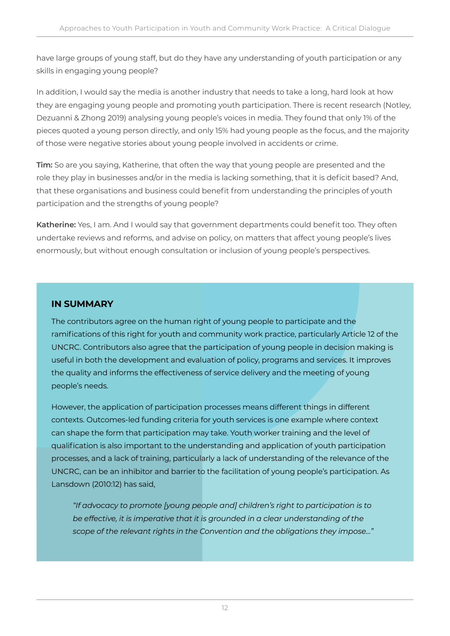have large groups of young staff, but do they have any understanding of youth participation or any skills in engaging young people?

In addition, I would say the media is another industry that needs to take a long, hard look at how they are engaging young people and promoting youth participation. There is recent research (Notley, Dezuanni & Zhong 2019) analysing young people's voices in media. They found that only 1% of the pieces quoted a young person directly, and only 15% had young people as the focus, and the majority of those were negative stories about young people involved in accidents or crime.

**Tim:** So are you saying, Katherine, that often the way that young people are presented and the role they play in businesses and/or in the media is lacking something, that it is deficit based? And, that these organisations and business could benefit from understanding the principles of youth participation and the strengths of young people?

**Katherine:** Yes, I am. And I would say that government departments could benefit too. They often undertake reviews and reforms, and advise on policy, on matters that affect young people's lives enormously, but without enough consultation or inclusion of young people's perspectives.

### **IN SUMMARY**

The contributors agree on the human right of young people to participate and the ramifications of this right for youth and community work practice, particularly Article 12 of the UNCRC. Contributors also agree that the participation of young people in decision making is useful in both the development and evaluation of policy, programs and services. It improves the quality and informs the effectiveness of service delivery and the meeting of young people's needs.

However, the application of participation processes means different things in different contexts. Outcomes-led funding criteria for youth services is one example where context can shape the form that participation may take. Youth worker training and the level of qualification is also important to the understanding and application of youth participation processes, and a lack of training, particularly a lack of understanding of the relevance of the UNCRC, can be an inhibitor and barrier to the facilitation of young people's participation. As Lansdown (2010:12) has said,

*"If advocacy to promote [young people and] children's right to participation is to be effective, it is imperative that it is grounded in a clear understanding of the scope of the relevant rights in the Convention and the obligations they impose…"*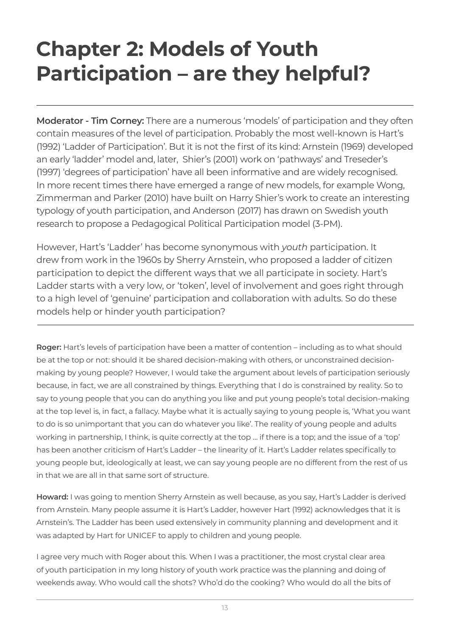## **Chapter 2: Models of Youth Participation – are they helpful?**

**Moderator - Tim Corney:** There are a numerous 'models' of participation and they often contain measures of the level of participation. Probably the most well-known is Hart's (1992) 'Ladder of Participation'. But it is not the first of its kind: Arnstein (1969) developed an early 'ladder' model and, later, Shier's (2001) work on 'pathways' and Treseder's (1997) 'degrees of participation' have all been informative and are widely recognised. In more recent times there have emerged a range of new models, for example Wong, Zimmerman and Parker (2010) have built on Harry Shier's work to create an interesting typology of youth participation, and Anderson (2017) has drawn on Swedish youth research to propose a Pedagogical Political Participation model (3-PM).

However, Hart's 'Ladder' has become synonymous with *youth* participation. It drew from work in the 1960s by Sherry Arnstein, who proposed a ladder of citizen participation to depict the different ways that we all participate in society. Hart's Ladder starts with a very low, or 'token', level of involvement and goes right through to a high level of 'genuine' participation and collaboration with adults. So do these models help or hinder youth participation?

**Roger:** Hart's levels of participation have been a matter of contention – including as to what should be at the top or not: should it be shared decision-making with others, or unconstrained decisionmaking by young people? However, I would take the argument about levels of participation seriously because, in fact, we are all constrained by things. Everything that I do is constrained by reality. So to say to young people that you can do anything you like and put young people's total decision-making at the top level is, in fact, a fallacy. Maybe what it is actually saying to young people is, 'What you want to do is so unimportant that you can do whatever you like'. The reality of young people and adults working in partnership, I think, is quite correctly at the top … if there is a top; and the issue of a 'top' has been another criticism of Hart's Ladder – the linearity of it. Hart's Ladder relates specifically to young people but, ideologically at least, we can say young people are no different from the rest of us in that we are all in that same sort of structure.

**Howard:** I was going to mention Sherry Arnstein as well because, as you say, Hart's Ladder is derived from Arnstein. Many people assume it is Hart's Ladder, however Hart (1992) acknowledges that it is Arnstein's. The Ladder has been used extensively in community planning and development and it was adapted by Hart for UNICEF to apply to children and young people.

I agree very much with Roger about this. When I was a practitioner, the most crystal clear area of youth participation in my long history of youth work practice was the planning and doing of weekends away. Who would call the shots? Who'd do the cooking? Who would do all the bits of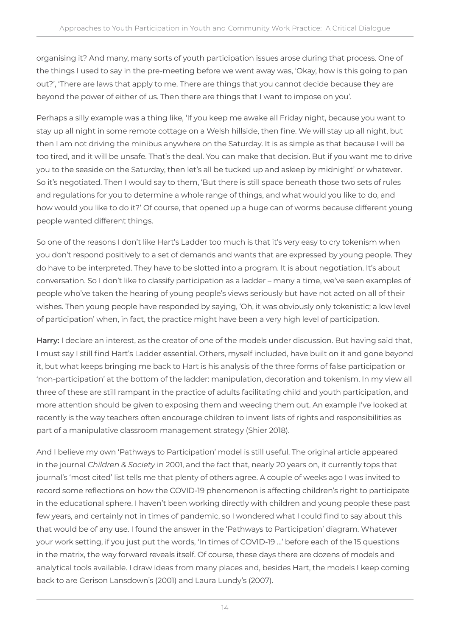organising it? And many, many sorts of youth participation issues arose during that process. One of the things I used to say in the pre-meeting before we went away was, 'Okay, how is this going to pan out?', 'There are laws that apply to me. There are things that you cannot decide because they are beyond the power of either of us. Then there are things that I want to impose on you'.

Perhaps a silly example was a thing like, 'If you keep me awake all Friday night, because you want to stay up all night in some remote cottage on a Welsh hillside, then fine. We will stay up all night, but then I am not driving the minibus anywhere on the Saturday. It is as simple as that because I will be too tired, and it will be unsafe. That's the deal. You can make that decision. But if you want me to drive you to the seaside on the Saturday, then let's all be tucked up and asleep by midnight' or whatever. So it's negotiated. Then I would say to them, 'But there is still space beneath those two sets of rules and regulations for you to determine a whole range of things, and what would you like to do, and how would you like to do it?' Of course, that opened up a huge can of worms because different young people wanted different things.

So one of the reasons I don't like Hart's Ladder too much is that it's very easy to cry tokenism when you don't respond positively to a set of demands and wants that are expressed by young people. They do have to be interpreted. They have to be slotted into a program. It is about negotiation. It's about conversation. So I don't like to classify participation as a ladder – many a time, we've seen examples of people who've taken the hearing of young people's views seriously but have not acted on all of their wishes. Then young people have responded by saying, 'Oh, it was obviously only tokenistic; a low level of participation' when, in fact, the practice might have been a very high level of participation.

**Harry:** I declare an interest, as the creator of one of the models under discussion. But having said that, I must say I still find Hart's Ladder essential. Others, myself included, have built on it and gone beyond it, but what keeps bringing me back to Hart is his analysis of the three forms of false participation or 'non-participation' at the bottom of the ladder: manipulation, decoration and tokenism. In my view all three of these are still rampant in the practice of adults facilitating child and youth participation, and more attention should be given to exposing them and weeding them out. An example I've looked at recently is the way teachers often encourage children to invent lists of rights and responsibilities as part of a manipulative classroom management strategy (Shier 2018).

And I believe my own 'Pathways to Participation' model is still useful. The original article appeared in the journal *Children & Society* in 2001, and the fact that, nearly 20 years on, it currently tops that journal's 'most cited' list tells me that plenty of others agree. A couple of weeks ago I was invited to record some reflections on how the COVID-19 phenomenon is affecting children's right to participate in the educational sphere. I haven't been working directly with children and young people these past few years, and certainly not in times of pandemic, so I wondered what I could find to say about this that would be of any use. I found the answer in the 'Pathways to Participation' diagram. Whatever your work setting, if you just put the words, 'In times of COVID-19 …' before each of the 15 questions in the matrix, the way forward reveals itself. Of course, these days there are dozens of models and analytical tools available. I draw ideas from many places and, besides Hart, the models I keep coming back to are Gerison Lansdown's (2001) and Laura Lundy's (2007).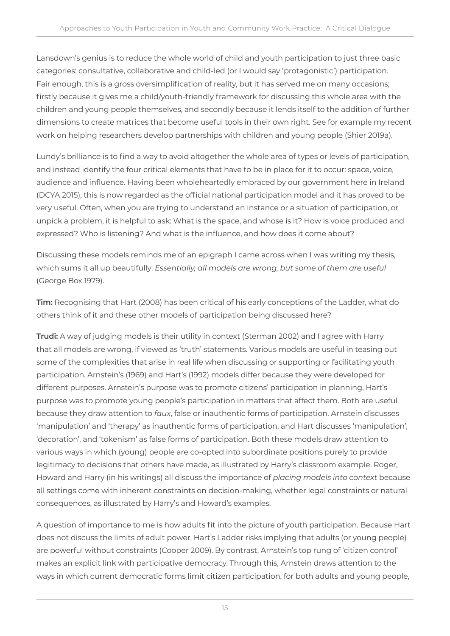Lansdown's genius is to reduce the whole world of child and youth participation to just three basic categories: consultative, collaborative and child-led (or I would say 'protagonistic') participation. Fair enough, this is a gross oversimplification of reality, but it has served me on many occasions; firstly because it gives me a child/youth-friendly framework for discussing this whole area with the children and young people themselves, and secondly because it lends itself to the addition of further dimensions to create matrices that become useful tools in their own right. See for example my recent work on helping researchers develop partnerships with children and young people (Shier 2019a).

Lundy's brilliance is to find a way to avoid altogether the whole area of types or levels of participation, and instead identify the four critical elements that have to be in place for it to occur: space, voice, audience and influence. Having been wholeheartedly embraced by our government here in Ireland (DCYA 2015), this is now regarded as the official national participation model and it has proved to be very useful. Often, when you are trying to understand an instance or a situation of participation, or unpick a problem, it is helpful to ask: What is the space, and whose is it? How is voice produced and expressed? Who is listening? And what is the influence, and how does it come about?

Discussing these models reminds me of an epigraph I came across when I was writing my thesis, which sums it all up beautifully: *Essentially, all models are wrong, but some of them are useful*  (George Box 1979).

**Tim:** Recognising that Hart (2008) has been critical of his early conceptions of the Ladder, what do others think of it and these other models of participation being discussed here?

**Trudi:** A way of judging models is their utility in context (Sterman 2002) and I agree with Harry that all models are wrong, if viewed as 'truth' statements. Various models are useful in teasing out some of the complexities that arise in real life when discussing or supporting or facilitating youth participation. Arnstein's (1969) and Hart's (1992) models differ because they were developed for different purposes. Arnstein's purpose was to promote citizens' participation in planning, Hart's purpose was to promote young people's participation in matters that affect them. Both are useful because they draw attention to *faux*, false or inauthentic forms of participation. Arnstein discusses 'manipulation' and 'therapy' as inauthentic forms of participation, and Hart discusses 'manipulation', 'decoration', and 'tokenism' as false forms of participation. Both these models draw attention to various ways in which (young) people are co-opted into subordinate positions purely to provide legitimacy to decisions that others have made, as illustrated by Harry's classroom example. Roger, Howard and Harry (in his writings) all discuss the importance of *placing models into context* because all settings come with inherent constraints on decision-making, whether legal constraints or natural consequences, as illustrated by Harry's and Howard's examples.

A question of importance to me is how adults fit into the picture of youth participation. Because Hart does not discuss the limits of adult power, Hart's Ladder risks implying that adults (or young people) are powerful without constraints (Cooper 2009). By contrast, Arnstein's top rung of 'citizen control' makes an explicit link with participative democracy. Through this, Arnstein draws attention to the ways in which current democratic forms limit citizen participation, for both adults and young people,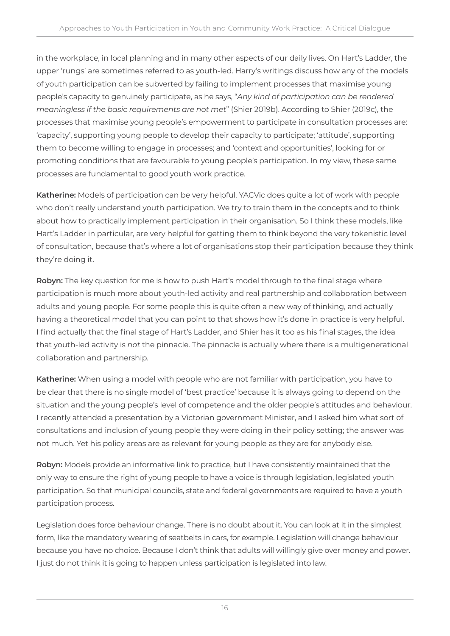in the workplace, in local planning and in many other aspects of our daily lives. On Hart's Ladder, the upper 'rungs' are sometimes referred to as youth-led. Harry's writings discuss how any of the models of youth participation can be subverted by failing to implement processes that maximise young people's capacity to genuinely participate, as he says, "*Any kind of participation can be rendered meaningless if the basic requirements are not met*" (Shier 2019b). According to Shier (2019c), the processes that maximise young people's empowerment to participate in consultation processes are: 'capacity', supporting young people to develop their capacity to participate; 'attitude', supporting them to become willing to engage in processes; and 'context and opportunities', looking for or promoting conditions that are favourable to young people's participation. In my view, these same processes are fundamental to good youth work practice.

**Katherine:** Models of participation can be very helpful. YACVic does quite a lot of work with people who don't really understand youth participation. We try to train them in the concepts and to think about how to practically implement participation in their organisation. So I think these models, like Hart's Ladder in particular, are very helpful for getting them to think beyond the very tokenistic level of consultation, because that's where a lot of organisations stop their participation because they think they're doing it.

**Robyn:** The key question for me is how to push Hart's model through to the final stage where participation is much more about youth-led activity and real partnership and collaboration between adults and young people. For some people this is quite often a new way of thinking, and actually having a theoretical model that you can point to that shows how it's done in practice is very helpful. I find actually that the final stage of Hart's Ladder, and Shier has it too as his final stages, the idea that youth-led activity is *not* the pinnacle. The pinnacle is actually where there is a multigenerational collaboration and partnership.

**Katherine:** When using a model with people who are not familiar with participation, you have to be clear that there is no single model of 'best practice' because it is always going to depend on the situation and the young people's level of competence and the older people's attitudes and behaviour. I recently attended a presentation by a Victorian government Minister, and I asked him what sort of consultations and inclusion of young people they were doing in their policy setting; the answer was not much. Yet his policy areas are as relevant for young people as they are for anybody else.

**Robyn:** Models provide an informative link to practice, but I have consistently maintained that the only way to ensure the right of young people to have a voice is through legislation, legislated youth participation. So that municipal councils, state and federal governments are required to have a youth participation process.

Legislation does force behaviour change. There is no doubt about it. You can look at it in the simplest form, like the mandatory wearing of seatbelts in cars, for example. Legislation will change behaviour because you have no choice. Because I don't think that adults will willingly give over money and power. I just do not think it is going to happen unless participation is legislated into law.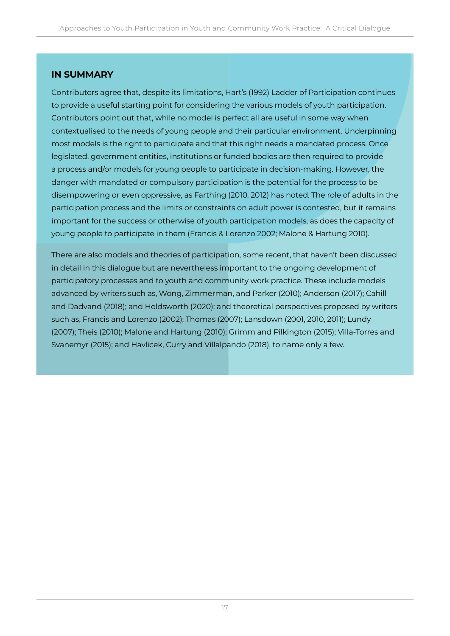#### **IN SUMMARY**

Contributors agree that, despite its limitations, Hart's (1992) Ladder of Participation continues to provide a useful starting point for considering the various models of youth participation. Contributors point out that, while no model is perfect all are useful in some way when contextualised to the needs of young people and their particular environment. Underpinning most models is the right to participate and that this right needs a mandated process. Once legislated, government entities, institutions or funded bodies are then required to provide a process and/or models for young people to participate in decision-making. However, the danger with mandated or compulsory participation is the potential for the process to be disempowering or even oppressive, as Farthing (2010, 2012) has noted. The role of adults in the participation process and the limits or constraints on adult power is contested, but it remains important for the success or otherwise of youth participation models, as does the capacity of young people to participate in them (Francis & Lorenzo 2002; Malone & Hartung 2010).

There are also models and theories of participation, some recent, that haven't been discussed in detail in this dialogue but are nevertheless important to the ongoing development of participatory processes and to youth and community work practice. These include models advanced by writers such as, Wong, Zimmerman, and Parker (2010); Anderson (2017); Cahill and Dadvand (2018); and Holdsworth (2020); and theoretical perspectives proposed by writers such as, Francis and Lorenzo (2002); Thomas (2007); Lansdown (2001, 2010, 2011); Lundy (2007); Theis (2010); Malone and Hartung (2010); Grimm and Pilkington (2015); Villa-Torres and Svanemyr (2015); and Havlicek, Curry and Villalpando (2018), to name only a few.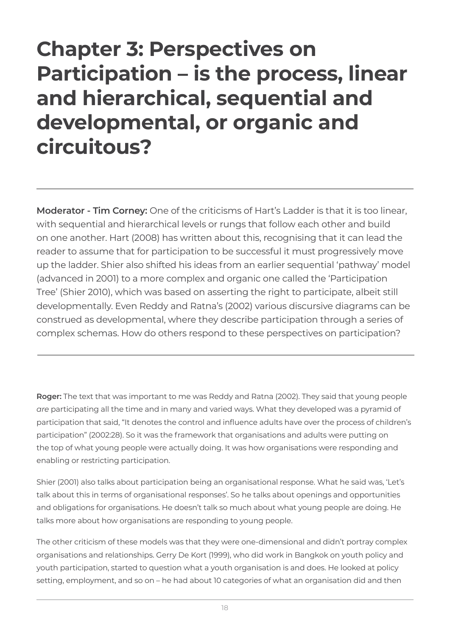### **Chapter 3: Perspectives on Participation – is the process, linear and hierarchical, sequential and developmental, or organic and circuitous?**

**Moderator - Tim Corney:** One of the criticisms of Hart's Ladder is that it is too linear, with sequential and hierarchical levels or rungs that follow each other and build on one another. Hart (2008) has written about this, recognising that it can lead the reader to assume that for participation to be successful it must progressively move up the ladder. Shier also shifted his ideas from an earlier sequential 'pathway' model (advanced in 2001) to a more complex and organic one called the 'Participation Tree' (Shier 2010), which was based on asserting the right to participate, albeit still developmentally. Even Reddy and Ratna's (2002) various discursive diagrams can be construed as developmental, where they describe participation through a series of complex schemas. How do others respond to these perspectives on participation?

**Roger:** The text that was important to me was Reddy and Ratna (2002). They said that young people *are* participating all the time and in many and varied ways. What they developed was a pyramid of participation that said, "It denotes the control and influence adults have over the process of children's participation" (2002:28). So it was the framework that organisations and adults were putting on the top of what young people were actually doing. It was how organisations were responding and enabling or restricting participation.

Shier (2001) also talks about participation being an organisational response. What he said was, 'Let's talk about this in terms of organisational responses'. So he talks about openings and opportunities and obligations for organisations. He doesn't talk so much about what young people are doing. He talks more about how organisations are responding to young people.

The other criticism of these models was that they were one-dimensional and didn't portray complex organisations and relationships. Gerry De Kort (1999), who did work in Bangkok on youth policy and youth participation, started to question what a youth organisation is and does. He looked at policy setting, employment, and so on – he had about 10 categories of what an organisation did and then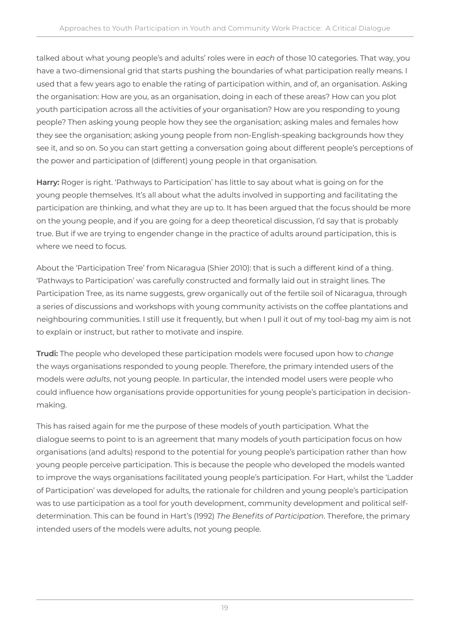talked about what young people's and adults' roles were in *each* of those 10 categories. That way, you have a two-dimensional grid that starts pushing the boundaries of what participation really means. I used that a few years ago to enable the rating of participation within, and of, an organisation. Asking the organisation: How are you, as an organisation, doing in each of these areas? How can you plot youth participation across all the activities of your organisation? How are you responding to young people? Then asking young people how they see the organisation; asking males and females how they see the organisation; asking young people from non-English-speaking backgrounds how they see it, and so on. So you can start getting a conversation going about different people's perceptions of the power and participation of (different) young people in that organisation.

**Harry:** Roger is right. 'Pathways to Participation' has little to say about what is going on for the young people themselves. It's all about what the adults involved in supporting and facilitating the participation are thinking, and what they are up to. It has been argued that the focus should be more on the young people, and if you are going for a deep theoretical discussion, I'd say that is probably true. But if we are trying to engender change in the practice of adults around participation, this is where we need to focus.

About the 'Participation Tree' from Nicaragua (Shier 2010): that is such a different kind of a thing. 'Pathways to Participation' was carefully constructed and formally laid out in straight lines. The Participation Tree, as its name suggests, grew organically out of the fertile soil of Nicaragua, through a series of discussions and workshops with young community activists on the coffee plantations and neighbouring communities. I still use it frequently, but when I pull it out of my tool-bag my aim is not to explain or instruct, but rather to motivate and inspire.

**Trudi:** The people who developed these participation models were focused upon how to *change* the ways organisations responded to young people. Therefore, the primary intended users of the models were *adults*, not young people. In particular, the intended model users were people who could influence how organisations provide opportunities for young people's participation in decisionmaking.

This has raised again for me the purpose of these models of youth participation. What the dialogue seems to point to is an agreement that many models of youth participation focus on how organisations (and adults) respond to the potential for young people's participation rather than how young people perceive participation. This is because the people who developed the models wanted to improve the ways organisations facilitated young people's participation. For Hart, whilst the 'Ladder of Participation' was developed for adults, the rationale for children and young people's participation was to use participation as a tool for youth development, community development and political selfdetermination. This can be found in Hart's (1992) *The Benefits of Participation*. Therefore, the primary intended users of the models were adults, not young people.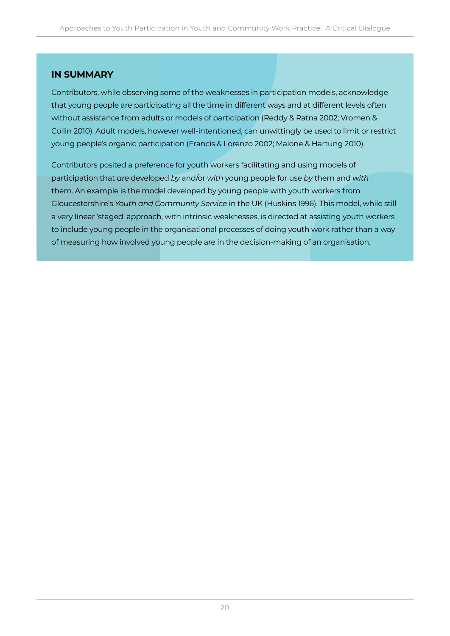#### **IN SUMMARY**

Contributors, while observing some of the weaknesses in participation models, acknowledge that young people are participating all the time in different ways and at different levels often without assistance from adults or models of participation (Reddy & Ratna 2002; Vromen & Collin 2010). Adult models, however well-intentioned, can unwittingly be used to limit or restrict young people's organic participation (Francis & Lorenzo 2002; Malone & Hartung 2010).

Contributors posited a preference for youth workers facilitating and using models of participation that *are* developed *by* and/or *with* young people for use *by* them and *with* them. An example is the model developed by young people with youth workers from Gloucestershire's *Youth and Community Service* in the UK (Huskins 1996). This model, while still a very linear 'staged' approach, with intrinsic weaknesses, is directed at assisting youth workers to include young people in the organisational processes of doing youth work rather than a way of measuring how involved young people are in the decision-making of an organisation.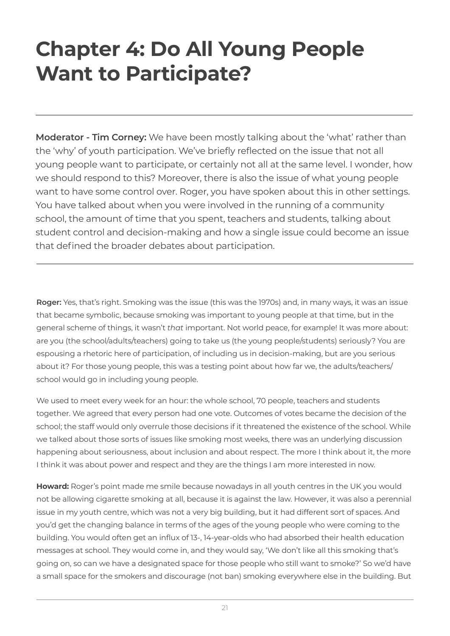### **Chapter 4: Do All Young People Want to Participate?**

**Moderator - Tim Corney:** We have been mostly talking about the 'what' rather than the 'why' of youth participation. We've briefly reflected on the issue that not all young people want to participate, or certainly not all at the same level. I wonder, how we should respond to this? Moreover, there is also the issue of what young people want to have some control over. Roger, you have spoken about this in other settings. You have talked about when you were involved in the running of a community school, the amount of time that you spent, teachers and students, talking about student control and decision-making and how a single issue could become an issue that defined the broader debates about participation.

**Roger:** Yes, that's right. Smoking was the issue (this was the 1970s) and, in many ways, it was an issue that became symbolic, because smoking was important to young people at that time, but in the general scheme of things, it wasn't *that* important. Not world peace, for example! It was more about: are you (the school/adults/teachers) going to take us (the young people/students) seriously? You are espousing a rhetoric here of participation, of including us in decision-making, but are you serious about it? For those young people, this was a testing point about how far we, the adults/teachers/ school would go in including young people.

We used to meet every week for an hour: the whole school, 70 people, teachers and students together. We agreed that every person had one vote. Outcomes of votes became the decision of the school; the staff would only overrule those decisions if it threatened the existence of the school. While we talked about those sorts of issues like smoking most weeks, there was an underlying discussion happening about seriousness, about inclusion and about respect. The more I think about it, the more I think it was about power and respect and they are the things I am more interested in now.

**Howard:** Roger's point made me smile because nowadays in all youth centres in the UK you would not be allowing cigarette smoking at all, because it is against the law. However, it was also a perennial issue in my youth centre, which was not a very big building, but it had different sort of spaces. And you'd get the changing balance in terms of the ages of the young people who were coming to the building. You would often get an influx of 13-, 14-year-olds who had absorbed their health education messages at school. They would come in, and they would say, 'We don't like all this smoking that's going on, so can we have a designated space for those people who still want to smoke?' So we'd have a small space for the smokers and discourage (not ban) smoking everywhere else in the building. But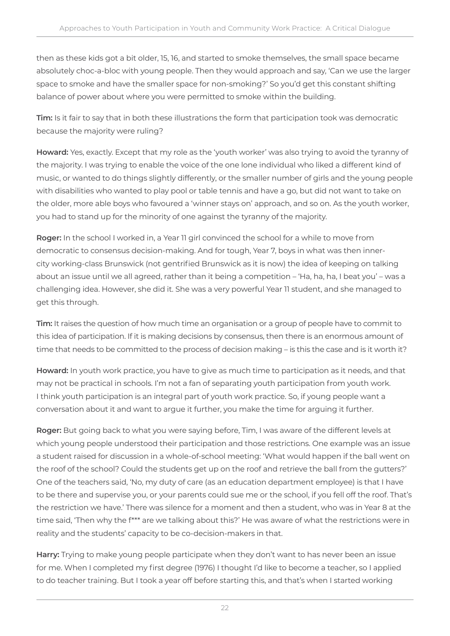then as these kids got a bit older, 15, 16, and started to smoke themselves, the small space became absolutely choc-a-bloc with young people. Then they would approach and say, 'Can we use the larger space to smoke and have the smaller space for non-smoking?' So you'd get this constant shifting balance of power about where you were permitted to smoke within the building.

**Tim:** Is it fair to say that in both these illustrations the form that participation took was democratic because the majority were ruling?

**Howard:** Yes, exactly. Except that my role as the 'youth worker' was also trying to avoid the tyranny of the majority. I was trying to enable the voice of the one lone individual who liked a different kind of music, or wanted to do things slightly differently, or the smaller number of girls and the young people with disabilities who wanted to play pool or table tennis and have a go, but did not want to take on the older, more able boys who favoured a 'winner stays on' approach, and so on. As the youth worker, you had to stand up for the minority of one against the tyranny of the majority.

**Roger:** In the school I worked in, a Year 11 girl convinced the school for a while to move from democratic to consensus decision-making. And for tough, Year 7, boys in what was then innercity working-class Brunswick (not gentrified Brunswick as it is now) the idea of keeping on talking about an issue until we all agreed, rather than it being a competition – 'Ha, ha, ha, I beat you' – was a challenging idea. However, she did it. She was a very powerful Year 11 student, and she managed to get this through.

**Tim:** It raises the question of how much time an organisation or a group of people have to commit to this idea of participation. If it is making decisions by consensus, then there is an enormous amount of time that needs to be committed to the process of decision making – is this the case and is it worth it?

**Howard:** In youth work practice, you have to give as much time to participation as it needs, and that may not be practical in schools. I'm not a fan of separating youth participation from youth work. I think youth participation is an integral part of youth work practice. So, if young people want a conversation about it and want to argue it further, you make the time for arguing it further.

**Roger:** But going back to what you were saying before, Tim, I was aware of the different levels at which young people understood their participation and those restrictions. One example was an issue a student raised for discussion in a whole-of-school meeting: 'What would happen if the ball went on the roof of the school? Could the students get up on the roof and retrieve the ball from the gutters?' One of the teachers said, 'No, my duty of care (as an education department employee) is that I have to be there and supervise you, or your parents could sue me or the school, if you fell off the roof. That's the restriction we have.' There was silence for a moment and then a student, who was in Year 8 at the time said, 'Then why the f\*\*\* are we talking about this?' He was aware of what the restrictions were in reality and the students' capacity to be co-decision-makers in that.

**Harry:** Trying to make young people participate when they don't want to has never been an issue for me. When I completed my first degree (1976) I thought I'd like to become a teacher, so I applied to do teacher training. But I took a year off before starting this, and that's when I started working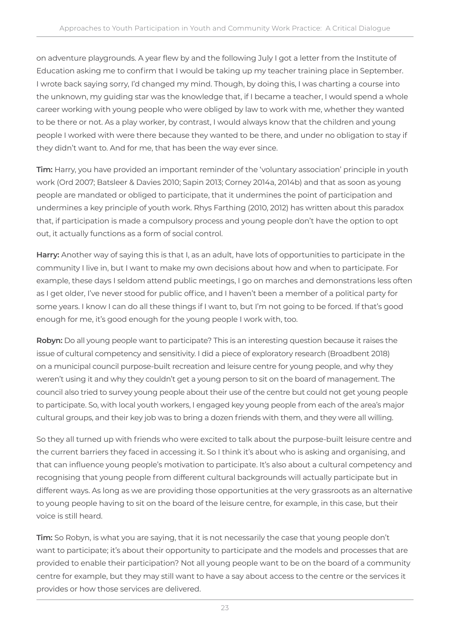on adventure playgrounds. A year flew by and the following July I got a letter from the Institute of Education asking me to confirm that I would be taking up my teacher training place in September. I wrote back saying sorry, I'd changed my mind. Though, by doing this, I was charting a course into the unknown, my guiding star was the knowledge that, if I became a teacher, I would spend a whole career working with young people who were obliged by law to work with me, whether they wanted to be there or not. As a play worker, by contrast, I would always know that the children and young people I worked with were there because they wanted to be there, and under no obligation to stay if they didn't want to. And for me, that has been the way ever since.

**Tim:** Harry, you have provided an important reminder of the 'voluntary association' principle in youth work (Ord 2007; Batsleer & Davies 2010; Sapin 2013; Corney 2014a, 2014b) and that as soon as young people are mandated or obliged to participate, that it undermines the point of participation and undermines a key principle of youth work. Rhys Farthing (2010, 2012) has written about this paradox that, if participation is made a compulsory process and young people don't have the option to opt out, it actually functions as a form of social control.

**Harry:** Another way of saying this is that I, as an adult, have lots of opportunities to participate in the community I live in, but I want to make my own decisions about how and when to participate. For example, these days I seldom attend public meetings, I go on marches and demonstrations less often as I get older, I've never stood for public office, and I haven't been a member of a political party for some years. I know I can do all these things if I want to, but I'm not going to be forced. If that's good enough for me, it's good enough for the young people I work with, too.

**Robyn:** Do all young people want to participate? This is an interesting question because it raises the issue of cultural competency and sensitivity. I did a piece of exploratory research (Broadbent 2018) on a municipal council purpose-built recreation and leisure centre for young people, and why they weren't using it and why they couldn't get a young person to sit on the board of management. The council also tried to survey young people about their use of the centre but could not get young people to participate. So, with local youth workers, I engaged key young people from each of the area's major cultural groups, and their key job was to bring a dozen friends with them, and they were all willing.

So they all turned up with friends who were excited to talk about the purpose-built leisure centre and the current barriers they faced in accessing it. So I think it's about who is asking and organising, and that can influence young people's motivation to participate. It's also about a cultural competency and recognising that young people from different cultural backgrounds will actually participate but in different ways. As long as we are providing those opportunities at the very grassroots as an alternative to young people having to sit on the board of the leisure centre, for example, in this case, but their voice is still heard.

**Tim:** So Robyn, is what you are saying, that it is not necessarily the case that young people don't want to participate; it's about their opportunity to participate and the models and processes that are provided to enable their participation? Not all young people want to be on the board of a community centre for example, but they may still want to have a say about access to the centre or the services it provides or how those services are delivered.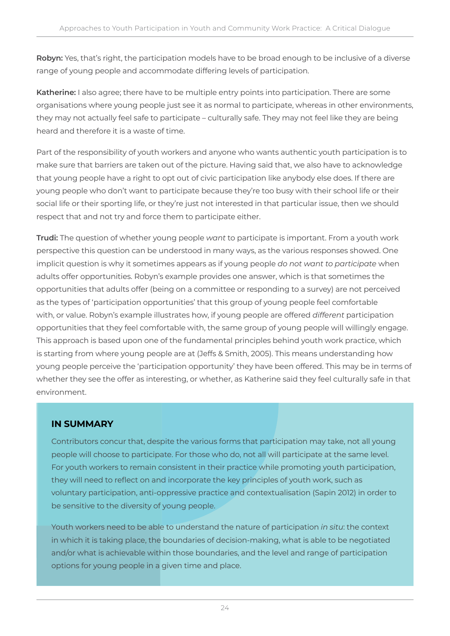**Robyn:** Yes, that's right, the participation models have to be broad enough to be inclusive of a diverse range of young people and accommodate differing levels of participation.

**Katherine:** I also agree; there have to be multiple entry points into participation. There are some organisations where young people just see it as normal to participate, whereas in other environments, they may not actually feel safe to participate – culturally safe. They may not feel like they are being heard and therefore it is a waste of time.

Part of the responsibility of youth workers and anyone who wants authentic youth participation is to make sure that barriers are taken out of the picture. Having said that, we also have to acknowledge that young people have a right to opt out of civic participation like anybody else does. If there are young people who don't want to participate because they're too busy with their school life or their social life or their sporting life, or they're just not interested in that particular issue, then we should respect that and not try and force them to participate either.

**Trudi:** The question of whether young people *want* to participate is important. From a youth work perspective this question can be understood in many ways, as the various responses showed. One implicit question is why it sometimes appears as if young people *do not want to participate* when adults offer opportunities. Robyn's example provides one answer, which is that sometimes the opportunities that adults offer (being on a committee or responding to a survey) are not perceived as the types of 'participation opportunities' that this group of young people feel comfortable with, or value. Robyn's example illustrates how, if young people are offered *different* participation opportunities that they feel comfortable with, the same group of young people will willingly engage. This approach is based upon one of the fundamental principles behind youth work practice, which is starting from where young people are at (Jeffs & Smith, 2005). This means understanding how young people perceive the 'participation opportunity' they have been offered. This may be in terms of whether they see the offer as interesting, or whether, as Katherine said they feel culturally safe in that environment.

### **IN SUMMARY**

Contributors concur that, despite the various forms that participation may take, not all young people will choose to participate. For those who do, not all will participate at the same level. For youth workers to remain consistent in their practice while promoting youth participation, they will need to reflect on and incorporate the key principles of youth work, such as voluntary participation, anti-oppressive practice and contextualisation (Sapin 2012) in order to be sensitive to the diversity of young people.

Youth workers need to be able to understand the nature of participation *in situ*: the context in which it is taking place, the boundaries of decision-making, what is able to be negotiated and/or what is achievable within those boundaries, and the level and range of participation options for young people in a given time and place.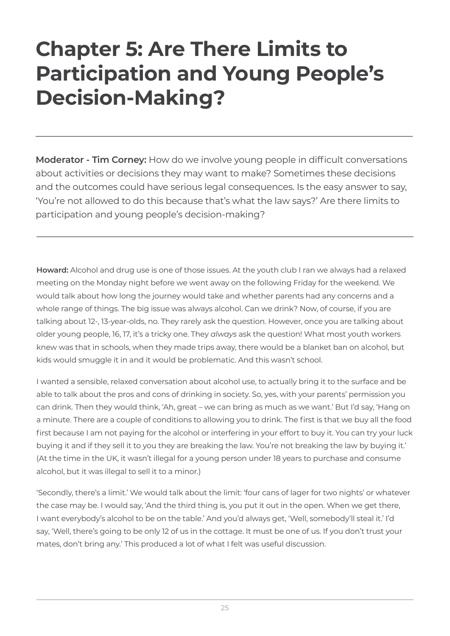## **Chapter 5: Are There Limits to Participation and Young People's Decision-Making?**

**Moderator - Tim Corney:** How do we involve young people in difficult conversations about activities or decisions they may want to make? Sometimes these decisions and the outcomes could have serious legal consequences. Is the easy answer to say, 'You're not allowed to do this because that's what the law says?' Are there limits to participation and young people's decision-making?

**Howard:** Alcohol and drug use is one of those issues. At the youth club I ran we always had a relaxed meeting on the Monday night before we went away on the following Friday for the weekend. We would talk about how long the journey would take and whether parents had any concerns and a whole range of things. The big issue was always alcohol. Can we drink? Now, of course, if you are talking about 12-, 13-year-olds, no. They rarely ask the question. However, once you are talking about older young people, 16, 17, it's a tricky one. They *always* ask the question! What most youth workers knew was that in schools, when they made trips away, there would be a blanket ban on alcohol, but kids would smuggle it in and it would be problematic. And this wasn't school.

I wanted a sensible, relaxed conversation about alcohol use, to actually bring it to the surface and be able to talk about the pros and cons of drinking in society. So, yes, with your parents' permission you can drink. Then they would think, 'Ah, great – we can bring as much as we want.' But I'd say, 'Hang on a minute. There are a couple of conditions to allowing you to drink. The first is that we buy all the food first because I am not paying for the alcohol or interfering in your effort to buy it. You can try your luck buying it and if they sell it to you they are breaking the law. You're not breaking the law by buying it.' (At the time in the UK, it wasn't illegal for a young person under 18 years to purchase and consume alcohol, but it was illegal to sell it to a minor.)

'Secondly, there's a limit.' We would talk about the limit: 'four cans of lager for two nights' or whatever the case may be. I would say, 'And the third thing is, you put it out in the open. When we get there, I want everybody's alcohol to be on the table.' And you'd always get, 'Well, somebody'll steal it.' I'd say, 'Well, there's going to be only 12 of us in the cottage. It must be one of us. If you don't trust your mates, don't bring any.' This produced a lot of what I felt was useful discussion.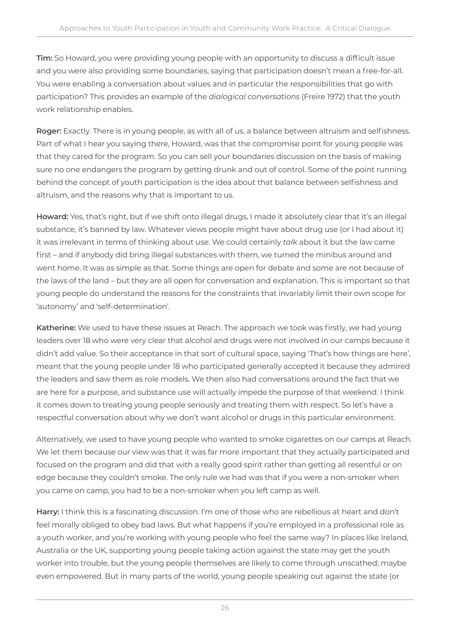**Tim:** So Howard, you were providing young people with an opportunity to discuss a difficult issue and you were also providing some boundaries, saying that participation doesn't mean a free-for-all. You were enabling a conversation about values and in particular the responsibilities that go with participation? This provides an example of the *dialogical conversations* (Freire 1972) that the youth work relationship enables.

**Roger:** Exactly. There is in young people, as with all of us, a balance between altruism and selfishness. Part of what I hear you saying there, Howard, was that the compromise point for young people was that they cared for the program. So you can sell your boundaries discussion on the basis of making sure no one endangers the program by getting drunk and out of control. Some of the point running behind the concept of youth participation is the idea about that balance between selfishness and altruism, and the reasons why that is important to us.

**Howard:** Yes, that's right, but if we shift onto illegal drugs, I made it absolutely clear that it's an illegal substance, it's banned by law. Whatever views people might have about drug use (or I had about it) it was irrelevant in terms of thinking about *use*. We could certainly *talk* about it but the law came first – and if anybody did bring illegal substances with them, we turned the minibus around and went home. It was as simple as that. Some things are open for debate and some are not because of the laws of the land – but they are all open for conversation and explanation. This is important so that young people do understand the reasons for the constraints that invariably limit their own scope for 'autonomy' and 'self-determination'.

**Katherine:** We used to have these issues at Reach. The approach we took was firstly, we had young leaders over 18 who were very clear that alcohol and drugs were not involved in our camps because it didn't add value. So their acceptance in that sort of cultural space, saying 'That's how things are here', meant that the young people under 18 who participated generally accepted it because they admired the leaders and saw them as role models. We then also had conversations around the fact that we are here for a purpose, and substance use will actually impede the purpose of that weekend. I think it comes down to treating young people seriously and treating them with respect. So let's have a respectful conversation about why we don't want alcohol or drugs in this particular environment.

Alternatively, we used to have young people who wanted to smoke cigarettes on our camps at Reach. We let them because our view was that it was far more important that they actually participated and focused on the program and did that with a really good spirit rather than getting all resentful or on edge because they couldn't smoke. The only rule we had was that if you were a non-smoker when you came on camp, you had to be a non-smoker when you left camp as well.

**Harry:** I think this is a fascinating discussion. I'm one of those who are rebellious at heart and don't feel morally obliged to obey bad laws. But what happens if you're employed in a professional role as a youth worker, and you're working with young people who feel the same way? In places like Ireland, Australia or the UK, supporting young people taking action against the state may get the youth worker into trouble, but the young people themselves are likely to come through unscathed; maybe even empowered. But in many parts of the world, young people speaking out against the state (or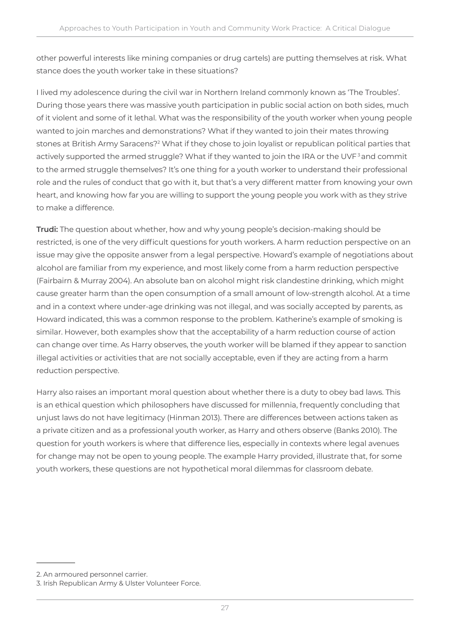other powerful interests like mining companies or drug cartels) are putting themselves at risk. What stance does the youth worker take in these situations?

I lived my adolescence during the civil war in Northern Ireland commonly known as 'The Troubles'. During those years there was massive youth participation in public social action on both sides, much of it violent and some of it lethal. What was the responsibility of the youth worker when young people wanted to join marches and demonstrations? What if they wanted to join their mates throwing stones at British Army Saracens?<sup>2</sup> What if they chose to join loyalist or republican political parties that actively supported the armed struggle? What if they wanted to join the IRA or the UVF<sup>3</sup> and commit to the armed struggle themselves? It's one thing for a youth worker to understand their professional role and the rules of conduct that go with it, but that's a very different matter from knowing your own heart, and knowing how far you are willing to support the young people you work with as they strive to make a difference.

**Trudi:** The question about whether, how and why young people's decision-making should be restricted, is one of the very difficult questions for youth workers. A harm reduction perspective on an issue may give the opposite answer from a legal perspective. Howard's example of negotiations about alcohol are familiar from my experience, and most likely come from a harm reduction perspective (Fairbairn & Murray 2004). An absolute ban on alcohol might risk clandestine drinking, which might cause greater harm than the open consumption of a small amount of low-strength alcohol. At a time and in a context where under-age drinking was not illegal, and was socially accepted by parents, as Howard indicated, this was a common response to the problem. Katherine's example of smoking is similar. However, both examples show that the acceptability of a harm reduction course of action can change over time. As Harry observes, the youth worker will be blamed if they appear to sanction illegal activities or activities that are not socially acceptable, even if they are acting from a harm reduction perspective.

Harry also raises an important moral question about whether there is a duty to obey bad laws. This is an ethical question which philosophers have discussed for millennia, frequently concluding that unjust laws do not have legitimacy (Hinman 2013). There are differences between actions taken as a private citizen and as a professional youth worker, as Harry and others observe (Banks 2010). The question for youth workers is where that difference lies, especially in contexts where legal avenues for change may not be open to young people. The example Harry provided, illustrate that, for some youth workers, these questions are not hypothetical moral dilemmas for classroom debate.

<sup>2.</sup> An armoured personnel carrier.

<sup>3.</sup> Irish Republican Army & Ulster Volunteer Force.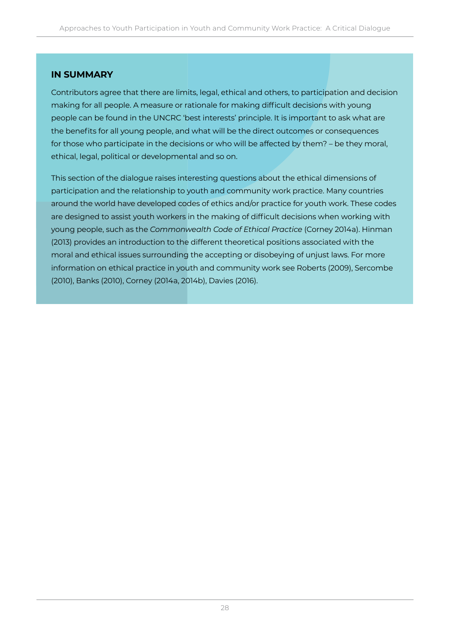### **IN SUMMARY**

Contributors agree that there are limits, legal, ethical and others, to participation and decision making for all people. A measure or rationale for making difficult decisions with young people can be found in the UNCRC 'best interests' principle. It is important to ask what are the benefits for all young people, and what will be the direct outcomes or consequences for those who participate in the decisions or who will be affected by them? – be they moral, ethical, legal, political or developmental and so on.

This section of the dialogue raises interesting questions about the ethical dimensions of participation and the relationship to youth and community work practice. Many countries around the world have developed codes of ethics and/or practice for youth work. These codes are designed to assist youth workers in the making of difficult decisions when working with young people, such as the *Commonwealth Code of Ethical Practice* (Corney 2014a). Hinman (2013) provides an introduction to the different theoretical positions associated with the moral and ethical issues surrounding the accepting or disobeying of unjust laws. For more information on ethical practice in youth and community work see Roberts (2009), Sercombe (2010), Banks (2010), Corney (2014a, 2014b), Davies (2016).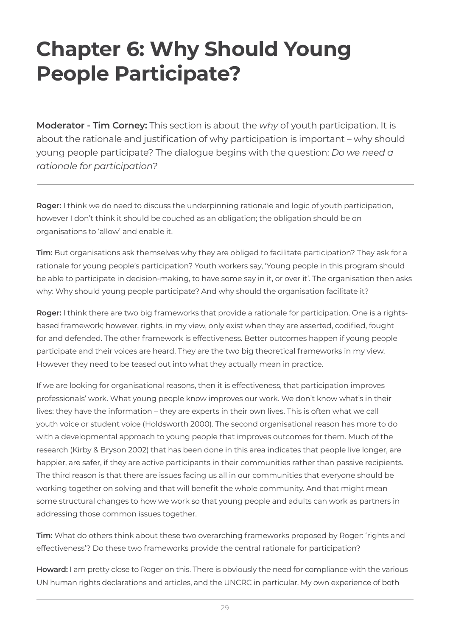## **Chapter 6: Why Should Young People Participate?**

**Moderator - Tim Corney:** This section is about the *why* of youth participation. It is about the rationale and justification of why participation is important – why should young people participate? The dialogue begins with the question: *Do we need a rationale for participation?*

**Roger:** I think we do need to discuss the underpinning rationale and logic of youth participation, however I don't think it should be couched as an obligation; the obligation should be on organisations to 'allow' and enable it.

**Tim:** But organisations ask themselves why they are obliged to facilitate participation? They ask for a rationale for young people's participation? Youth workers say, 'Young people in this program should be able to participate in decision-making, to have some say in it, or over it'. The organisation then asks why: Why should young people participate? And why should the organisation facilitate it?

**Roger:** I think there are two big frameworks that provide a rationale for participation. One is a rightsbased framework; however, rights, in my view, only exist when they are asserted, codified, fought for and defended. The other framework is effectiveness. Better outcomes happen if young people participate and their voices are heard. They are the two big theoretical frameworks in my view. However they need to be teased out into what they actually mean in practice.

If we are looking for organisational reasons, then it is effectiveness, that participation improves professionals' work. What young people know improves our work. We don't know what's in their lives: they have the information – they are experts in their own lives. This is often what we call youth voice or student voice (Holdsworth 2000). The second organisational reason has more to do with a developmental approach to young people that improves outcomes for them. Much of the research (Kirby & Bryson 2002) that has been done in this area indicates that people live longer, are happier, are safer, if they are active participants in their communities rather than passive recipients. The third reason is that there are issues facing us all in our communities that everyone should be working together on solving and that will benefit the whole community. And that might mean some structural changes to how we work so that young people and adults can work as partners in addressing those common issues together.

**Tim:** What do others think about these two overarching frameworks proposed by Roger: 'rights and effectiveness'? Do these two frameworks provide the central rationale for participation?

**Howard:** I am pretty close to Roger on this. There is obviously the need for compliance with the various UN human rights declarations and articles, and the UNCRC in particular. My own experience of both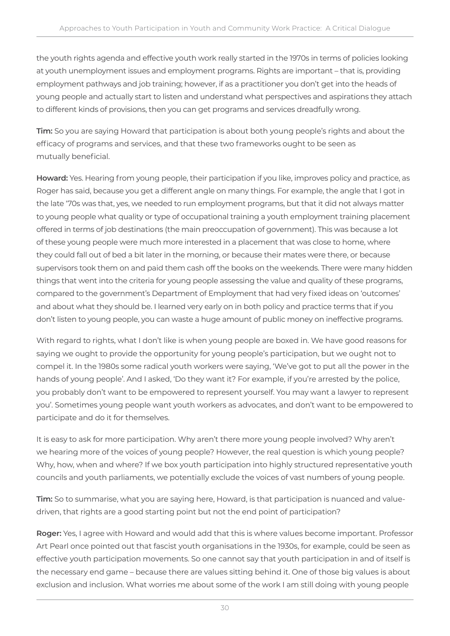the youth rights agenda and effective youth work really started in the 1970s in terms of policies looking at youth unemployment issues and employment programs. Rights are important – that is, providing employment pathways and job training; however, if as a practitioner you don't get into the heads of young people and actually start to listen and understand what perspectives and aspirations they attach to different kinds of provisions, then you can get programs and services dreadfully wrong.

**Tim:** So you are saying Howard that participation is about both young people's rights and about the efficacy of programs and services, and that these two frameworks ought to be seen as mutually beneficial.

**Howard:** Yes. Hearing from young people, their participation if you like, improves policy and practice, as Roger has said, because you get a different angle on many things. For example, the angle that I got in the late '70s was that, yes, we needed to run employment programs, but that it did not always matter to young people what quality or type of occupational training a youth employment training placement offered in terms of job destinations (the main preoccupation of government). This was because a lot of these young people were much more interested in a placement that was close to home, where they could fall out of bed a bit later in the morning, or because their mates were there, or because supervisors took them on and paid them cash off the books on the weekends. There were many hidden things that went into the criteria for young people assessing the value and quality of these programs, compared to the government's Department of Employment that had very fixed ideas on 'outcomes' and about what they should be. I learned very early on in both policy and practice terms that if you don't listen to young people, you can waste a huge amount of public money on ineffective programs.

With regard to rights, what I don't like is when young people are boxed in. We have good reasons for saying we ought to provide the opportunity for young people's participation, but we ought not to compel it. In the 1980s some radical youth workers were saying, 'We've got to put all the power in the hands of young people'. And I asked, 'Do they want it? For example, if you're arrested by the police, you probably don't want to be empowered to represent yourself. You may want a lawyer to represent you'. Sometimes young people want youth workers as advocates, and don't want to be empowered to participate and do it for themselves.

It is easy to ask for more participation. Why aren't there more young people involved? Why aren't we hearing more of the voices of young people? However, the real question is which young people? Why, how, when and where? If we box youth participation into highly structured representative youth councils and youth parliaments, we potentially exclude the voices of vast numbers of young people.

**Tim:** So to summarise, what you are saying here, Howard, is that participation is nuanced and valuedriven, that rights are a good starting point but not the end point of participation?

**Roger:** Yes, I agree with Howard and would add that this is where values become important. Professor Art Pearl once pointed out that fascist youth organisations in the 1930s, for example, could be seen as effective youth participation movements. So one cannot say that youth participation in and of itself is the necessary end game – because there are values sitting behind it. One of those big values is about exclusion and inclusion. What worries me about some of the work I am still doing with young people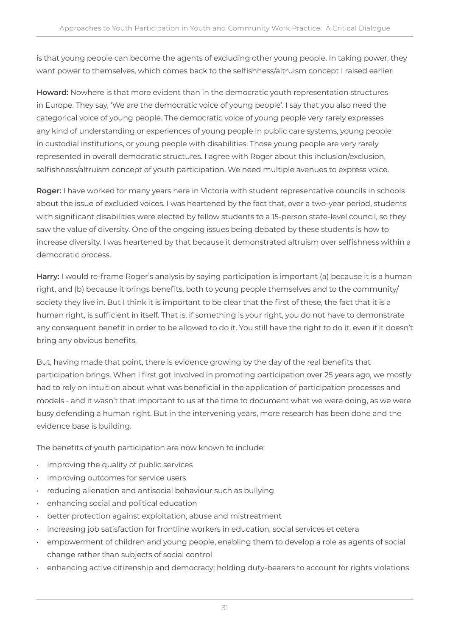is that young people can become the agents of excluding other young people. In taking power, they want power to themselves, which comes back to the selfishness/altruism concept I raised earlier.

**Howard:** Nowhere is that more evident than in the democratic youth representation structures in Europe. They say, 'We are the democratic voice of young people'. I say that you also need the categorical voice of young people. The democratic voice of young people very rarely expresses any kind of understanding or experiences of young people in public care systems, young people in custodial institutions, or young people with disabilities. Those young people are very rarely represented in overall democratic structures. I agree with Roger about this inclusion/exclusion, selfishness/altruism concept of youth participation. We need multiple avenues to express voice.

**Roger:** I have worked for many years here in Victoria with student representative councils in schools about the issue of excluded voices. I was heartened by the fact that, over a two-year period, students with significant disabilities were elected by fellow students to a 15-person state-level council, so they saw the value of diversity. One of the ongoing issues being debated by these students is how to increase diversity. I was heartened by that because it demonstrated altruism over selfishness within a democratic process.

**Harry:** I would re-frame Roger's analysis by saying participation is important (a) because it is a human right, and (b) because it brings benefits, both to young people themselves and to the community/ society they live in. But I think it is important to be clear that the first of these, the fact that it is a human right, is sufficient in itself. That is, if something is your right, you do not have to demonstrate any consequent benefit in order to be allowed to do it. You still have the right to do it, even if it doesn't bring any obvious benefits.

But, having made that point, there is evidence growing by the day of the real benefits that participation brings. When I first got involved in promoting participation over 25 years ago, we mostly had to rely on intuition about what was beneficial in the application of participation processes and models - and it wasn't that important to us at the time to document what we were doing, as we were busy defending a human right. But in the intervening years, more research has been done and the evidence base is building.

The benefits of youth participation are now known to include:

- improving the quality of public services
- improving outcomes for service users
- reducing alienation and antisocial behaviour such as bullying
- enhancing social and political education
- better protection against exploitation, abuse and mistreatment
- increasing job satisfaction for frontline workers in education, social services et cetera
- empowerment of children and young people, enabling them to develop a role as agents of social change rather than subjects of social control
- enhancing active citizenship and democracy; holding duty-bearers to account for rights violations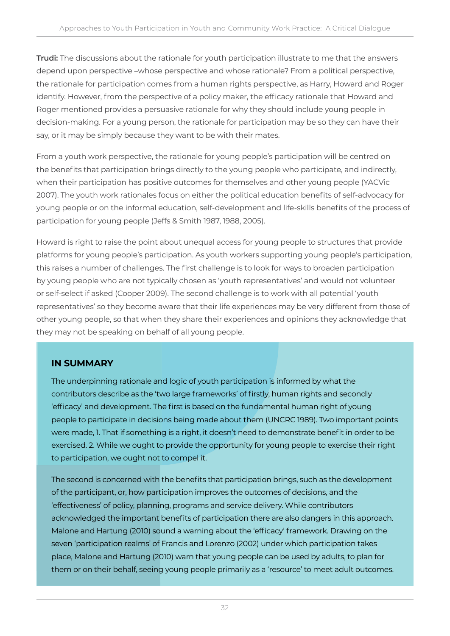**Trudi:** The discussions about the rationale for youth participation illustrate to me that the answers depend upon perspective –whose perspective and whose rationale? From a political perspective, the rationale for participation comes from a human rights perspective, as Harry, Howard and Roger identify. However, from the perspective of a policy maker, the efficacy rationale that Howard and Roger mentioned provides a persuasive rationale for why they should include young people in decision-making. For a young person, the rationale for participation may be so they can have their say, or it may be simply because they want to be with their mates.

From a youth work perspective, the rationale for young people's participation will be centred on the benefits that participation brings directly to the young people who participate, and indirectly, when their participation has positive outcomes for themselves and other young people (YACVic 2007). The youth work rationales focus on either the political education benefits of self-advocacy for young people or on the informal education, self-development and life-skills benefits of the process of participation for young people (Jeffs & Smith 1987, 1988, 2005).

Howard is right to raise the point about unequal access for young people to structures that provide platforms for young people's participation. As youth workers supporting young people's participation, this raises a number of challenges. The first challenge is to look for ways to broaden participation by young people who are not typically chosen as 'youth representatives' and would not volunteer or self-select if asked (Cooper 2009). The second challenge is to work with all potential 'youth representatives' so they become aware that their life experiences may be very different from those of other young people, so that when they share their experiences and opinions they acknowledge that they may not be speaking on behalf of all young people.

### **IN SUMMARY**

The underpinning rationale and logic of youth participation is informed by what the contributors describe as the 'two large frameworks' of firstly, human rights and secondly 'efficacy' and development. The first is based on the fundamental human right of young people to participate in decisions being made about them (UNCRC 1989). Two important points were made, 1. That if something is a right, it doesn't need to demonstrate benefit in order to be exercised. 2. While we ought to provide the opportunity for young people to exercise their right to participation, we ought not to compel it.

The second is concerned with the benefits that participation brings, such as the development of the participant, or, how participation improves the outcomes of decisions, and the 'effectiveness' of policy, planning, programs and service delivery. While contributors acknowledged the important benefits of participation there are also dangers in this approach. Malone and Hartung (2010) sound a warning about the 'efficacy' framework. Drawing on the seven 'participation realms' of Francis and Lorenzo (2002) under which participation takes place, Malone and Hartung (2010) warn that young people can be used by adults, to plan for them or on their behalf, seeing young people primarily as a 'resource' to meet adult outcomes.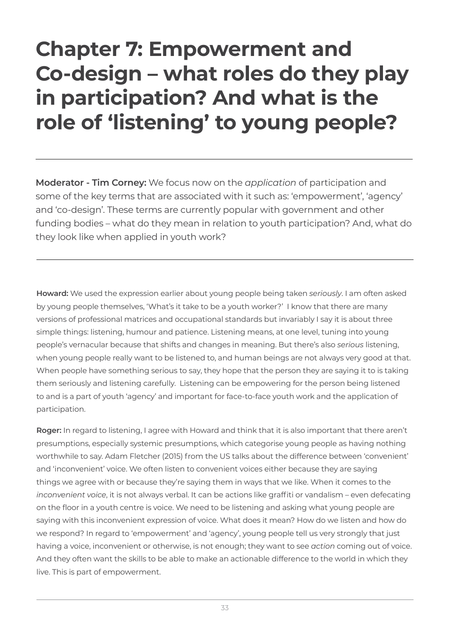## **Chapter 7: Empowerment and Co-design – what roles do they play in participation? And what is the role of 'listening' to young people?**

**Moderator - Tim Corney:** We focus now on the *application* of participation and some of the key terms that are associated with it such as: 'empowerment', 'agency' and 'co-design'. These terms are currently popular with government and other funding bodies – what do they mean in relation to youth participation? And, what do they look like when applied in youth work?

**Howard:** We used the expression earlier about young people being taken *seriously*. I am often asked by young people themselves, 'What's it take to be a youth worker?' I know that there are many versions of professional matrices and occupational standards but invariably I say it is about three simple things: listening, humour and patience. Listening means, at one level, tuning into young people's vernacular because that shifts and changes in meaning. But there's also *serious* listening, when young people really want to be listened to, and human beings are not always very good at that. When people have something serious to say, they hope that the person they are saying it to is taking them seriously and listening carefully. Listening can be empowering for the person being listened to and is a part of youth 'agency' and important for face-to-face youth work and the application of participation.

**Roger:** In regard to listening, I agree with Howard and think that it is also important that there aren't presumptions, especially systemic presumptions, which categorise young people as having nothing worthwhile to say. Adam Fletcher (2015) from the US talks about the difference between 'convenient' and 'inconvenient' voice. We often listen to convenient voices either because they are saying things we agree with or because they're saying them in ways that we like. When it comes to the *inconvenient voice*, it is not always verbal. It can be actions like graffiti or vandalism – even defecating on the floor in a youth centre is voice. We need to be listening and asking what young people are saying with this inconvenient expression of voice. What does it mean? How do we listen and how do we respond? In regard to 'empowerment' and 'agency', young people tell us very strongly that just having a voice, inconvenient or otherwise, is not enough; they want to see *action* coming out of voice. And they often want the skills to be able to make an actionable difference to the world in which they live. This is part of empowerment.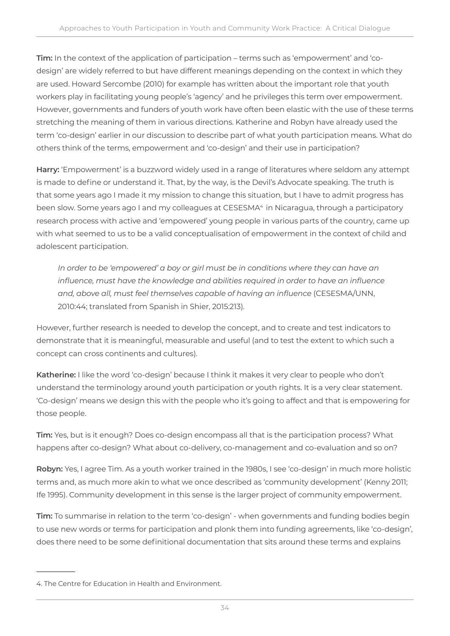**Tim:** In the context of the application of participation – terms such as 'empowerment' and 'codesign' are widely referred to but have different meanings depending on the context in which they are used. Howard Sercombe (2010) for example has written about the important role that youth workers play in facilitating young people's 'agency' and he privileges this term over empowerment. However, governments and funders of youth work have often been elastic with the use of these terms stretching the meaning of them in various directions. Katherine and Robyn have already used the term 'co-design' earlier in our discussion to describe part of what youth participation means. What do others think of the terms, empowerment and 'co-design' and their use in participation?

**Harry:** 'Empowerment' is a buzzword widely used in a range of literatures where seldom any attempt is made to define or understand it. That, by the way, is the Devil's Advocate speaking. The truth is that some years ago I made it my mission to change this situation, but I have to admit progress has been slow. Some years ago I and my colleagues at CESESMA<sup>4</sup> in Nicaragua, through a participatory research process with active and 'empowered' young people in various parts of the country, came up with what seemed to us to be a valid conceptualisation of empowerment in the context of child and adolescent participation.

In order to be 'empowered' a boy or girl must be in conditions where they can have an *influence, must have the knowledge and abilities required in order to have an influence and, above all, must feel themselves capable of having an influence* (CESESMA/UNN, 2010:44; translated from Spanish in Shier, 2015:213).

However, further research is needed to develop the concept, and to create and test indicators to demonstrate that it is meaningful, measurable and useful (and to test the extent to which such a concept can cross continents and cultures).

**Katherine:** I like the word 'co-design' because I think it makes it very clear to people who don't understand the terminology around youth participation or youth rights. It is a very clear statement. 'Co-design' means we design this with the people who it's going to affect and that is empowering for those people.

**Tim:** Yes, but is it enough? Does co-design encompass all that is the participation process? What happens after co-design? What about co-delivery, co-management and co-evaluation and so on?

**Robyn:** Yes, I agree Tim. As a youth worker trained in the 1980s, I see 'co-design' in much more holistic terms and, as much more akin to what we once described as 'community development' (Kenny 2011; Ife 1995). Community development in this sense is the larger project of community empowerment.

**Tim:** To summarise in relation to the term 'co-design' - when governments and funding bodies begin to use new words or terms for participation and plonk them into funding agreements, like 'co-design', does there need to be some definitional documentation that sits around these terms and explains

<sup>4.</sup> The Centre for Education in Health and Environment.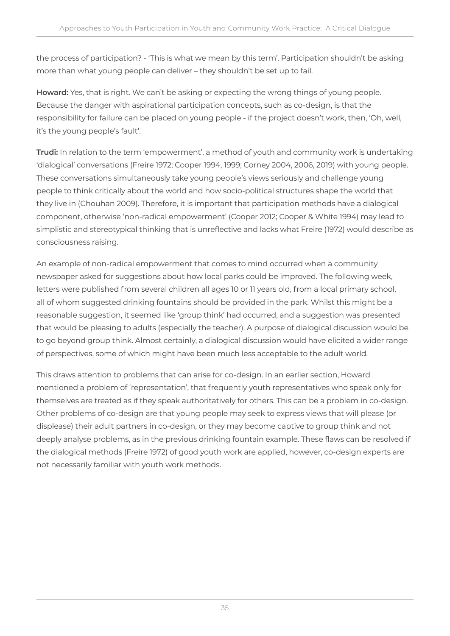the process of participation? - 'This is what we mean by this term'. Participation shouldn't be asking more than what young people can deliver – they shouldn't be set up to fail.

**Howard:** Yes, that is right. We can't be asking or expecting the wrong things of young people. Because the danger with aspirational participation concepts, such as co-design, is that the responsibility for failure can be placed on young people - if the project doesn't work, then, 'Oh, well, it's the young people's fault'.

**Trudi:** In relation to the term 'empowerment', a method of youth and community work is undertaking 'dialogical' conversations (Freire 1972; Cooper 1994, 1999; Corney 2004, 2006, 2019) with young people. These conversations simultaneously take young people's views seriously and challenge young people to think critically about the world and how socio-political structures shape the world that they live in (Chouhan 2009). Therefore, it is important that participation methods have a dialogical component, otherwise 'non-radical empowerment' (Cooper 2012; Cooper & White 1994) may lead to simplistic and stereotypical thinking that is unreflective and lacks what Freire (1972) would describe as consciousness raising.

An example of non-radical empowerment that comes to mind occurred when a community newspaper asked for suggestions about how local parks could be improved. The following week, letters were published from several children all ages 10 or 11 years old, from a local primary school, all of whom suggested drinking fountains should be provided in the park. Whilst this might be a reasonable suggestion, it seemed like 'group think' had occurred, and a suggestion was presented that would be pleasing to adults (especially the teacher). A purpose of dialogical discussion would be to go beyond group think. Almost certainly, a dialogical discussion would have elicited a wider range of perspectives, some of which might have been much less acceptable to the adult world.

This draws attention to problems that can arise for co-design. In an earlier section, Howard mentioned a problem of 'representation', that frequently youth representatives who speak only for themselves are treated as if they speak authoritatively for others. This can be a problem in co-design. Other problems of co-design are that young people may seek to express views that will please (or displease) their adult partners in co-design, or they may become captive to group think and not deeply analyse problems, as in the previous drinking fountain example. These flaws can be resolved if the dialogical methods (Freire 1972) of good youth work are applied, however, co-design experts are not necessarily familiar with youth work methods.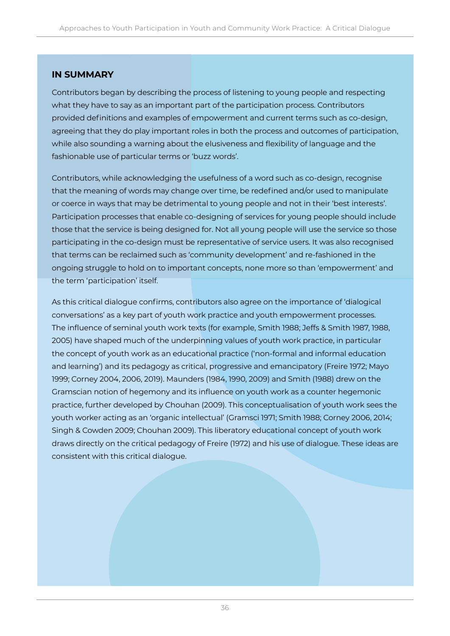#### **IN SUMMARY**

Contributors began by describing the process of listening to young people and respecting what they have to say as an important part of the participation process. Contributors provided definitions and examples of empowerment and current terms such as co-design, agreeing that they do play important roles in both the process and outcomes of participation, while also sounding a warning about the elusiveness and flexibility of language and the fashionable use of particular terms or 'buzz words'.

Contributors, while acknowledging the usefulness of a word such as co-design, recognise that the meaning of words may change over time, be redefined and/or used to manipulate or coerce in ways that may be detrimental to young people and not in their 'best interests'. Participation processes that enable co-designing of services for young people should include those that the service is being designed for. Not all young people will use the service so those participating in the co-design must be representative of service users. It was also recognised that terms can be reclaimed such as 'community development' and re-fashioned in the ongoing struggle to hold on to important concepts, none more so than 'empowerment' and the term 'participation' itself.

As this critical dialogue confirms, contributors also agree on the importance of 'dialogical conversations' as a key part of youth work practice and youth empowerment processes. The influence of seminal youth work texts (for example, Smith 1988; Jeffs & Smith 1987, 1988, 2005) have shaped much of the underpinning values of youth work practice, in particular the concept of youth work as an educational practice ('non-formal and informal education and learning') and its pedagogy as critical, progressive and emancipatory (Freire 1972; Mayo 1999; Corney 2004, 2006, 2019). Maunders (1984, 1990, 2009) and Smith (1988) drew on the Gramscian notion of hegemony and its influence on youth work as a counter hegemonic practice, further developed by Chouhan (2009). This conceptualisation of youth work sees the youth worker acting as an 'organic intellectual' (Gramsci 1971; Smith 1988; Corney 2006, 2014; Singh & Cowden 2009; Chouhan 2009). This liberatory educational concept of youth work draws directly on the critical pedagogy of Freire (1972) and his use of dialogue. These ideas are consistent with this critical dialogue.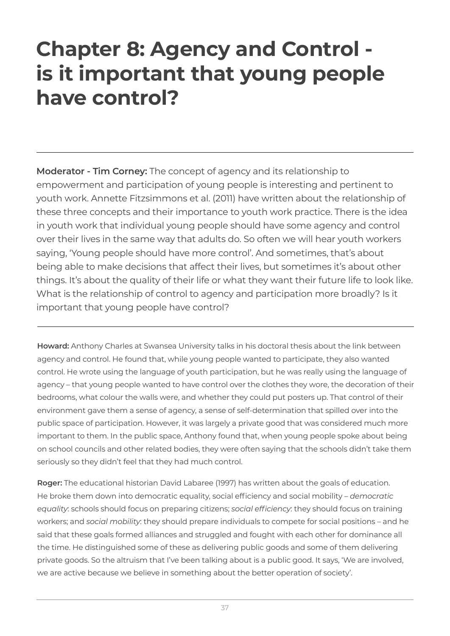### **Chapter 8: Agency and Control is it important that young people have control?**

**Moderator - Tim Corney:** The concept of agency and its relationship to empowerment and participation of young people is interesting and pertinent to youth work. Annette Fitzsimmons et al. (2011) have written about the relationship of these three concepts and their importance to youth work practice. There is the idea in youth work that individual young people should have some agency and control over their lives in the same way that adults do. So often we will hear youth workers saying, 'Young people should have more control'. And sometimes, that's about being able to make decisions that affect their lives, but sometimes it's about other things. It's about the quality of their life or what they want their future life to look like. What is the relationship of control to agency and participation more broadly? Is it important that young people have control?

**Howard:** Anthony Charles at Swansea University talks in his doctoral thesis about the link between agency and control. He found that, while young people wanted to participate, they also wanted control. He wrote using the language of youth participation, but he was really using the language of agency – that young people wanted to have control over the clothes they wore, the decoration of their bedrooms, what colour the walls were, and whether they could put posters up. That control of their environment gave them a sense of agency, a sense of self-determination that spilled over into the public space of participation. However, it was largely a private good that was considered much more important to them. In the public space, Anthony found that, when young people spoke about being on school councils and other related bodies, they were often saying that the schools didn't take them seriously so they didn't feel that they had much control.

**Roger:** The educational historian David Labaree (1997) has written about the goals of education. He broke them down into democratic equality, social efficiency and social mobility – *democratic equality*: schools should focus on preparing citizens; *social efficiency*: they should focus on training workers; and *social mobility*: they should prepare individuals to compete for social positions – and he said that these goals formed alliances and struggled and fought with each other for dominance all the time. He distinguished some of these as delivering public goods and some of them delivering private goods. So the altruism that I've been talking about is a public good. It says, 'We are involved, we are active because we believe in something about the better operation of society'.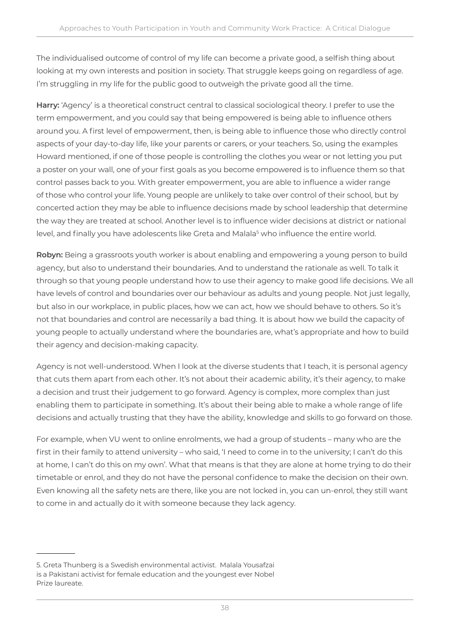The individualised outcome of control of my life can become a private good, a selfish thing about looking at my own interests and position in society. That struggle keeps going on regardless of age. I'm struggling in my life for the public good to outweigh the private good all the time.

**Harry:** 'Agency' is a theoretical construct central to classical sociological theory. I prefer to use the term empowerment, and you could say that being empowered is being able to influence others around you. A first level of empowerment, then, is being able to influence those who directly control aspects of your day-to-day life, like your parents or carers, or your teachers. So, using the examples Howard mentioned, if one of those people is controlling the clothes you wear or not letting you put a poster on your wall, one of your first goals as you become empowered is to influence them so that control passes back to you. With greater empowerment, you are able to influence a wider range of those who control your life. Young people are unlikely to take over control of their school, but by concerted action they may be able to influence decisions made by school leadership that determine the way they are treated at school. Another level is to influence wider decisions at district or national level, and finally you have adolescents like Greta and Malala<sup>s</sup> who influence the entire world.

**Robyn:** Being a grassroots youth worker is about enabling and empowering a young person to build agency, but also to understand their boundaries. And to understand the rationale as well. To talk it through so that young people understand how to use their agency to make good life decisions. We all have levels of control and boundaries over our behaviour as adults and young people. Not just legally, but also in our workplace, in public places, how we can act, how we should behave to others. So it's not that boundaries and control are necessarily a bad thing. It is about how we build the capacity of young people to actually understand where the boundaries are, what's appropriate and how to build their agency and decision-making capacity.

Agency is not well-understood. When I look at the diverse students that I teach, it is personal agency that cuts them apart from each other. It's not about their academic ability, it's their agency, to make a decision and trust their judgement to go forward. Agency is complex, more complex than just enabling them to participate in something. It's about their being able to make a whole range of life decisions and actually trusting that they have the ability, knowledge and skills to go forward on those.

For example, when VU went to online enrolments, we had a group of students – many who are the first in their family to attend university – who said, 'I need to come in to the university; I can't do this at home, I can't do this on my own'. What that means is that they are alone at home trying to do their timetable or enrol, and they do not have the personal confidence to make the decision on their own. Even knowing all the safety nets are there, like you are not locked in, you can un-enrol, they still want to come in and actually do it with someone because they lack agency.

<sup>5.</sup> Greta Thunberg is a Swedish environmental activist. Malala Yousafzai is a Pakistani activist for female education and the youngest ever Nobel Prize laureate.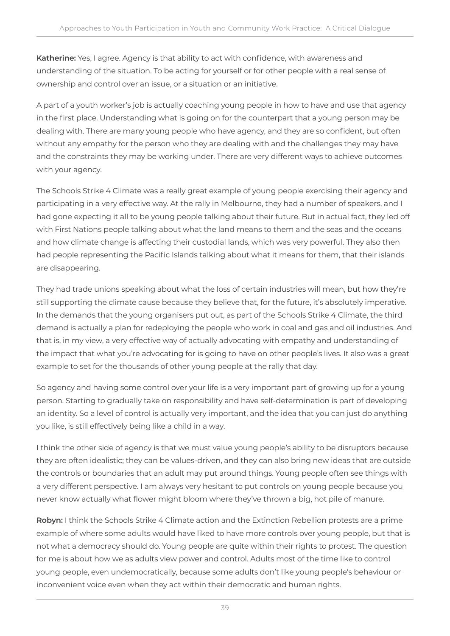**Katherine:** Yes, I agree. Agency is that ability to act with confidence, with awareness and understanding of the situation. To be acting for yourself or for other people with a real sense of ownership and control over an issue, or a situation or an initiative.

A part of a youth worker's job is actually coaching young people in how to have and use that agency in the first place. Understanding what is going on for the counterpart that a young person may be dealing with. There are many young people who have agency, and they are so confident, but often without any empathy for the person who they are dealing with and the challenges they may have and the constraints they may be working under. There are very different ways to achieve outcomes with your agency.

The Schools Strike 4 Climate was a really great example of young people exercising their agency and participating in a very effective way. At the rally in Melbourne, they had a number of speakers, and I had gone expecting it all to be young people talking about their future. But in actual fact, they led off with First Nations people talking about what the land means to them and the seas and the oceans and how climate change is affecting their custodial lands, which was very powerful. They also then had people representing the Pacific Islands talking about what it means for them, that their islands are disappearing.

They had trade unions speaking about what the loss of certain industries will mean, but how they're still supporting the climate cause because they believe that, for the future, it's absolutely imperative. In the demands that the young organisers put out, as part of the Schools Strike 4 Climate, the third demand is actually a plan for redeploying the people who work in coal and gas and oil industries. And that is, in my view, a very effective way of actually advocating with empathy and understanding of the impact that what you're advocating for is going to have on other people's lives. It also was a great example to set for the thousands of other young people at the rally that day.

So agency and having some control over your life is a very important part of growing up for a young person. Starting to gradually take on responsibility and have self-determination is part of developing an identity. So a level of control is actually very important, and the idea that you can just do anything you like, is still effectively being like a child in a way.

I think the other side of agency is that we must value young people's ability to be disruptors because they are often idealistic; they can be values-driven, and they can also bring new ideas that are outside the controls or boundaries that an adult may put around things. Young people often see things with a very different perspective. I am always very hesitant to put controls on young people because you never know actually what flower might bloom where they've thrown a big, hot pile of manure.

**Robyn:** I think the Schools Strike 4 Climate action and the Extinction Rebellion protests are a prime example of where some adults would have liked to have more controls over young people, but that is not what a democracy should do. Young people are quite within their rights to protest. The question for me is about how we as adults view power and control. Adults most of the time like to control young people, even undemocratically, because some adults don't like young people's behaviour or inconvenient voice even when they act within their democratic and human rights.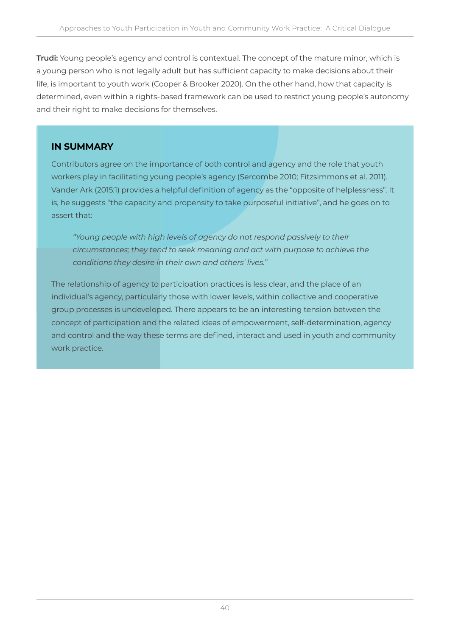**Trudi:** Young people's agency and control is contextual. The concept of the mature minor, which is a young person who is not legally adult but has sufficient capacity to make decisions about their life, is important to youth work (Cooper & Brooker 2020). On the other hand, how that capacity is determined, even within a rights-based framework can be used to restrict young people's autonomy and their right to make decisions for themselves.

#### **IN SUMMARY**

Contributors agree on the importance of both control and agency and the role that youth workers play in facilitating young people's agency (Sercombe 2010; Fitzsimmons et al. 2011). Vander Ark (2015:1) provides a helpful definition of agency as the "opposite of helplessness". It is, he suggests "the capacity and propensity to take purposeful initiative", and he goes on to assert that:

*"Young people with high levels of agency do not respond passively to their circumstances; they tend to seek meaning and act with purpose to achieve the conditions they desire in their own and others' lives."* 

The relationship of agency to participation practices is less clear, and the place of an individual's agency, particularly those with lower levels, within collective and cooperative group processes is undeveloped. There appears to be an interesting tension between the concept of participation and the related ideas of empowerment, self-determination, agency and control and the way these terms are defined, interact and used in youth and community work practice.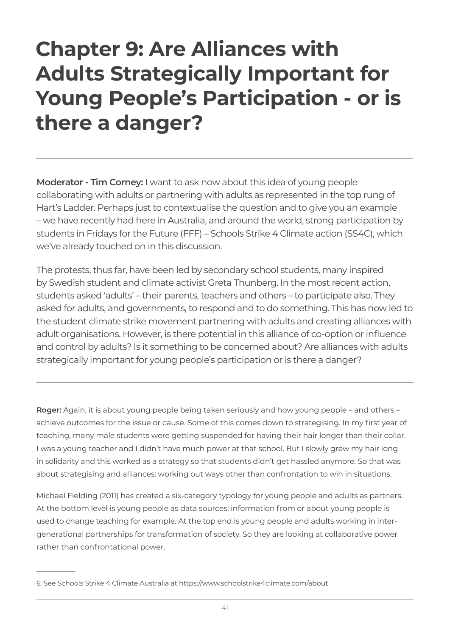### **Chapter 9: Are Alliances with Adults Strategically Important for Young People's Participation - or is there a danger?**

**Moderator - Tim Corney:** I want to ask now about this idea of young people collaborating with adults or partnering with adults as represented in the top rung of Hart's Ladder. Perhaps just to contextualise the question and to give you an example – we have recently had here in Australia, and around the world, strong participation by students in Fridays for the Future (FFF) – Schools Strike 4 Climate action (SS4C), which we've already touched on in this discussion.

The protests, thus far, have been led by secondary school students, many inspired by Swedish student and climate activist Greta Thunberg. In the most recent action, students asked 'adults' – their parents, teachers and others – to participate also. They asked for adults, and governments, to respond and to do something. This has now led to the student climate strike movement partnering with adults and creating alliances with adult organisations. However, is there potential in this alliance of co-option or influence and control by adults? Is it something to be concerned about? Are alliances with adults strategically important for young people's participation or is there a danger?

**Roger:** Again, it is about young people being taken seriously and how young people – and others – achieve outcomes for the issue or cause. Some of this comes down to strategising. In my first year of teaching, many male students were getting suspended for having their hair longer than their collar. I was a young teacher and I didn't have much power at that school. But I slowly grew my hair long in solidarity and this worked as a strategy so that students didn't get hassled anymore. So that was about strategising and alliances: working out ways other than confrontation to win in situations.

Michael Fielding (2011) has created a six-category typology for young people and adults as partners. At the bottom level is young people as data sources: information from or about young people is used to change teaching for example. At the top end is young people and adults working in intergenerational partnerships for transformation of society. So they are looking at collaborative power rather than confrontational power.

<sup>6.</sup> See Schools Strike 4 Climate Australia at https://www.schoolstrike4climate.com/about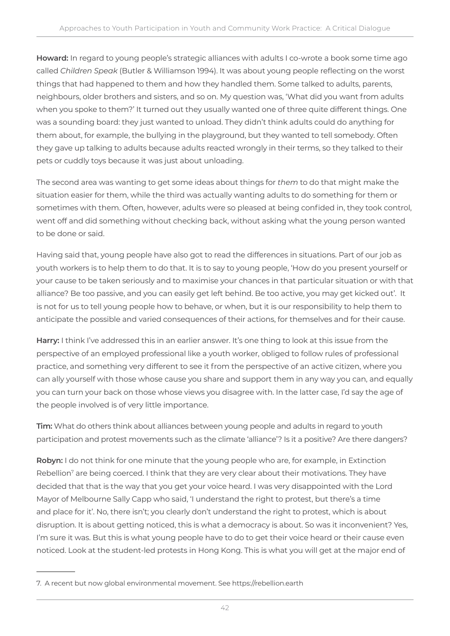**Howard:** In regard to young people's strategic alliances with adults I co-wrote a book some time ago called *Children Speak* (Butler & Williamson 1994). It was about young people reflecting on the worst things that had happened to them and how they handled them. Some talked to adults, parents, neighbours, older brothers and sisters, and so on. My question was, 'What did you want from adults when you spoke to them?' It turned out they usually wanted one of three quite different things. One was a sounding board: they just wanted to unload. They didn't think adults could do anything for them about, for example, the bullying in the playground, but they wanted to tell somebody. Often they gave up talking to adults because adults reacted wrongly in their terms, so they talked to their pets or cuddly toys because it was just about unloading.

The second area was wanting to get some ideas about things for *them* to do that might make the situation easier for them, while the third was actually wanting adults to do something for them or sometimes with them. Often, however, adults were so pleased at being confided in, they took control, went off and did something without checking back, without asking what the young person wanted to be done or said.

Having said that, young people have also got to read the differences in situations. Part of our job as youth workers is to help them to do that. It is to say to young people, 'How do you present yourself or your cause to be taken seriously and to maximise your chances in that particular situation or with that alliance? Be too passive, and you can easily get left behind. Be too active, you may get kicked out'. It is not for us to tell young people how to behave, or when, but it is our responsibility to help them to anticipate the possible and varied consequences of their actions, for themselves and for their cause.

**Harry:** I think I've addressed this in an earlier answer. It's one thing to look at this issue from the perspective of an employed professional like a youth worker, obliged to follow rules of professional practice, and something very different to see it from the perspective of an active citizen, where you can ally yourself with those whose cause you share and support them in any way you can, and equally you can turn your back on those whose views you disagree with. In the latter case, I'd say the age of the people involved is of very little importance.

**Tim:** What do others think about alliances between young people and adults in regard to youth participation and protest movements such as the climate 'alliance'? Is it a positive? Are there dangers?

**Robyn:** I do not think for one minute that the young people who are, for example, in Extinction Rebellion<sup>7</sup> are being coerced. I think that they are very clear about their motivations. They have decided that that is the way that you get your voice heard. I was very disappointed with the Lord Mayor of Melbourne Sally Capp who said, 'I understand the right to protest, but there's a time and place for it'. No, there isn't; you clearly don't understand the right to protest, which is about disruption. It is about getting noticed, this is what a democracy is about. So was it inconvenient? Yes, I'm sure it was. But this is what young people have to do to get their voice heard or their cause even noticed. Look at the student-led protests in Hong Kong. This is what you will get at the major end of

<sup>7.</sup> A recent but now global environmental movement. See https://rebellion.earth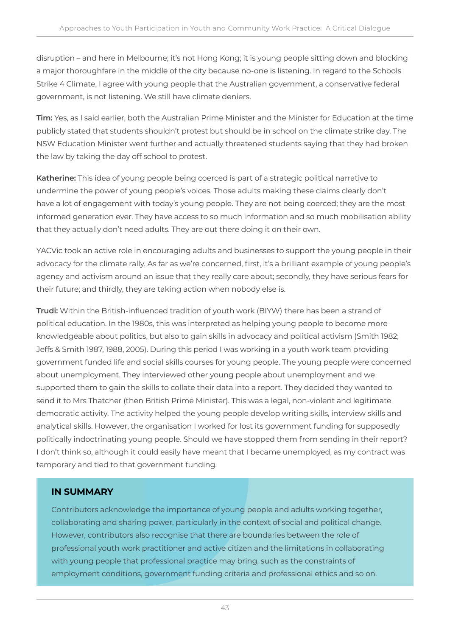disruption – and here in Melbourne; it's not Hong Kong; it is young people sitting down and blocking a major thoroughfare in the middle of the city because no-one is listening. In regard to the Schools Strike 4 Climate, I agree with young people that the Australian government, a conservative federal government, is not listening. We still have climate deniers.

**Tim:** Yes, as I said earlier, both the Australian Prime Minister and the Minister for Education at the time publicly stated that students shouldn't protest but should be in school on the climate strike day. The NSW Education Minister went further and actually threatened students saying that they had broken the law by taking the day off school to protest.

**Katherine:** This idea of young people being coerced is part of a strategic political narrative to undermine the power of young people's voices. Those adults making these claims clearly don't have a lot of engagement with today's young people. They are not being coerced; they are the most informed generation ever. They have access to so much information and so much mobilisation ability that they actually don't need adults. They are out there doing it on their own.

YACVic took an active role in encouraging adults and businesses to support the young people in their advocacy for the climate rally. As far as we're concerned, first, it's a brilliant example of young people's agency and activism around an issue that they really care about; secondly, they have serious fears for their future; and thirdly, they are taking action when nobody else is.

**Trudi:** Within the British-influenced tradition of youth work (BIYW) there has been a strand of political education. In the 1980s, this was interpreted as helping young people to become more knowledgeable about politics, but also to gain skills in advocacy and political activism (Smith 1982; Jeffs & Smith 1987, 1988, 2005). During this period I was working in a youth work team providing government funded life and social skills courses for young people. The young people were concerned about unemployment. They interviewed other young people about unemployment and we supported them to gain the skills to collate their data into a report. They decided they wanted to send it to Mrs Thatcher (then British Prime Minister). This was a legal, non-violent and legitimate democratic activity. The activity helped the young people develop writing skills, interview skills and analytical skills. However, the organisation I worked for lost its government funding for supposedly politically indoctrinating young people. Should we have stopped them from sending in their report? I don't think so, although it could easily have meant that I became unemployed, as my contract was temporary and tied to that government funding.

### **IN SUMMARY**

Contributors acknowledge the importance of young people and adults working together, collaborating and sharing power, particularly in the context of social and political change. However, contributors also recognise that there are boundaries between the role of professional youth work practitioner and active citizen and the limitations in collaborating with young people that professional practice may bring, such as the constraints of employment conditions, government funding criteria and professional ethics and so on.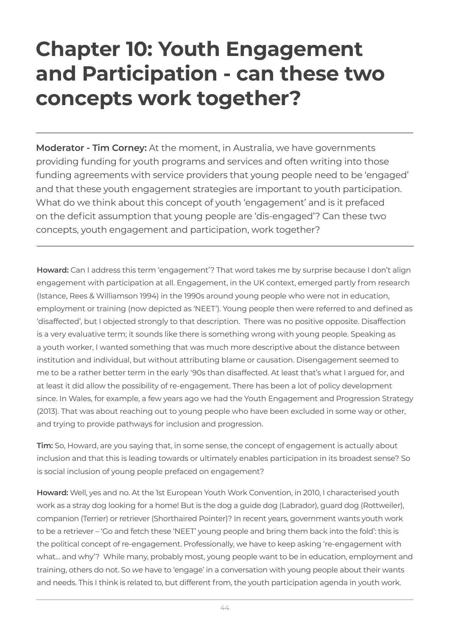### **Chapter 10: Youth Engagement and Participation - can these two concepts work together?**

**Moderator - Tim Corney:** At the moment, in Australia, we have governments providing funding for youth programs and services and often writing into those funding agreements with service providers that young people need to be 'engaged' and that these youth engagement strategies are important to youth participation. What do we think about this concept of youth 'engagement' and is it prefaced on the deficit assumption that young people are 'dis-engaged'? Can these two concepts, youth engagement and participation, work together?

**Howard:** Can I address this term 'engagement'? That word takes me by surprise because I don't align engagement with participation at all. Engagement, in the UK context, emerged partly from research (Istance, Rees & Williamson 1994) in the 1990s around young people who were not in education, employment or training (now depicted as 'NEET'). Young people then were referred to and defined as 'disaffected', but I objected strongly to that description. There was no positive opposite. Disaffection is a very evaluative term; it sounds like there is something wrong with young people. Speaking as a youth worker, I wanted something that was much more descriptive about the distance between institution and individual, but without attributing blame or causation. Disengagement seemed to me to be a rather better term in the early '90s than disaffected. At least that's what I argued for, and at least it did allow the possibility of re-engagement. There has been a lot of policy development since. In Wales, for example, a few years ago we had the Youth Engagement and Progression Strategy (2013). That was about reaching out to young people who have been excluded in some way or other, and trying to provide pathways for inclusion and progression.

**Tim:** So, Howard, are you saying that, in some sense, the concept of engagement is actually about inclusion and that this is leading towards or ultimately enables participation in its broadest sense? So is social inclusion of young people prefaced on engagement?

**Howard:** Well, yes and no. At the 1st European Youth Work Convention, in 2010, I characterised youth work as a stray dog looking for a home! But is the dog a guide dog (Labrador), guard dog (Rottweiler), companion (Terrier) or retriever (Shorthaired Pointer)? In recent years, government wants youth work to be a retriever – 'Go and fetch these 'NEET' young people and bring them back into the fold': this is the political concept of re-engagement. Professionally, we have to keep asking 're-engagement with what… and why'? While many, probably most, young people want to be in education, employment and training, others do not. So *we* have to 'engage' in a conversation with young people about their wants and needs. This I think is related to, but different from, the youth participation agenda in youth work.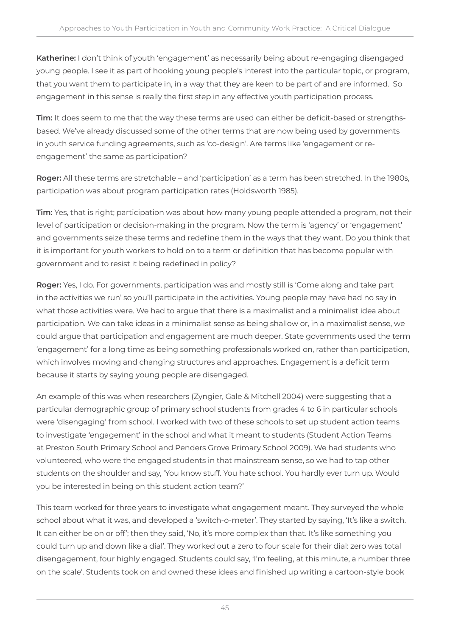**Katherine:** I don't think of youth 'engagement' as necessarily being about re-engaging disengaged young people. I see it as part of hooking young people's interest into the particular topic, or program, that you want them to participate in, in a way that they are keen to be part of and are informed. So engagement in this sense is really the first step in any effective youth participation process.

**Tim:** It does seem to me that the way these terms are used can either be deficit-based or strengthsbased. We've already discussed some of the other terms that are now being used by governments in youth service funding agreements, such as 'co-design'. Are terms like 'engagement or reengagement' the same as participation?

**Roger:** All these terms are stretchable – and 'participation' as a term has been stretched. In the 1980s, participation was about program participation rates (Holdsworth 1985).

**Tim:** Yes, that is right; participation was about how many young people attended a program, not their level of participation or decision-making in the program. Now the term is 'agency' or 'engagement' and governments seize these terms and redefine them in the ways that they want. Do you think that it is important for youth workers to hold on to a term or definition that has become popular with government and to resist it being redefined in policy?

**Roger:** Yes, I do. For governments, participation was and mostly still is 'Come along and take part in the activities we run' so you'll participate in the activities. Young people may have had no say in what those activities were. We had to argue that there is a maximalist and a minimalist idea about participation. We can take ideas in a minimalist sense as being shallow or, in a maximalist sense, we could argue that participation and engagement are much deeper. State governments used the term 'engagement' for a long time as being something professionals worked on, rather than participation, which involves moving and changing structures and approaches. Engagement is a deficit term because it starts by saying young people are disengaged.

An example of this was when researchers (Zyngier, Gale & Mitchell 2004) were suggesting that a particular demographic group of primary school students from grades 4 to 6 in particular schools were 'disengaging' from school. I worked with two of these schools to set up student action teams to investigate 'engagement' in the school and what it meant to students (Student Action Teams at Preston South Primary School and Penders Grove Primary School 2009). We had students who volunteered, who were the engaged students in that mainstream sense, so we had to tap other students on the shoulder and say, 'You know stuff. You hate school. You hardly ever turn up. Would you be interested in being on this student action team?'

This team worked for three years to investigate what engagement meant. They surveyed the whole school about what it was, and developed a 'switch-o-meter'. They started by saying, 'It's like a switch. It can either be on or off'; then they said, 'No, it's more complex than that. It's like something you could turn up and down like a dial'. They worked out a zero to four scale for their dial: zero was total disengagement, four highly engaged. Students could say, 'I'm feeling, at this minute, a number three on the scale'. Students took on and owned these ideas and finished up writing a cartoon-style book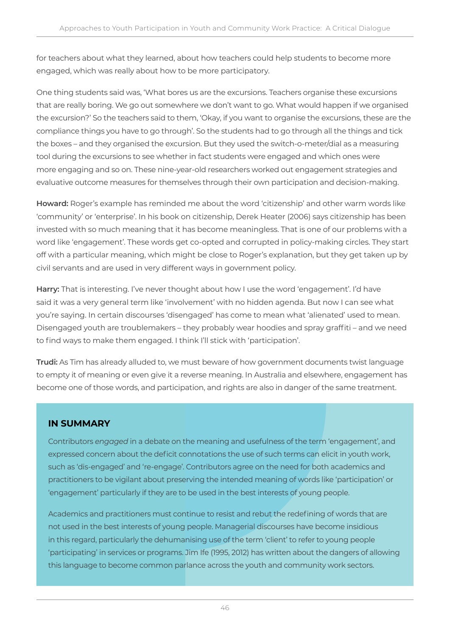for teachers about what they learned, about how teachers could help students to become more engaged, which was really about how to be more participatory.

One thing students said was, 'What bores us are the excursions. Teachers organise these excursions that are really boring. We go out somewhere we don't want to go. What would happen if we organised the excursion?' So the teachers said to them, 'Okay, if you want to organise the excursions, these are the compliance things you have to go through'. So the students had to go through all the things and tick the boxes – and they organised the excursion. But they used the switch-o-meter/dial as a measuring tool during the excursions to see whether in fact students were engaged and which ones were more engaging and so on. These nine-year-old researchers worked out engagement strategies and evaluative outcome measures for themselves through their own participation and decision-making.

**Howard:** Roger's example has reminded me about the word 'citizenship' and other warm words like 'community' or 'enterprise'. In his book on citizenship, Derek Heater (2006) says citizenship has been invested with so much meaning that it has become meaningless. That is one of our problems with a word like 'engagement'. These words get co-opted and corrupted in policy-making circles. They start off with a particular meaning, which might be close to Roger's explanation, but they get taken up by civil servants and are used in very different ways in government policy.

**Harry:** That is interesting. I've never thought about how I use the word 'engagement'. I'd have said it was a very general term like 'involvement' with no hidden agenda. But now I can see what you're saying. In certain discourses 'disengaged' has come to mean what 'alienated' used to mean. Disengaged youth are troublemakers – they probably wear hoodies and spray graffiti – and we need to find ways to make them engaged. I think I'll stick with 'participation'.

**Trudi:** As Tim has already alluded to, we must beware of how government documents twist language to empty it of meaning or even give it a reverse meaning. In Australia and elsewhere, engagement has become one of those words, and participation, and rights are also in danger of the same treatment.

#### **IN SUMMARY**

Contributors *engaged* in a debate on the meaning and usefulness of the term 'engagement', and expressed concern about the deficit connotations the use of such terms can elicit in youth work, such as 'dis-engaged' and 're-engage'. Contributors agree on the need for both academics and practitioners to be vigilant about preserving the intended meaning of words like 'participation' or 'engagement' particularly if they are to be used in the best interests of young people.

Academics and practitioners must continue to resist and rebut the redefining of words that are not used in the best interests of young people. Managerial discourses have become insidious in this regard, particularly the dehumanising use of the term 'client' to refer to young people 'participating' in services or programs. Jim Ife (1995, 2012) has written about the dangers of allowing this language to become common parlance across the youth and community work sectors.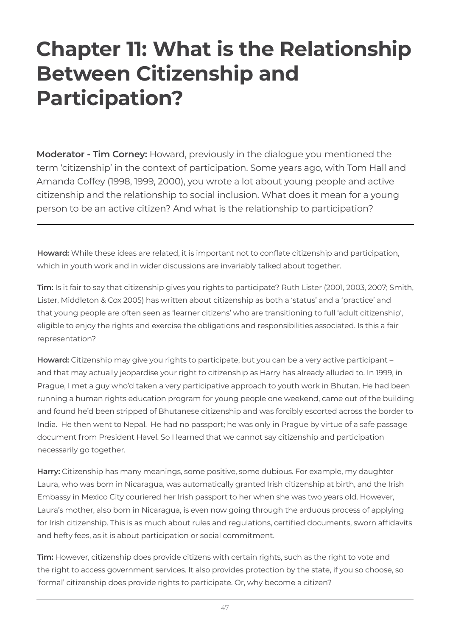### **Chapter 11: What is the Relationship Between Citizenship and Participation?**

**Moderator - Tim Corney:** Howard, previously in the dialogue you mentioned the term 'citizenship' in the context of participation. Some years ago, with Tom Hall and Amanda Coffey (1998, 1999, 2000), you wrote a lot about young people and active citizenship and the relationship to social inclusion. What does it mean for a young person to be an active citizen? And what is the relationship to participation?

**Howard:** While these ideas are related, it is important not to conflate citizenship and participation, which in youth work and in wider discussions are invariably talked about together.

**Tim:** Is it fair to say that citizenship gives you rights to participate? Ruth Lister (2001, 2003, 2007; Smith, Lister, Middleton & Cox 2005) has written about citizenship as both a 'status' and a 'practice' and that young people are often seen as 'learner citizens' who are transitioning to full 'adult citizenship', eligible to enjoy the rights and exercise the obligations and responsibilities associated. Is this a fair representation?

**Howard:** Citizenship may give you rights to participate, but you can be a very active participant – and that may actually jeopardise your right to citizenship as Harry has already alluded to. In 1999, in Prague, I met a guy who'd taken a very participative approach to youth work in Bhutan. He had been running a human rights education program for young people one weekend, came out of the building and found he'd been stripped of Bhutanese citizenship and was forcibly escorted across the border to India. He then went to Nepal. He had no passport; he was only in Prague by virtue of a safe passage document from President Havel. So I learned that we cannot say citizenship and participation necessarily go together.

**Harry:** Citizenship has many meanings, some positive, some dubious. For example, my daughter Laura, who was born in Nicaragua, was automatically granted Irish citizenship at birth, and the Irish Embassy in Mexico City couriered her Irish passport to her when she was two years old. However, Laura's mother, also born in Nicaragua, is even now going through the arduous process of applying for Irish citizenship. This is as much about rules and regulations, certified documents, sworn affidavits and hefty fees, as it is about participation or social commitment.

**Tim:** However, citizenship does provide citizens with certain rights, such as the right to vote and the right to access government services. It also provides protection by the state, if you so choose, so 'formal' citizenship does provide rights to participate. Or, why become a citizen?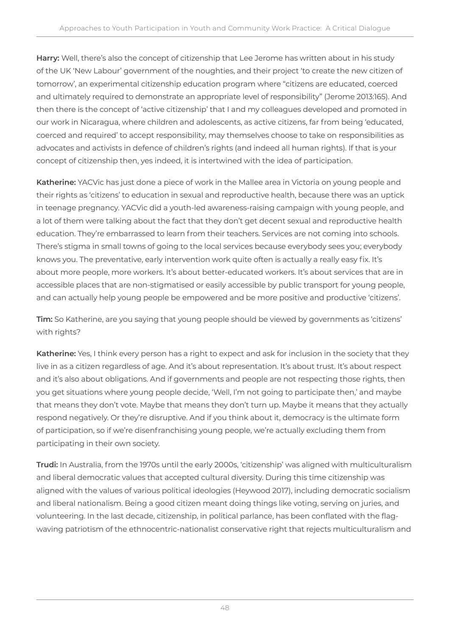**Harry:** Well, there's also the concept of citizenship that Lee Jerome has written about in his study of the UK 'New Labour' government of the noughties, and their project 'to create the new citizen of tomorrow', an experimental citizenship education program where "citizens are educated, coerced and ultimately required to demonstrate an appropriate level of responsibility" (Jerome 2013:165). And then there is the concept of 'active citizenship' that I and my colleagues developed and promoted in our work in Nicaragua, where children and adolescents, as active citizens, far from being 'educated, coerced and required' to accept responsibility, may themselves choose to take on responsibilities as advocates and activists in defence of children's rights (and indeed all human rights). If that is your concept of citizenship then, yes indeed, it is intertwined with the idea of participation.

**Katherine:** YACVic has just done a piece of work in the Mallee area in Victoria on young people and their rights as 'citizens' to education in sexual and reproductive health, because there was an uptick in teenage pregnancy. YACVic did a youth-led awareness-raising campaign with young people, and a lot of them were talking about the fact that they don't get decent sexual and reproductive health education. They're embarrassed to learn from their teachers. Services are not coming into schools. There's stigma in small towns of going to the local services because everybody sees you; everybody knows you. The preventative, early intervention work quite often is actually a really easy fix. It's about more people, more workers. It's about better-educated workers. It's about services that are in accessible places that are non-stigmatised or easily accessible by public transport for young people, and can actually help young people be empowered and be more positive and productive 'citizens'.

**Tim:** So Katherine, are you saying that young people should be viewed by governments as 'citizens' with rights?

**Katherine:** Yes, I think every person has a right to expect and ask for inclusion in the society that they live in as a citizen regardless of age. And it's about representation. It's about trust. It's about respect and it's also about obligations. And if governments and people are not respecting those rights, then you get situations where young people decide, 'Well, I'm not going to participate then,' and maybe that means they don't vote. Maybe that means they don't turn up. Maybe it means that they actually respond negatively. Or they're disruptive. And if you think about it, democracy is the ultimate form of participation, so if we're disenfranchising young people, we're actually excluding them from participating in their own society.

**Trudi:** In Australia, from the 1970s until the early 2000s, 'citizenship' was aligned with multiculturalism and liberal democratic values that accepted cultural diversity. During this time citizenship was aligned with the values of various political ideologies (Heywood 2017), including democratic socialism and liberal nationalism. Being a good citizen meant doing things like voting, serving on juries, and volunteering. In the last decade, citizenship, in political parlance, has been conflated with the flagwaving patriotism of the ethnocentric-nationalist conservative right that rejects multiculturalism and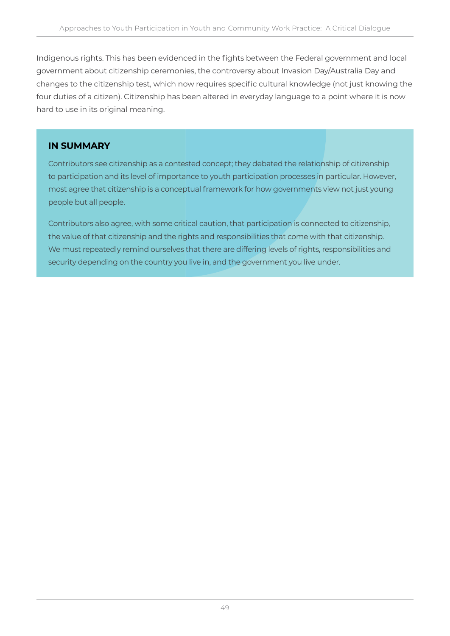Indigenous rights. This has been evidenced in the fights between the Federal government and local government about citizenship ceremonies, the controversy about Invasion Day/Australia Day and changes to the citizenship test, which now requires specific cultural knowledge (not just knowing the four duties of a citizen). Citizenship has been altered in everyday language to a point where it is now hard to use in its original meaning.

#### **IN SUMMARY**

Contributors see citizenship as a contested concept; they debated the relationship of citizenship to participation and its level of importance to youth participation processes in particular. However, most agree that citizenship is a conceptual framework for how governments view not just young people but all people.

Contributors also agree, with some critical caution, that participation is connected to citizenship, the value of that citizenship and the rights and responsibilities that come with that citizenship. We must repeatedly remind ourselves that there are differing levels of rights, responsibilities and security depending on the country you live in, and the government you live under.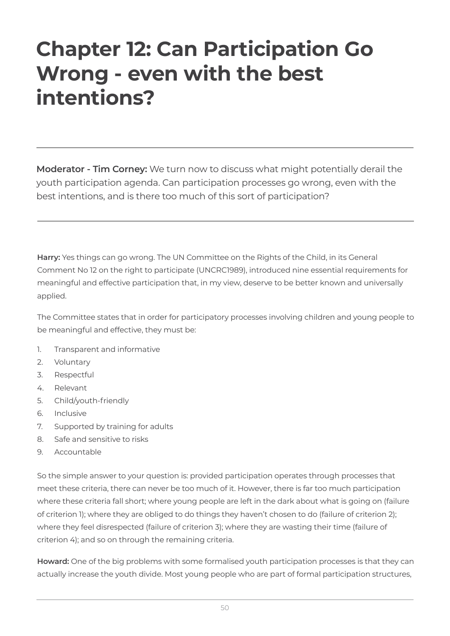### **Chapter 12: Can Participation Go Wrong - even with the best intentions?**

**Moderator - Tim Corney:** We turn now to discuss what might potentially derail the youth participation agenda. Can participation processes go wrong, even with the best intentions, and is there too much of this sort of participation?

**Harry:** Yes things can go wrong. The UN Committee on the Rights of the Child, in its General Comment No 12 on the right to participate (UNCRC1989), introduced nine essential requirements for meaningful and effective participation that, in my view, deserve to be better known and universally applied.

The Committee states that in order for participatory processes involving children and young people to be meaningful and effective, they must be:

- 1. Transparent and informative
- 2. Voluntary
- 3. Respectful
- 4. Relevant
- 5. Child/youth-friendly
- 6. Inclusive
- 7. Supported by training for adults
- 8. Safe and sensitive to risks
- 9. Accountable

So the simple answer to your question is: provided participation operates through processes that meet these criteria, there can never be too much of it. However, there is far too much participation where these criteria fall short; where young people are left in the dark about what is going on (failure of criterion 1); where they are obliged to do things they haven't chosen to do (failure of criterion 2); where they feel disrespected (failure of criterion 3); where they are wasting their time (failure of criterion 4); and so on through the remaining criteria.

**Howard:** One of the big problems with some formalised youth participation processes is that they can actually increase the youth divide. Most young people who are part of formal participation structures,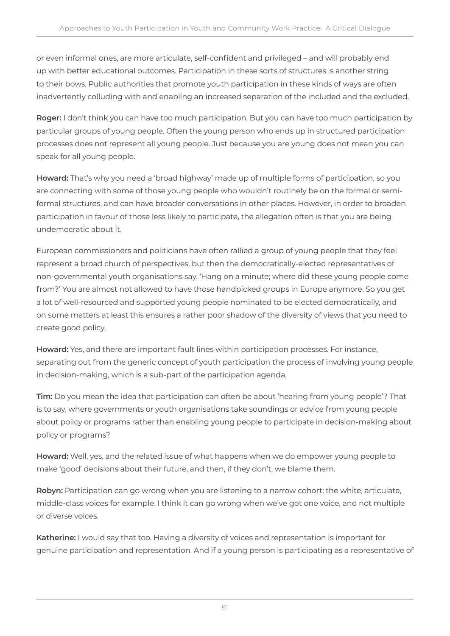or even informal ones, are more articulate, self-confident and privileged – and will probably end up with better educational outcomes. Participation in these sorts of structures is another string to their bows. Public authorities that promote youth participation in these kinds of ways are often inadvertently colluding with and enabling an increased separation of the included and the excluded.

**Roger:** I don't think you can have too much participation. But you can have too much participation by particular groups of young people. Often the young person who ends up in structured participation processes does not represent all young people. Just because you are young does not mean you can speak for all young people.

**Howard:** That's why you need a 'broad highway' made up of multiple forms of participation, so you are connecting with some of those young people who wouldn't routinely be on the formal or semiformal structures, and can have broader conversations in other places. However, in order to broaden participation in favour of those less likely to participate, the allegation often is that you are being undemocratic about it.

European commissioners and politicians have often rallied a group of young people that they feel represent a broad church of perspectives, but then the democratically-elected representatives of non-governmental youth organisations say, 'Hang on a minute; where did these young people come from?' You are almost not allowed to have those handpicked groups in Europe anymore. So you get a lot of well-resourced and supported young people nominated to be elected democratically, and on some matters at least this ensures a rather poor shadow of the diversity of views that you need to create good policy.

**Howard:** Yes, and there are important fault lines within participation processes. For instance, separating out from the generic concept of youth participation the process of involving young people in decision-making, which is a sub-part of the participation agenda.

**Tim:** Do you mean the idea that participation can often be about 'hearing from young people'? That is to say, where governments or youth organisations take soundings or advice from young people about policy or programs rather than enabling young people to participate in decision-making about policy or programs?

**Howard:** Well, yes, and the related issue of what happens when we do empower young people to make 'good' decisions about their future, and then, if they don't, we blame them.

**Robyn:** Participation can go wrong when you are listening to a narrow cohort: the white, articulate, middle-class voices for example. I think it can go wrong when we've got one voice, and not multiple or diverse voices.

**Katherine:** I would say that too. Having a diversity of voices and representation is important for genuine participation and representation. And if a young person is participating as a representative of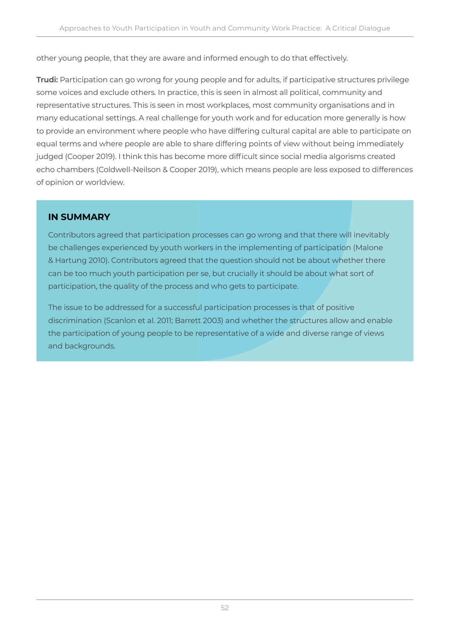other young people, that they are aware and informed enough to do that effectively.

**Trudi:** Participation can go wrong for young people and for adults, if participative structures privilege some voices and exclude others. In practice, this is seen in almost all political, community and representative structures. This is seen in most workplaces, most community organisations and in many educational settings. A real challenge for youth work and for education more generally is how to provide an environment where people who have differing cultural capital are able to participate on equal terms and where people are able to share differing points of view without being immediately judged (Cooper 2019). I think this has become more difficult since social media algorisms created echo chambers (Coldwell-Neilson & Cooper 2019), which means people are less exposed to differences of opinion or worldview.

#### **IN SUMMARY**

Contributors agreed that participation processes can go wrong and that there will inevitably be challenges experienced by youth workers in the implementing of participation (Malone & Hartung 2010). Contributors agreed that the question should not be about whether there can be too much youth participation per se, but crucially it should be about what sort of participation, the quality of the process and who gets to participate.

The issue to be addressed for a successful participation processes is that of positive discrimination (Scanlon et al. 2011; Barrett 2003) and whether the structures allow and enable the participation of young people to be representative of a wide and diverse range of views and backgrounds.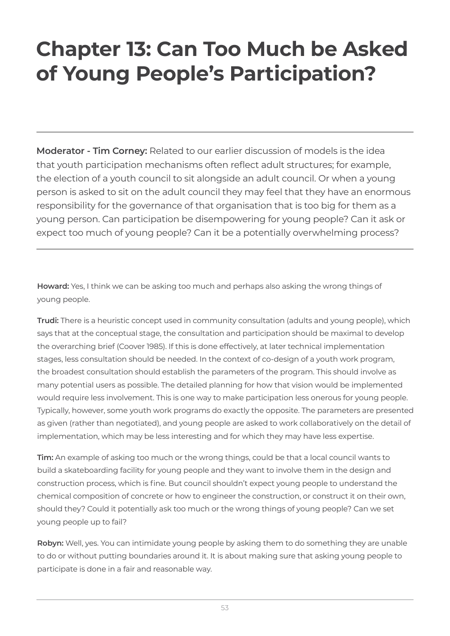## **Chapter 13: Can Too Much be Asked of Young People's Participation?**

**Moderator - Tim Corney:** Related to our earlier discussion of models is the idea that youth participation mechanisms often reflect adult structures; for example, the election of a youth council to sit alongside an adult council. Or when a young person is asked to sit on the adult council they may feel that they have an enormous responsibility for the governance of that organisation that is too big for them as a young person. Can participation be disempowering for young people? Can it ask or expect too much of young people? Can it be a potentially overwhelming process?

**Howard:** Yes, I think we can be asking too much and perhaps also asking the wrong things of young people.

**Trudi:** There is a heuristic concept used in community consultation (adults and young people), which says that at the conceptual stage, the consultation and participation should be maximal to develop the overarching brief (Coover 1985). If this is done effectively, at later technical implementation stages, less consultation should be needed. In the context of co-design of a youth work program, the broadest consultation should establish the parameters of the program. This should involve as many potential users as possible. The detailed planning for how that vision would be implemented would require less involvement. This is one way to make participation less onerous for young people. Typically, however, some youth work programs do exactly the opposite. The parameters are presented as given (rather than negotiated), and young people are asked to work collaboratively on the detail of implementation, which may be less interesting and for which they may have less expertise.

**Tim:** An example of asking too much or the wrong things, could be that a local council wants to build a skateboarding facility for young people and they want to involve them in the design and construction process, which is fine. But council shouldn't expect young people to understand the chemical composition of concrete or how to engineer the construction, or construct it on their own, should they? Could it potentially ask too much or the wrong things of young people? Can we set young people up to fail?

**Robyn:** Well, yes. You can intimidate young people by asking them to do something they are unable to do or without putting boundaries around it. It is about making sure that asking young people to participate is done in a fair and reasonable way.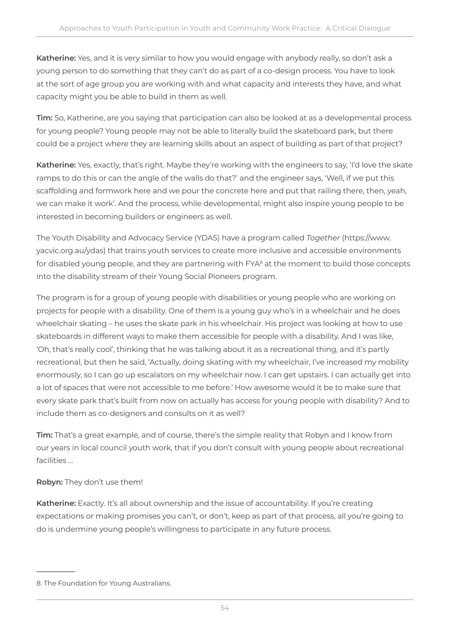**Katherine:** Yes, and it is very similar to how you would engage with anybody really, so don't ask a young person to do something that they can't do as part of a co-design process. You have to look at the sort of age group you are working with and what capacity and interests they have, and what capacity might you be able to build in them as well.

**Tim:** So, Katherine, are you saying that participation can also be looked at as a developmental process for young people? Young people may not be able to literally build the skateboard park, but there could be a project where they are learning skills about an aspect of building as part of that project?

**Katherine:** Yes, exactly, that's right. Maybe they're working with the engineers to say, 'I'd love the skate ramps to do this or can the angle of the walls do that?' and the engineer says, 'Well, if we put this scaffolding and formwork here and we pour the concrete here and put that railing there, then, yeah, we can make it work'. And the process, while developmental, might also inspire young people to be interested in becoming builders or engineers as well.

The Youth Disability and Advocacy Service (YDAS) have a program called *Together* (https://www. yacvic.org.au/ydas) that trains youth services to create more inclusive and accessible environments for disabled young people, and they are partnering with FYA<sup>8</sup> at the moment to build those concepts into the disability stream of their Young Social Pioneers program.

The program is for a group of young people with disabilities or young people who are working on projects for people with a disability. One of them is a young guy who's in a wheelchair and he does wheelchair skating – he uses the skate park in his wheelchair. His project was looking at how to use skateboards in different ways to make them accessible for people with a disability. And I was like, 'Oh, that's really cool', thinking that he was talking about it as a recreational thing, and it's partly recreational, but then he said, 'Actually, doing skating with my wheelchair, I've increased my mobility enormously, so I can go up escalators on my wheelchair now. I can get upstairs. I can actually get into a lot of spaces that were not accessible to me before.' How awesome would it be to make sure that every skate park that's built from now on actually has access for young people with disability? And to include them as co-designers and consults on it as well?

**Tim:** That's a great example, and of course, there's the simple reality that Robyn and I know from our years in local council youth work, that if you don't consult with young people about recreational facilities …

#### **Robyn:** They don't use them!

**Katherine:** Exactly. It's all about ownership and the issue of accountability. If you're creating expectations or making promises you can't, or don't, keep as part of that process, all you're going to do is undermine young people's willingness to participate in any future process.

<sup>8.</sup> The Foundation for Young Australians.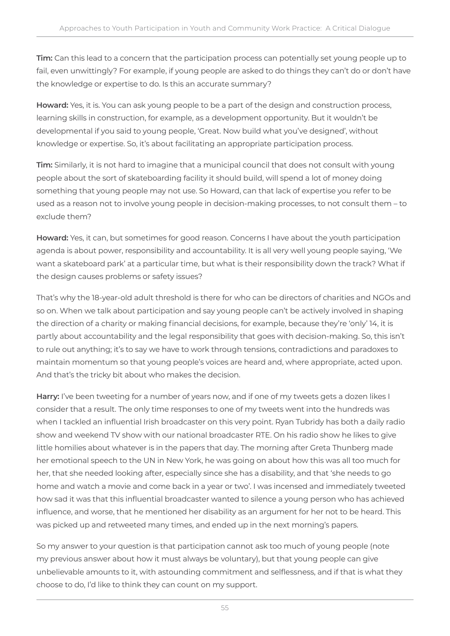**Tim:** Can this lead to a concern that the participation process can potentially set young people up to fail, even unwittingly? For example, if young people are asked to do things they can't do or don't have the knowledge or expertise to do. Is this an accurate summary?

**Howard:** Yes, it is. You can ask young people to be a part of the design and construction process, learning skills in construction, for example, as a development opportunity. But it wouldn't be developmental if you said to young people, 'Great. Now build what you've designed', without knowledge or expertise. So, it's about facilitating an appropriate participation process.

**Tim:** Similarly, it is not hard to imagine that a municipal council that does not consult with young people about the sort of skateboarding facility it should build, will spend a lot of money doing something that young people may not use. So Howard, can that lack of expertise you refer to be used as a reason not to involve young people in decision-making processes, to not consult them – to exclude them?

**Howard:** Yes, it can, but sometimes for good reason. Concerns I have about the youth participation agenda is about power, responsibility and accountability. It is all very well young people saying, 'We want a skateboard park' at a particular time, but what is their responsibility down the track? What if the design causes problems or safety issues?

That's why the 18-year-old adult threshold is there for who can be directors of charities and NGOs and so on. When we talk about participation and say young people can't be actively involved in shaping the direction of a charity or making financial decisions, for example, because they're 'only' 14, it is partly about accountability and the legal responsibility that goes with decision-making. So, this isn't to rule out anything; it's to say we have to work through tensions, contradictions and paradoxes to maintain momentum so that young people's voices are heard and, where appropriate, acted upon. And that's the tricky bit about who makes the decision.

**Harry:** I've been tweeting for a number of years now, and if one of my tweets gets a dozen likes I consider that a result. The only time responses to one of my tweets went into the hundreds was when I tackled an influential Irish broadcaster on this very point. Ryan Tubridy has both a daily radio show and weekend TV show with our national broadcaster RTE. On his radio show he likes to give little homilies about whatever is in the papers that day. The morning after Greta Thunberg made her emotional speech to the UN in New York, he was going on about how this was all too much for her, that she needed looking after, especially since she has a disability, and that 'she needs to go home and watch a movie and come back in a year or two'. I was incensed and immediately tweeted how sad it was that this influential broadcaster wanted to silence a young person who has achieved influence, and worse, that he mentioned her disability as an argument for her not to be heard. This was picked up and retweeted many times, and ended up in the next morning's papers.

So my answer to your question is that participation cannot ask too much of young people (note my previous answer about how it must always be voluntary), but that young people can give unbelievable amounts to it, with astounding commitment and selflessness, and if that is what they choose to do, I'd like to think they can count on my support.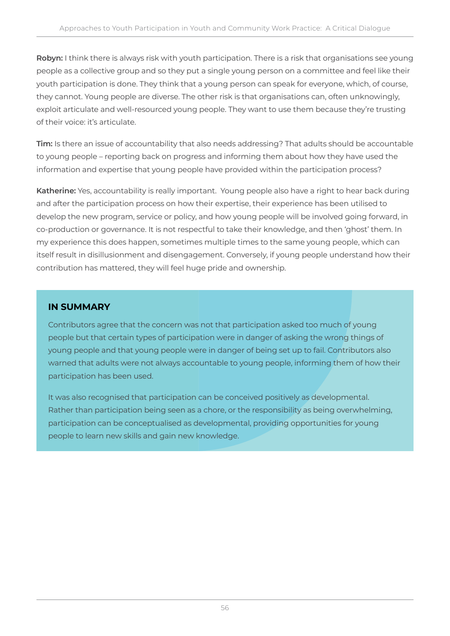**Robyn:** I think there is always risk with youth participation. There is a risk that organisations see young people as a collective group and so they put a single young person on a committee and feel like their youth participation is done. They think that a young person can speak for everyone, which, of course, they cannot. Young people are diverse. The other risk is that organisations can, often unknowingly, exploit articulate and well-resourced young people. They want to use them because they're trusting of their voice: it's articulate.

**Tim:** Is there an issue of accountability that also needs addressing? That adults should be accountable to young people – reporting back on progress and informing them about how they have used the information and expertise that young people have provided within the participation process?

**Katherine:** Yes, accountability is really important. Young people also have a right to hear back during and after the participation process on how their expertise, their experience has been utilised to develop the new program, service or policy, and how young people will be involved going forward, in co-production or governance. It is not respectful to take their knowledge, and then 'ghost' them. In my experience this does happen, sometimes multiple times to the same young people, which can itself result in disillusionment and disengagement. Conversely, if young people understand how their contribution has mattered, they will feel huge pride and ownership.

#### **IN SUMMARY**

Contributors agree that the concern was not that participation asked too much of young people but that certain types of participation were in danger of asking the wrong things of young people and that young people were in danger of being set up to fail. Contributors also warned that adults were not always accountable to young people, informing them of how their participation has been used.

It was also recognised that participation can be conceived positively as developmental. Rather than participation being seen as a chore, or the responsibility as being overwhelming, participation can be conceptualised as developmental, providing opportunities for young people to learn new skills and gain new knowledge.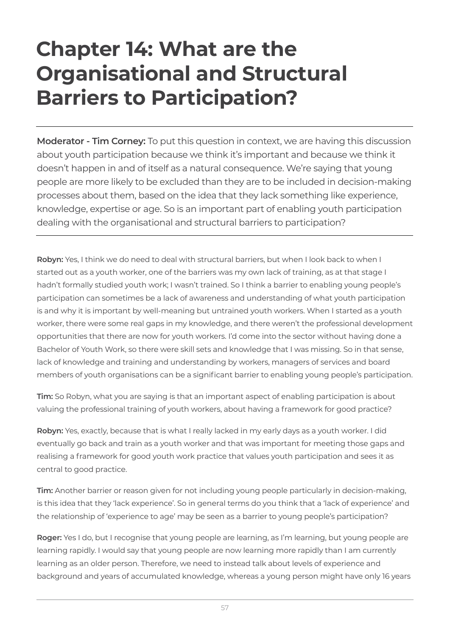### **Chapter 14: What are the Organisational and Structural Barriers to Participation?**

**Moderator - Tim Corney:** To put this question in context, we are having this discussion about youth participation because we think it's important and because we think it doesn't happen in and of itself as a natural consequence. We're saying that young people are more likely to be excluded than they are to be included in decision-making processes about them, based on the idea that they lack something like experience, knowledge, expertise or age. So is an important part of enabling youth participation dealing with the organisational and structural barriers to participation?

**Robyn:** Yes, I think we do need to deal with structural barriers, but when I look back to when I started out as a youth worker, one of the barriers was my own lack of training, as at that stage I hadn't formally studied youth work; I wasn't trained. So I think a barrier to enabling young people's participation can sometimes be a lack of awareness and understanding of what youth participation is and why it is important by well-meaning but untrained youth workers. When I started as a youth worker, there were some real gaps in my knowledge, and there weren't the professional development opportunities that there are now for youth workers. I'd come into the sector without having done a Bachelor of Youth Work, so there were skill sets and knowledge that I was missing. So in that sense, lack of knowledge and training and understanding by workers, managers of services and board members of youth organisations can be a significant barrier to enabling young people's participation.

**Tim:** So Robyn, what you are saying is that an important aspect of enabling participation is about valuing the professional training of youth workers, about having a framework for good practice?

**Robyn:** Yes, exactly, because that is what I really lacked in my early days as a youth worker. I did eventually go back and train as a youth worker and that was important for meeting those gaps and realising a framework for good youth work practice that values youth participation and sees it as central to good practice.

**Tim:** Another barrier or reason given for not including young people particularly in decision-making, is this idea that they 'lack experience'. So in general terms do you think that a 'lack of experience' and the relationship of 'experience to age' may be seen as a barrier to young people's participation?

**Roger:** Yes I do, but I recognise that young people are learning, as I'm learning, but young people are learning rapidly. I would say that young people are now learning more rapidly than I am currently learning as an older person. Therefore, we need to instead talk about levels of experience and background and years of accumulated knowledge, whereas a young person might have only 16 years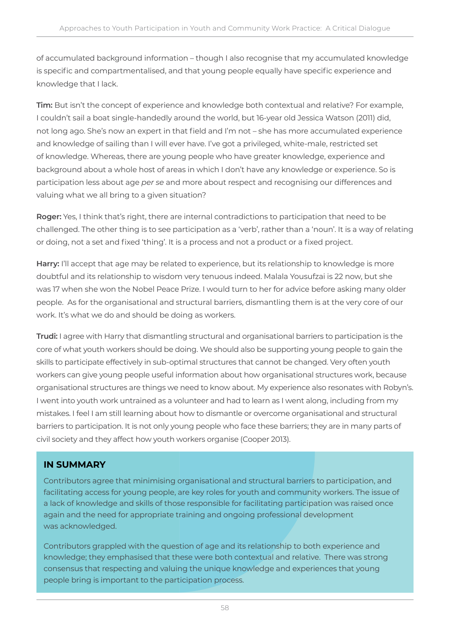of accumulated background information – though I also recognise that my accumulated knowledge is specific and compartmentalised, and that young people equally have specific experience and knowledge that I lack.

**Tim:** But isn't the concept of experience and knowledge both contextual and relative? For example, I couldn't sail a boat single-handedly around the world, but 16-year old Jessica Watson (2011) did, not long ago. She's now an expert in that field and I'm not – she has more accumulated experience and knowledge of sailing than I will ever have. I've got a privileged, white-male, restricted set of knowledge. Whereas, there are young people who have greater knowledge, experience and background about a whole host of areas in which I don't have any knowledge or experience. So is participation less about age *per se* and more about respect and recognising our differences and valuing what we all bring to a given situation?

**Roger:** Yes, I think that's right, there are internal contradictions to participation that need to be challenged. The other thing is to see participation as a 'verb', rather than a 'noun'. It is a way of relating or doing, not a set and fixed 'thing'. It is a process and not a product or a fixed project.

**Harry:** I'll accept that age may be related to experience, but its relationship to knowledge is more doubtful and its relationship to wisdom very tenuous indeed. Malala Yousufzai is 22 now, but she was 17 when she won the Nobel Peace Prize. I would turn to her for advice before asking many older people. As for the organisational and structural barriers, dismantling them is at the very core of our work. It's what we do and should be doing as workers.

**Trudi:** I agree with Harry that dismantling structural and organisational barriers to participation is the core of what youth workers should be doing. We should also be supporting young people to gain the skills to participate effectively in sub-optimal structures that cannot be changed. Very often youth workers can give young people useful information about how organisational structures work, because organisational structures are things we need to know about. My experience also resonates with Robyn's. I went into youth work untrained as a volunteer and had to learn as I went along, including from my mistakes. I feel I am still learning about how to dismantle or overcome organisational and structural barriers to participation. It is not only young people who face these barriers; they are in many parts of civil society and they affect how youth workers organise (Cooper 2013).

#### **IN SUMMARY**

Contributors agree that minimising organisational and structural barriers to participation, and facilitating access for young people, are key roles for youth and community workers. The issue of a lack of knowledge and skills of those responsible for facilitating participation was raised once again and the need for appropriate training and ongoing professional development was acknowledged.

Contributors grappled with the question of age and its relationship to both experience and knowledge; they emphasised that these were both contextual and relative. There was strong consensus that respecting and valuing the unique knowledge and experiences that young people bring is important to the participation process.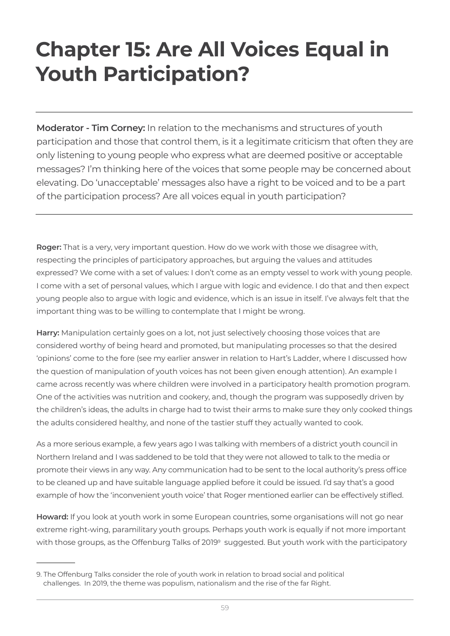## **Chapter 15: Are All Voices Equal in Youth Participation?**

**Moderator - Tim Corney:** In relation to the mechanisms and structures of youth participation and those that control them, is it a legitimate criticism that often they are only listening to young people who express what are deemed positive or acceptable messages? I'm thinking here of the voices that some people may be concerned about elevating. Do 'unacceptable' messages also have a right to be voiced and to be a part of the participation process? Are all voices equal in youth participation?

**Roger:** That is a very, very important question. How do we work with those we disagree with, respecting the principles of participatory approaches, but arguing the values and attitudes expressed? We come with a set of values: I don't come as an empty vessel to work with young people. I come with a set of personal values, which I argue with logic and evidence. I do that and then expect young people also to argue with logic and evidence, which is an issue in itself. I've always felt that the important thing was to be willing to contemplate that I might be wrong.

**Harry:** Manipulation certainly goes on a lot, not just selectively choosing those voices that are considered worthy of being heard and promoted, but manipulating processes so that the desired 'opinions' come to the fore (see my earlier answer in relation to Hart's Ladder, where I discussed how the question of manipulation of youth voices has not been given enough attention). An example I came across recently was where children were involved in a participatory health promotion program. One of the activities was nutrition and cookery, and, though the program was supposedly driven by the children's ideas, the adults in charge had to twist their arms to make sure they only cooked things the adults considered healthy, and none of the tastier stuff they actually wanted to cook.

As a more serious example, a few years ago I was talking with members of a district youth council in Northern Ireland and I was saddened to be told that they were not allowed to talk to the media or promote their views in any way. Any communication had to be sent to the local authority's press office to be cleaned up and have suitable language applied before it could be issued. I'd say that's a good example of how the 'inconvenient youth voice' that Roger mentioned earlier can be effectively stifled.

**Howard:** If you look at youth work in some European countries, some organisations will not go near extreme right-wing, paramilitary youth groups. Perhaps youth work is equally if not more important with those groups, as the Offenburg Talks of 2019<sup>9</sup> suggested. But youth work with the participatory

<sup>9.</sup> The Offenburg Talks consider the role of youth work in relation to broad social and political challenges. In 2019, the theme was populism, nationalism and the rise of the far Right.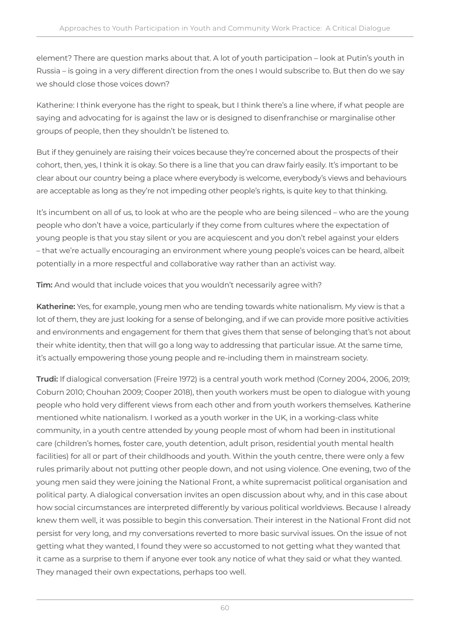element? There are question marks about that. A lot of youth participation – look at Putin's youth in Russia – is going in a very different direction from the ones I would subscribe to. But then do we say we should close those voices down?

Katherine: I think everyone has the right to speak, but I think there's a line where, if what people are saying and advocating for is against the law or is designed to disenfranchise or marginalise other groups of people, then they shouldn't be listened to.

But if they genuinely are raising their voices because they're concerned about the prospects of their cohort, then, yes, I think it is okay. So there is a line that you can draw fairly easily. It's important to be clear about our country being a place where everybody is welcome, everybody's views and behaviours are acceptable as long as they're not impeding other people's rights, is quite key to that thinking.

It's incumbent on all of us, to look at who are the people who are being silenced – who are the young people who don't have a voice, particularly if they come from cultures where the expectation of young people is that you stay silent or you are acquiescent and you don't rebel against your elders – that we're actually encouraging an environment where young people's voices can be heard, albeit potentially in a more respectful and collaborative way rather than an activist way.

**Tim:** And would that include voices that you wouldn't necessarily agree with?

**Katherine:** Yes, for example, young men who are tending towards white nationalism. My view is that a lot of them, they are just looking for a sense of belonging, and if we can provide more positive activities and environments and engagement for them that gives them that sense of belonging that's not about their white identity, then that will go a long way to addressing that particular issue. At the same time, it's actually empowering those young people and re-including them in mainstream society.

**Trudi:** If dialogical conversation (Freire 1972) is a central youth work method (Corney 2004, 2006, 2019; Coburn 2010; Chouhan 2009; Cooper 2018), then youth workers must be open to dialogue with young people who hold very different views from each other and from youth workers themselves. Katherine mentioned white nationalism. I worked as a youth worker in the UK, in a working-class white community, in a youth centre attended by young people most of whom had been in institutional care (children's homes, foster care, youth detention, adult prison, residential youth mental health facilities) for all or part of their childhoods and youth. Within the youth centre, there were only a few rules primarily about not putting other people down, and not using violence. One evening, two of the young men said they were joining the National Front, a white supremacist political organisation and political party. A dialogical conversation invites an open discussion about why, and in this case about how social circumstances are interpreted differently by various political worldviews. Because I already knew them well, it was possible to begin this conversation. Their interest in the National Front did not persist for very long, and my conversations reverted to more basic survival issues. On the issue of not getting what they wanted, I found they were so accustomed to not getting what they wanted that it came as a surprise to them if anyone ever took any notice of what they said or what they wanted. They managed their own expectations, perhaps too well.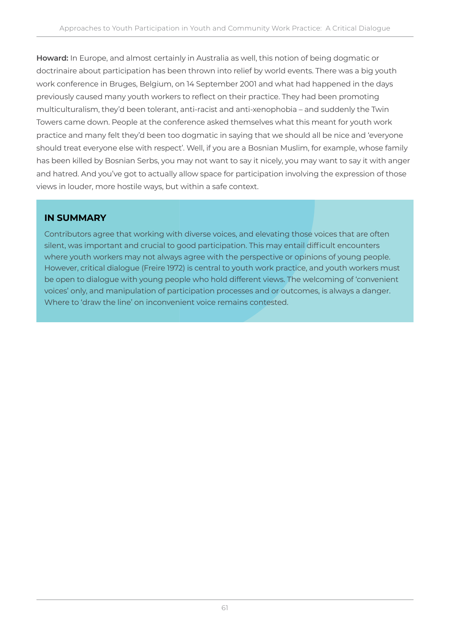**Howard:** In Europe, and almost certainly in Australia as well, this notion of being dogmatic or doctrinaire about participation has been thrown into relief by world events. There was a big youth work conference in Bruges, Belgium, on 14 September 2001 and what had happened in the days previously caused many youth workers to reflect on their practice. They had been promoting multiculturalism, they'd been tolerant, anti-racist and anti-xenophobia – and suddenly the Twin Towers came down. People at the conference asked themselves what this meant for youth work practice and many felt they'd been too dogmatic in saying that we should all be nice and 'everyone should treat everyone else with respect'. Well, if you are a Bosnian Muslim, for example, whose family has been killed by Bosnian Serbs, you may not want to say it nicely, you may want to say it with anger and hatred. And you've got to actually allow space for participation involving the expression of those views in louder, more hostile ways, but within a safe context.

#### **IN SUMMARY**

Contributors agree that working with diverse voices, and elevating those voices that are often silent, was important and crucial to good participation. This may entail difficult encounters where youth workers may not always agree with the perspective or opinions of young people. However, critical dialogue (Freire 1972) is central to youth work practice, and youth workers must be open to dialogue with young people who hold different views. The welcoming of 'convenient voices' only, and manipulation of participation processes and or outcomes, is always a danger. Where to 'draw the line' on inconvenient voice remains contested.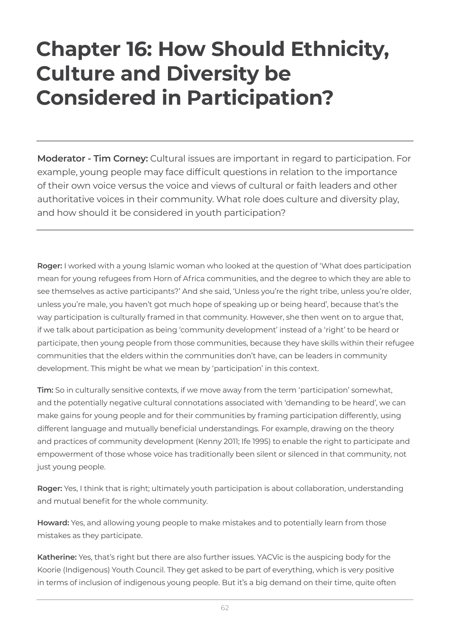### **Chapter 16: How Should Ethnicity, Culture and Diversity be Considered in Participation?**

**Moderator - Tim Corney:** Cultural issues are important in regard to participation. For example, young people may face difficult questions in relation to the importance of their own voice versus the voice and views of cultural or faith leaders and other authoritative voices in their community. What role does culture and diversity play, and how should it be considered in youth participation?

**Roger:** I worked with a young Islamic woman who looked at the question of 'What does participation mean for young refugees from Horn of Africa communities, and the degree to which they are able to see themselves as active participants?' And she said, 'Unless you're the right tribe, unless you're older, unless you're male, you haven't got much hope of speaking up or being heard', because that's the way participation is culturally framed in that community. However, she then went on to argue that, if we talk about participation as being 'community development' instead of a 'right' to be heard or participate, then young people from those communities, because they have skills within their refugee communities that the elders within the communities don't have, can be leaders in community development. This might be what we mean by 'participation' in this context.

**Tim:** So in culturally sensitive contexts, if we move away from the term 'participation' somewhat, and the potentially negative cultural connotations associated with 'demanding to be heard', we can make gains for young people and for their communities by framing participation differently, using different language and mutually beneficial understandings. For example, drawing on the theory and practices of community development (Kenny 2011; Ife 1995) to enable the right to participate and empowerment of those whose voice has traditionally been silent or silenced in that community, not just young people.

**Roger:** Yes, I think that is right; ultimately youth participation is about collaboration, understanding and mutual benefit for the whole community.

**Howard:** Yes, and allowing young people to make mistakes and to potentially learn from those mistakes as they participate.

**Katherine:** Yes, that's right but there are also further issues. YACVic is the auspicing body for the Koorie (Indigenous) Youth Council. They get asked to be part of everything, which is very positive in terms of inclusion of indigenous young people. But it's a big demand on their time, quite often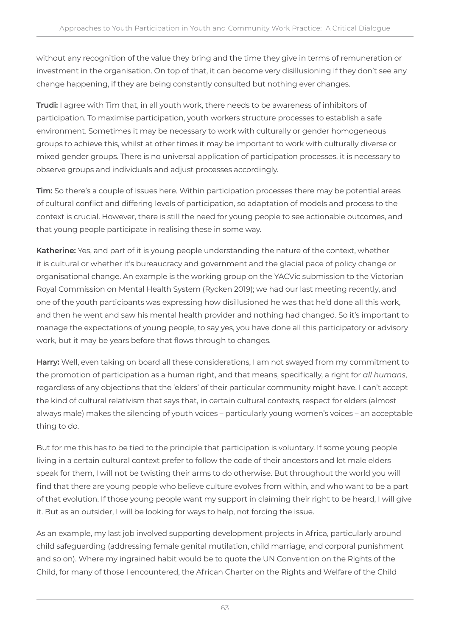without any recognition of the value they bring and the time they give in terms of remuneration or investment in the organisation. On top of that, it can become very disillusioning if they don't see any change happening, if they are being constantly consulted but nothing ever changes.

**Trudi:** I agree with Tim that, in all youth work, there needs to be awareness of inhibitors of participation. To maximise participation, youth workers structure processes to establish a safe environment. Sometimes it may be necessary to work with culturally or gender homogeneous groups to achieve this, whilst at other times it may be important to work with culturally diverse or mixed gender groups. There is no universal application of participation processes, it is necessary to observe groups and individuals and adjust processes accordingly.

**Tim:** So there's a couple of issues here. Within participation processes there may be potential areas of cultural conflict and differing levels of participation, so adaptation of models and process to the context is crucial. However, there is still the need for young people to see actionable outcomes, and that young people participate in realising these in some way.

**Katherine:** Yes, and part of it is young people understanding the nature of the context, whether it is cultural or whether it's bureaucracy and government and the glacial pace of policy change or organisational change. An example is the working group on the YACVic submission to the Victorian Royal Commission on Mental Health System (Rycken 2019); we had our last meeting recently, and one of the youth participants was expressing how disillusioned he was that he'd done all this work, and then he went and saw his mental health provider and nothing had changed. So it's important to manage the expectations of young people, to say yes, you have done all this participatory or advisory work, but it may be years before that flows through to changes.

**Harry:** Well, even taking on board all these considerations, I am not swayed from my commitment to the promotion of participation as a human right, and that means, specifically, a right for *all humans*, regardless of any objections that the 'elders' of their particular community might have. I can't accept the kind of cultural relativism that says that, in certain cultural contexts, respect for elders (almost always male) makes the silencing of youth voices – particularly young women's voices – an acceptable thing to do.

But for me this has to be tied to the principle that participation is voluntary. If some young people living in a certain cultural context prefer to follow the code of their ancestors and let male elders speak for them, I will not be twisting their arms to do otherwise. But throughout the world you will find that there are young people who believe culture evolves from within, and who want to be a part of that evolution. If those young people want my support in claiming their right to be heard, I will give it. But as an outsider, I will be looking for ways to help, not forcing the issue.

As an example, my last job involved supporting development projects in Africa, particularly around child safeguarding (addressing female genital mutilation, child marriage, and corporal punishment and so on). Where my ingrained habit would be to quote the UN Convention on the Rights of the Child, for many of those I encountered, the African Charter on the Rights and Welfare of the Child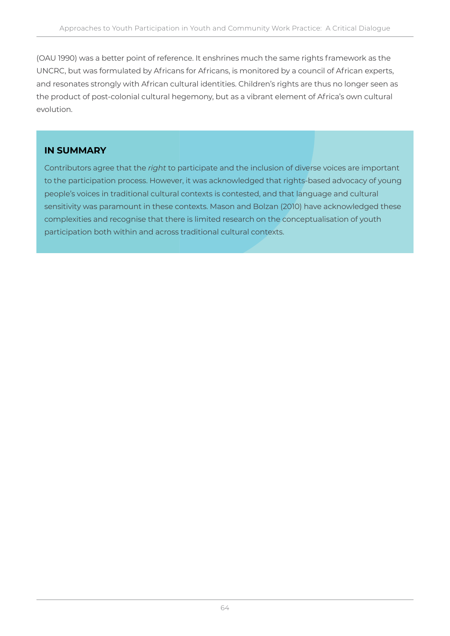(OAU 1990) was a better point of reference. It enshrines much the same rights framework as the UNCRC, but was formulated by Africans for Africans, is monitored by a council of African experts, and resonates strongly with African cultural identities. Children's rights are thus no longer seen as the product of post-colonial cultural hegemony, but as a vibrant element of Africa's own cultural evolution.

#### **IN SUMMARY**

Contributors agree that the *right* to participate and the inclusion of diverse voices are important to the participation process. However, it was acknowledged that rights-based advocacy of young people's voices in traditional cultural contexts is contested, and that language and cultural sensitivity was paramount in these contexts. Mason and Bolzan (2010) have acknowledged these complexities and recognise that there is limited research on the conceptualisation of youth participation both within and across traditional cultural contexts.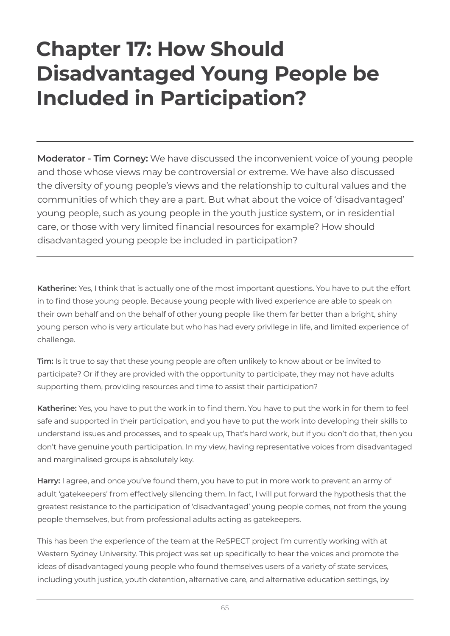### **Chapter 17: How Should Disadvantaged Young People be Included in Participation?**

**Moderator - Tim Corney:** We have discussed the inconvenient voice of young people and those whose views may be controversial or extreme. We have also discussed the diversity of young people's views and the relationship to cultural values and the communities of which they are a part. But what about the voice of 'disadvantaged' young people, such as young people in the youth justice system, or in residential care, or those with very limited financial resources for example? How should disadvantaged young people be included in participation?

**Katherine:** Yes, I think that is actually one of the most important questions. You have to put the effort in to find those young people. Because young people with lived experience are able to speak on their own behalf and on the behalf of other young people like them far better than a bright, shiny young person who is very articulate but who has had every privilege in life, and limited experience of challenge.

**Tim:** Is it true to say that these young people are often unlikely to know about or be invited to participate? Or if they are provided with the opportunity to participate, they may not have adults supporting them, providing resources and time to assist their participation?

**Katherine:** Yes, you have to put the work in to find them. You have to put the work in for them to feel safe and supported in their participation, and you have to put the work into developing their skills to understand issues and processes, and to speak up, That's hard work, but if you don't do that, then you don't have genuine youth participation. In my view, having representative voices from disadvantaged and marginalised groups is absolutely key.

**Harry:** I agree, and once you've found them, you have to put in more work to prevent an army of adult 'gatekeepers' from effectively silencing them. In fact, I will put forward the hypothesis that the greatest resistance to the participation of 'disadvantaged' young people comes, not from the young people themselves, but from professional adults acting as gatekeepers.

This has been the experience of the team at the ReSPECT project I'm currently working with at Western Sydney University. This project was set up specifically to hear the voices and promote the ideas of disadvantaged young people who found themselves users of a variety of state services, including youth justice, youth detention, alternative care, and alternative education settings, by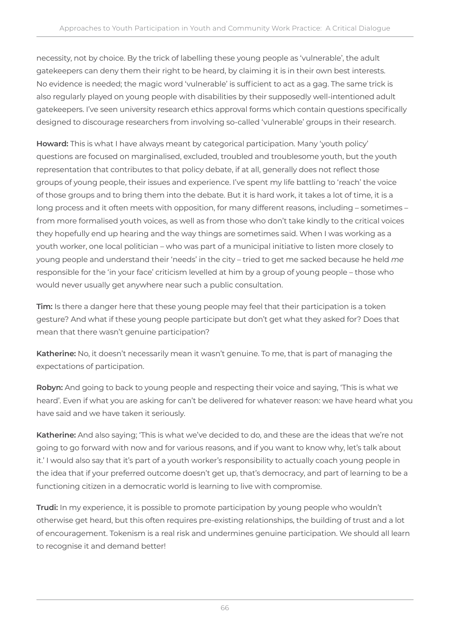necessity, not by choice. By the trick of labelling these young people as 'vulnerable', the adult gatekeepers can deny them their right to be heard, by claiming it is in their own best interests. No evidence is needed; the magic word 'vulnerable' is sufficient to act as a gag. The same trick is also regularly played on young people with disabilities by their supposedly well-intentioned adult gatekeepers. I've seen university research ethics approval forms which contain questions specifically designed to discourage researchers from involving so-called 'vulnerable' groups in their research.

**Howard:** This is what I have always meant by categorical participation. Many 'youth policy' questions are focused on marginalised, excluded, troubled and troublesome youth, but the youth representation that contributes to that policy debate, if at all, generally does not reflect those groups of young people, their issues and experience. I've spent my life battling to 'reach' the voice of those groups and to bring them into the debate. But it is hard work, it takes a lot of time, it is a long process and it often meets with opposition, for many different reasons, including – sometimes – from more formalised youth voices, as well as from those who don't take kindly to the critical voices they hopefully end up hearing and the way things are sometimes said. When I was working as a youth worker, one local politician – who was part of a municipal initiative to listen more closely to young people and understand their 'needs' in the city – tried to get me sacked because he held *me* responsible for the 'in your face' criticism levelled at him by a group of young people – those who would never usually get anywhere near such a public consultation.

**Tim:** Is there a danger here that these young people may feel that their participation is a token gesture? And what if these young people participate but don't get what they asked for? Does that mean that there wasn't genuine participation?

**Katherine:** No, it doesn't necessarily mean it wasn't genuine. To me, that is part of managing the expectations of participation.

**Robyn:** And going to back to young people and respecting their voice and saying, 'This is what we heard'. Even if what you are asking for can't be delivered for whatever reason: we have heard what you have said and we have taken it seriously.

**Katherine:** And also saying; 'This is what we've decided to do, and these are the ideas that we're not going to go forward with now and for various reasons, and if you want to know why, let's talk about it.' I would also say that it's part of a youth worker's responsibility to actually coach young people in the idea that if your preferred outcome doesn't get up, that's democracy, and part of learning to be a functioning citizen in a democratic world is learning to live with compromise.

**Trudi:** In my experience, it is possible to promote participation by young people who wouldn't otherwise get heard, but this often requires pre-existing relationships, the building of trust and a lot of encouragement. Tokenism is a real risk and undermines genuine participation. We should all learn to recognise it and demand better!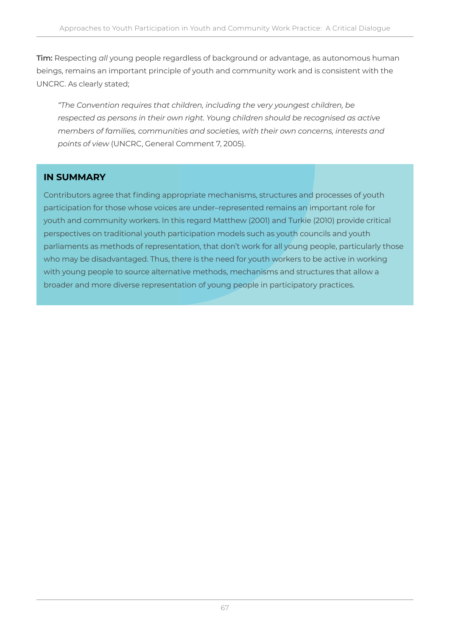**Tim:** Respecting *all* young people regardless of background or advantage, as autonomous human beings, remains an important principle of youth and community work and is consistent with the UNCRC. As clearly stated;

*"The Convention requires that children, including the very youngest children, be respected as persons in their own right. Young children should be recognised as active members of families, communities and societies, with their own concerns, interests and points of view* (UNCRC, General Comment 7, 2005).

#### **IN SUMMARY**

Contributors agree that finding appropriate mechanisms, structures and processes of youth participation for those whose voices are under–represented remains an important role for youth and community workers. In this regard Matthew (2001) and Turkie (2010) provide critical perspectives on traditional youth participation models such as youth councils and youth parliaments as methods of representation, that don't work for all young people, particularly those who may be disadvantaged. Thus, there is the need for youth workers to be active in working with young people to source alternative methods, mechanisms and structures that allow a broader and more diverse representation of young people in participatory practices.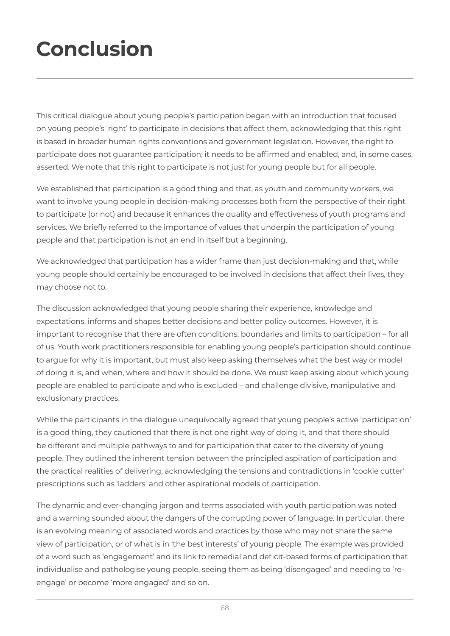# **Conclusion**

This critical dialogue about young people's participation began with an introduction that focused on young people's 'right' to participate in decisions that affect them, acknowledging that this right is based in broader human rights conventions and government legislation. However, the right to participate does not guarantee participation; it needs to be affirmed and enabled, and, in some cases, asserted. We note that this right to participate is not just for young people but for all people.

We established that participation is a good thing and that, as youth and community workers, we want to involve young people in decision-making processes both from the perspective of their right to participate (or not) and because it enhances the quality and effectiveness of youth programs and services. We briefly referred to the importance of values that underpin the participation of young people and that participation is not an end in itself but a beginning.

We acknowledged that participation has a wider frame than just decision-making and that, while young people should certainly be encouraged to be involved in decisions that affect their lives, they may choose not to.

The discussion acknowledged that young people sharing their experience, knowledge and expectations, informs and shapes better decisions and better policy outcomes. However, it is important to recognise that there are often conditions, boundaries and limits to participation – for all of us. Youth work practitioners responsible for enabling young people's participation should continue to argue for why it is important, but must also keep asking themselves what the best way or model of doing it is, and when, where and how it should be done. We must keep asking about which young people are enabled to participate and who is excluded – and challenge divisive, manipulative and exclusionary practices.

While the participants in the dialogue unequivocally agreed that young people's active 'participation' is a good thing, they cautioned that there is not one right way of doing it, and that there should be different and multiple pathways to and for participation that cater to the diversity of young people. They outlined the inherent tension between the principled aspiration of participation and the practical realities of delivering, acknowledging the tensions and contradictions in 'cookie cutter' prescriptions such as 'ladders' and other aspirational models of participation.

The dynamic and ever-changing jargon and terms associated with youth participation was noted and a warning sounded about the dangers of the corrupting power of language. In particular, there is an evolving meaning of associated words and practices by those who may not share the same view of participation, or of what is in 'the best interests' of young people. The example was provided of a word such as 'engagement' and its link to remedial and deficit-based forms of participation that individualise and pathologise young people, seeing them as being 'disengaged' and needing to 'reengage' or become 'more engaged' and so on.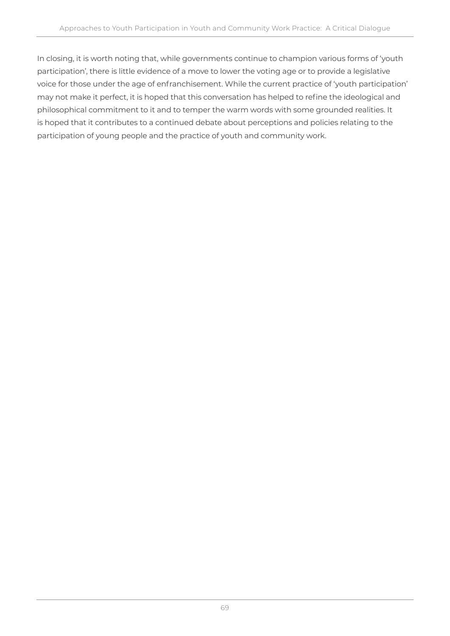In closing, it is worth noting that, while governments continue to champion various forms of 'youth participation', there is little evidence of a move to lower the voting age or to provide a legislative voice for those under the age of enfranchisement. While the current practice of 'youth participation' may not make it perfect, it is hoped that this conversation has helped to refine the ideological and philosophical commitment to it and to temper the warm words with some grounded realities. It is hoped that it contributes to a continued debate about perceptions and policies relating to the participation of young people and the practice of youth and community work.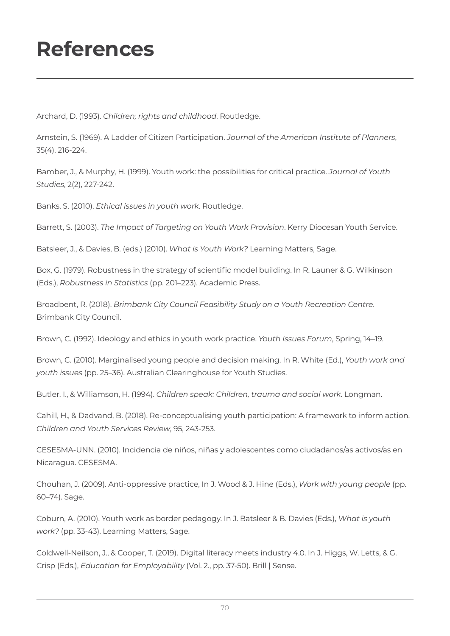## **References**

Archard, D. (1993). *Children; rights and childhood*. Routledge.

Arnstein, S. (1969). A Ladder of Citizen Participation. *Journal of the American Institute of Planners*, 35(4), 216-224.

Bamber, J., & Murphy, H. (1999). Youth work: the possibilities for critical practice. *Journal of Youth Studies*, 2(2), 227-242.

Banks, S. (2010). *Ethical issues in youth work*. Routledge.

Barrett, S. (2003). *The Impact of Targeting on Youth Work Provision*. Kerry Diocesan Youth Service.

Batsleer, J., & Davies, B. (eds.) (2010). *What is Youth Work?* Learning Matters, Sage.

Box, G. (1979). Robustness in the strategy of scientific model building. In R. Launer & G. Wilkinson (Eds.), *Robustness in Statistics* (pp. 201–223). Academic Press.

Broadbent, R. (2018). *Brimbank City Council Feasibility Study on a Youth Recreation Centre*. Brimbank City Council.

Brown, C. (1992). Ideology and ethics in youth work practice. *Youth Issues Forum*, Spring, 14–19.

Brown, C. (2010). Marginalised young people and decision making. In R. White (Ed.), *Youth work and youth issues* (pp. 25–36). Australian Clearinghouse for Youth Studies.

Butler, I., & Williamson, H. (1994). *Children speak: Children, trauma and social work*. Longman.

Cahill, H., & Dadvand, B. (2018). Re-conceptualising youth participation: A framework to inform action. *Children and Youth Services Review*, 95, 243-253.

CESESMA-UNN. (2010). Incidencia de niños, niñas y adolescentes como ciudadanos/as activos/as en Nicaragua. CESESMA.

Chouhan, J. (2009). Anti-oppressive practice, In J. Wood & J. Hine (Eds.), *Work with young people* (pp. 60–74). Sage.

Coburn, A. (2010). Youth work as border pedagogy. In J. Batsleer & B. Davies (Eds.), *What is youth work?* (pp. 33-43). Learning Matters, Sage.

Coldwell-Neilson, J., & Cooper, T. (2019). Digital literacy meets industry 4.0. In J. Higgs, W. Letts, & G. Crisp (Eds.), *Education for Employability* (Vol. 2., pp. 37-50). Brill | Sense.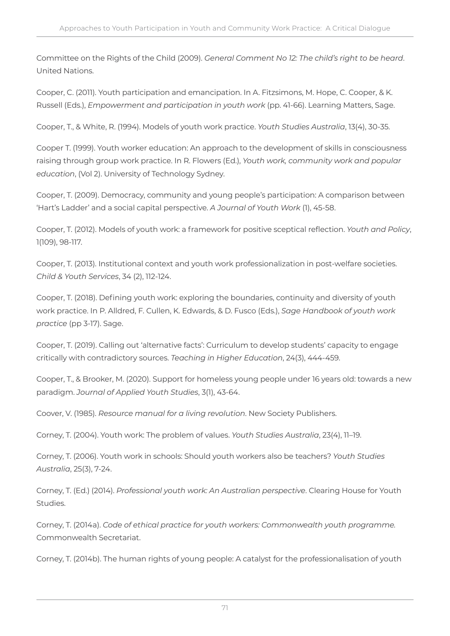Committee on the Rights of the Child (2009). *General Comment No 12: The child's right to be heard*. United Nations.

Cooper, C. (2011). Youth participation and emancipation. In A. Fitzsimons, M. Hope, C. Cooper, & K. Russell (Eds.), *Empowerment and participation in youth work* (pp. 41-66). Learning Matters, Sage.

Cooper, T., & White, R. (1994). Models of youth work practice. *Youth Studies Australia*, 13(4), 30-35.

Cooper T. (1999). Youth worker education: An approach to the development of skills in consciousness raising through group work practice. In R. Flowers (Ed.), *Youth work, community work and popular education*, (Vol 2). University of Technology Sydney.

Cooper, T. (2009). Democracy, community and young people's participation: A comparison between 'Hart's Ladder' and a social capital perspective. *A Journal of Youth Work* (1), 45-58.

Cooper, T. (2012). Models of youth work: a framework for positive sceptical reflection. *Youth and Policy*, 1(109), 98-117.

Cooper, T. (2013). Institutional context and youth work professionalization in post-welfare societies. *Child & Youth Services*, 34 (2), 112-124.

Cooper, T. (2018). Defining youth work: exploring the boundaries, continuity and diversity of youth work practice. In P. Alldred, F. Cullen, K. Edwards, & D. Fusco (Eds.), *Sage Handbook of youth work practice* (pp 3-17). Sage.

Cooper, T. (2019). Calling out 'alternative facts': Curriculum to develop students' capacity to engage critically with contradictory sources. *Teaching in Higher Education*, 24(3), 444-459.

Cooper, T., & Brooker, M. (2020). Support for homeless young people under 16 years old: towards a new paradigm. *Journal of Applied Youth Studies*, 3(1), 43-64.

Coover, V. (1985). *Resource manual for a living revolution*. New Society Publishers.

Corney, T. (2004). Youth work: The problem of values. *Youth Studies Australia*, 23(4), 11–19.

Corney, T. (2006). Youth work in schools: Should youth workers also be teachers? *Youth Studies Australia*, 25(3), 7-24.

Corney, T. (Ed.) (2014). *Professional youth work: An Australian perspective*. Clearing House for Youth Studies.

Corney, T. (2014a). *Code of ethical practice for youth workers: Commonwealth youth programme.*  Commonwealth Secretariat.

Corney, T. (2014b). The human rights of young people: A catalyst for the professionalisation of youth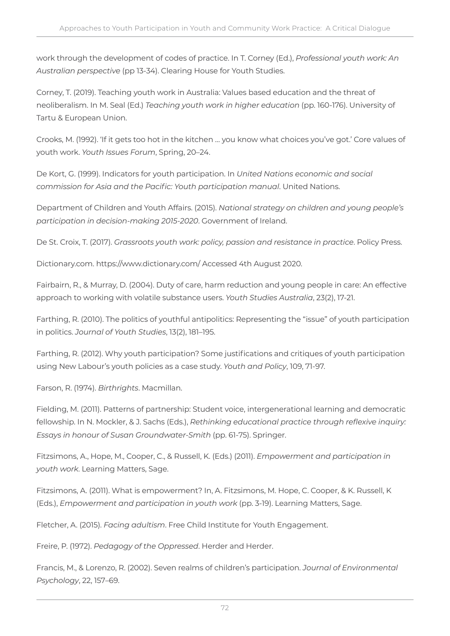work through the development of codes of practice. In T. Corney (Ed.), *Professional youth work: An Australian perspective* (pp 13-34). Clearing House for Youth Studies.

Corney, T. (2019). Teaching youth work in Australia: Values based education and the threat of neoliberalism. In M. Seal (Ed.) *Teaching youth work in higher education* (pp. 160-176). University of Tartu & European Union.

Crooks, M. (1992). 'If it gets too hot in the kitchen … you know what choices you've got.' Core values of youth work. *Youth Issues Forum*, Spring, 20–24.

De Kort, G. (1999). Indicators for youth participation. In *United Nations economic and social commission for Asia and the Pacific: Youth participation manual*. United Nations.

Department of Children and Youth Affairs. (2015). *National strategy on children and young people's participation in decision-making 2015-2020*. Government of Ireland.

De St. Croix, T. (2017). *Grassroots youth work: policy, passion and resistance in practice*. Policy Press.

Dictionary.com. https://www.dictionary.com/ Accessed 4th August 2020.

Fairbairn, R., & Murray, D. (2004). Duty of care, harm reduction and young people in care: An effective approach to working with volatile substance users. *Youth Studies Australia*, 23(2), 17-21.

Farthing, R. (2010). The politics of youthful antipolitics: Representing the "issue" of youth participation in politics. *Journal of Youth Studies*, 13(2), 181–195.

Farthing, R. (2012). Why youth participation? Some justifications and critiques of youth participation using New Labour's youth policies as a case study. *Youth and Policy*, 109, 71-97.

Farson, R. (1974). *Birthrights*. Macmillan.

Fielding, M. (2011). Patterns of partnership: Student voice, intergenerational learning and democratic fellowship. In N. Mockler, & J. Sachs (Eds.), *Rethinking educational practice through reflexive inquiry: Essays in honour of Susan Groundwater-Smith* (pp. 61-75). Springer.

Fitzsimons, A., Hope, M., Cooper, C., & Russell, K. (Eds.) (2011). *Empowerment and participation in youth work*. Learning Matters, Sage.

Fitzsimons, A. (2011). What is empowerment? In, A. Fitzsimons, M. Hope, C. Cooper, & K. Russell, K (Eds.), *Empowerment and participation in youth work* (pp. 3-19). Learning Matters, Sage.

Fletcher, A. (2015). *Facing adultism*. Free Child Institute for Youth Engagement.

Freire, P. (1972). *Pedagogy of the Oppressed*. Herder and Herder.

Francis, M., & Lorenzo, R. (2002). Seven realms of children's participation. *Journal of Environmental Psychology*, 22, 157–69.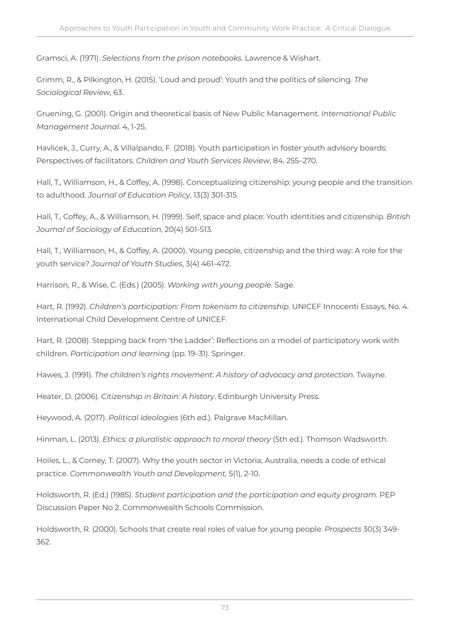Gramsci, A. (1971). *Selections from the prison notebooks*. Lawrence & Wishart.

Grimm, R., & Pilkington, H. (2015). 'Loud and proud': Youth and the politics of silencing. *The Sociological Review*, 63.

Gruening, G. (2001). Origin and theoretical basis of New Public Management. *International Public Management Journal*. 4, 1-25.

Havlicek, J., Curry, A., & Villalpando, F. (2018). Youth participation in foster youth advisory boards: Perspectives of facilitators. *Children and Youth Services Review*, 84, 255–270.

Hall, T., Williamson, H., & Coffey, A. (1998). Conceptualizing citizenship: young people and the transition to adulthood. *Journal of Education Policy*, 13(3) 301-315.

Hall, T., Coffey, A., & Williamson, H. (1999). Self, space and place: Youth identities and citizenship. *British Journal of Sociology of Education*, 20(4) 501-513.

Hall, T., Williamson, H., & Coffey, A. (2000). Young people, citizenship and the third way: A role for the youth service? *Journal of Youth Studies*, 3(4) 461-472.

Harrison, R., & Wise, C. (Eds.) (2005). *Working with young people*. Sage.

Hart, R. (1992). *Children's participation: From tokenism to citizenship*. UNICEF Innocenti Essays, No. 4. International Child Development Centre of UNICEF.

Hart, R. (2008). Stepping back from 'the Ladder': Reflections on a model of participatory work with children. *Participation and learning* (pp. 19–31). Springer.

Hawes, J. (1991). *The children's rights movement: A history of advocacy and protection*. Twayne.

Heater, D. (2006). *Citizenship in Britain: A history*. Edinburgh University Press.

Heywood, A. (2017). *Political ideologies* (6th ed.). Palgrave MacMillan.

Hinman, L. (2013). *Ethics: a pluralistic approach to moral theory* (5th ed.). Thomson Wadsworth.

Hoiles, L., & Corney, T. (2007). Why the youth sector in Victoria, Australia, needs a code of ethical practice. *Commonwealth Youth and Development,* 5(1), 2-10.

Holdsworth, R. (Ed.) (1985). *Student participation and the participation and equity program*. PEP Discussion Paper No 2. Commonwealth Schools Commission.

Holdsworth, R. (2000). Schools that create real roles of value for young people. *Prospects* 30(3) 349- 362.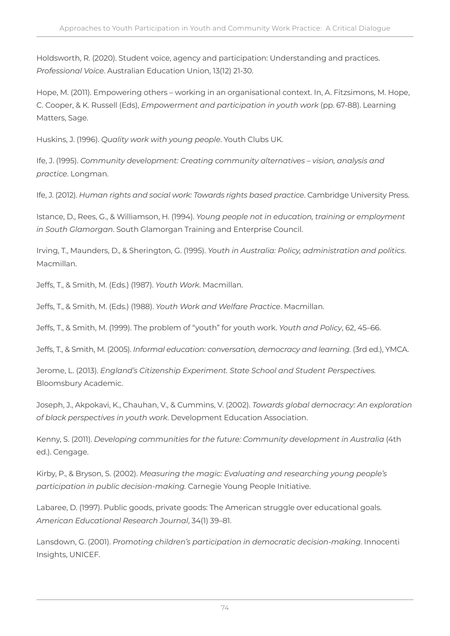Holdsworth, R. (2020). Student voice, agency and participation: Understanding and practices. *Professional Voice*. Australian Education Union, 13(12) 21-30.

Hope, M. (2011). Empowering others – working in an organisational context. In, A. Fitzsimons, M. Hope, C. Cooper, & K. Russell (Eds), *Empowerment and participation in youth work* (pp. 67-88). Learning Matters, Sage.

Huskins, J. (1996). *Quality work with young people*. Youth Clubs UK.

Ife, J. (1995). *Community development: Creating community alternatives – vision, analysis and practice*. Longman.

Ife, J. (2012). *Human rights and social work: Towards rights based practice*. Cambridge University Press.

Istance, D., Rees, G., & Williamson, H. (1994). *Young people not in education, training or employment in South Glamorgan*. South Glamorgan Training and Enterprise Council.

Irving, T., Maunders, D., & Sherington, G. (1995). *Youth in Australia: Policy, administration and politics*. Macmillan.

Jeffs, T., & Smith, M. (Eds.) (1987). *Youth Work*. Macmillan.

Jeffs, T., & Smith, M. (Eds.) (1988). *Youth Work and Welfare Practice*. Macmillan.

Jeffs, T., & Smith, M. (1999). The problem of "youth" for youth work. *Youth and Policy*, 62, 45–66.

Jeffs, T., & Smith, M. (2005). *Informal education: conversation, democracy and learning.* (3rd ed.), YMCA.

Jerome, L. (2013). *England's Citizenship Experiment. State School and Student Perspectives.*  Bloomsbury Academic.

Joseph, J., Akpokavi, K., Chauhan, V., & Cummins, V. (2002). *Towards global democracy: An exploration of black perspectives in youth work*. Development Education Association.

Kenny, S. (2011). *Developing communities for the future: Community development in Australia* (4th ed.). Cengage.

Kirby, P., & Bryson, S. (2002). *Measuring the magic: Evaluating and researching young people's participation in public decision-making.* Carnegie Young People Initiative.

Labaree, D. (1997). Public goods, private goods: The American struggle over educational goals. *American Educational Research Journal*, 34(1) 39–81.

Lansdown, G. (2001). *Promoting children's participation in democratic decision-making*. Innocenti Insights, UNICEF.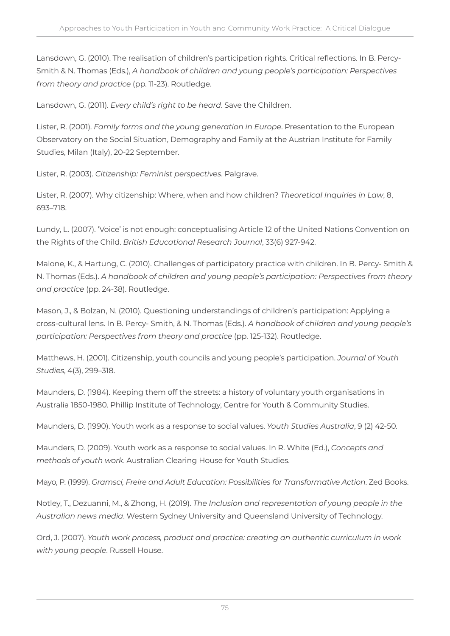Lansdown, G. (2010). The realisation of children's participation rights. Critical reflections. In B. Percy-Smith & N. Thomas (Eds.), *A handbook of children and young people's participation: Perspectives from theory and practice* (pp. 11-23). Routledge.

Lansdown, G. (2011). *Every child's right to be heard*. Save the Children.

Lister, R. (2001). *Family forms and the young generation in Europe*. Presentation to the European Observatory on the Social Situation, Demography and Family at the Austrian Institute for Family Studies, Milan (Italy), 20-22 September.

Lister, R. (2003). *Citizenship: Feminist perspectives*. Palgrave.

Lister, R. (2007). Why citizenship: Where, when and how children? *Theoretical Inquiries in Law*, 8, 693–718.

Lundy, L. (2007). 'Voice' is not enough: conceptualising Article 12 of the United Nations Convention on the Rights of the Child. *British Educational Research Journal*, 33(6) 927-942.

Malone, K., & Hartung, C. (2010). Challenges of participatory practice with children. In B. Percy- Smith & N. Thomas (Eds.). *A handbook of children and young people's participation: Perspectives from theory and practice* (pp. 24-38). Routledge.

Mason, J., & Bolzan, N. (2010). Questioning understandings of children's participation: Applying a cross-cultural lens. In B. Percy- Smith, & N. Thomas (Eds.). *A handbook of children and young people's participation: Perspectives from theory and practice* (pp. 125-132). Routledge.

Matthews, H. (2001). Citizenship, youth councils and young people's participation. *Journal of Youth Studies*, 4(3), 299–318.

Maunders, D. (1984). Keeping them off the streets: a history of voluntary youth organisations in Australia 1850-1980. Phillip Institute of Technology, Centre for Youth & Community Studies.

Maunders, D. (1990). Youth work as a response to social values. *Youth Studies Australia*, 9 (2) 42-50.

Maunders, D. (2009). Youth work as a response to social values. In R. White (Ed.), *Concepts and methods of youth work*. Australian Clearing House for Youth Studies.

Mayo, P. (1999). *Gramsci, Freire and Adult Education: Possibilities for Transformative Action*. Zed Books.

Notley, T., Dezuanni, M., & Zhong, H. (2019). *The Inclusion and representation of young people in the Australian news media*. Western Sydney University and Queensland University of Technology.

Ord, J. (2007). *Youth work process, product and practice: creating an authentic curriculum in work with young people*. Russell House.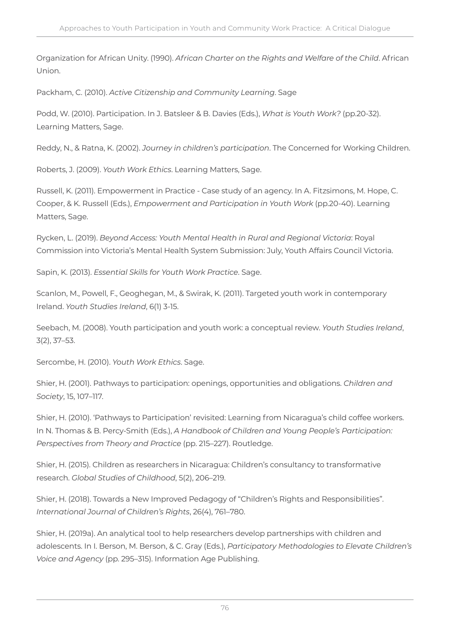Organization for African Unity. (1990). *African Charter on the Rights and Welfare of the Child*. African Union.

Packham, C. (2010). *Active Citizenship and Community Learning*. Sage

Podd, W. (2010). Participation. In J. Batsleer & B. Davies (Eds.), *What is Youth Work?* (pp.20-32). Learning Matters, Sage.

Reddy, N., & Ratna, K. (2002). *Journey in children's participation*. The Concerned for Working Children.

Roberts, J. (2009). *Youth Work Ethics*. Learning Matters, Sage.

Russell, K. (2011). Empowerment in Practice - Case study of an agency. In A. Fitzsimons, M. Hope, C. Cooper, & K. Russell (Eds.), *Empowerment and Participation in Youth Work* (pp.20-40). Learning Matters, Sage.

Rycken, L. (2019). *Beyond Access: Youth Mental Health in Rural and Regional Victoria*: Royal Commission into Victoria's Mental Health System Submission: July, Youth Affairs Council Victoria.

Sapin, K. (2013). *Essential Skills for Youth Work Practice*. Sage.

Scanlon, M., Powell, F., Geoghegan, M., & Swirak, K. (2011). Targeted youth work in contemporary Ireland. *Youth Studies Ireland*, 6(1) 3-15.

Seebach, M. (2008). Youth participation and youth work: a conceptual review. *Youth Studies Ireland*, 3(2), 37–53.

Sercombe, H. (2010). *Youth Work Ethics*. Sage.

Shier, H. (2001). Pathways to participation: openings, opportunities and obligations. *Children and Society*, 15, 107–117.

Shier, H. (2010). 'Pathways to Participation' revisited: Learning from Nicaragua's child coffee workers. In N. Thomas & B. Percy-Smith (Eds.), *A Handbook of Children and Young People's Participation: Perspectives from Theory and Practice* (pp. 215–227). Routledge.

Shier, H. (2015). Children as researchers in Nicaragua: Children's consultancy to transformative research. *Global Studies of Childhood*, 5(2), 206–219.

Shier, H. (2018). Towards a New Improved Pedagogy of "Children's Rights and Responsibilities". *International Journal of Children's Rights*, 26(4), 761–780.

Shier, H. (2019a). An analytical tool to help researchers develop partnerships with children and adolescents. In I. Berson, M. Berson, & C. Gray (Eds.), *Participatory Methodologies to Elevate Children's Voice and Agency* (pp. 295–315). Information Age Publishing.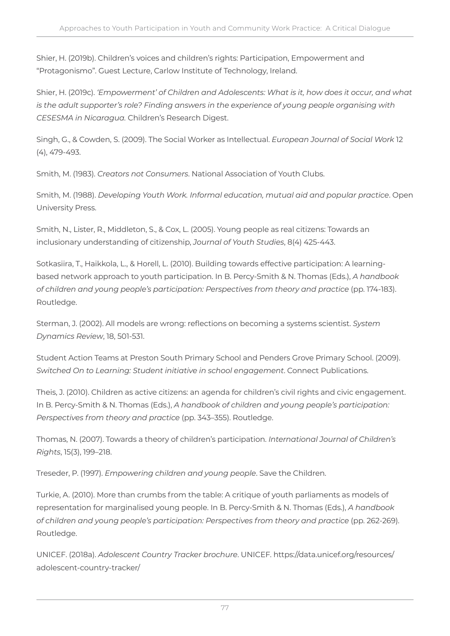Shier, H. (2019b). Children's voices and children's rights: Participation, Empowerment and "Protagonismo". Guest Lecture, Carlow Institute of Technology, Ireland.

Shier, H. (2019c). *'Empowerment' of Children and Adolescents: What is it, how does it occur, and what is the adult supporter's role? Finding answers in the experience of young people organising with CESESMA in Nicaragua.* Children's Research Digest.

Singh, G., & Cowden, S. (2009). The Social Worker as Intellectual. *European Journal of Social Work* 12 (4), 479-493.

Smith, M. (1983). *Creators not Consumers*. National Association of Youth Clubs.

Smith, M. (1988). *Developing Youth Work. Informal education, mutual aid and popular practice*. Open University Press.

Smith, N., Lister, R., Middleton, S., & Cox, L. (2005). Young people as real citizens: Towards an inclusionary understanding of citizenship, *Journal of Youth Studies*, 8(4) 425-443.

Sotkasiira, T., Haikkola, L., & Horell, L. (2010). Building towards effective participation: A learningbased network approach to youth participation. In B. Percy-Smith & N. Thomas (Eds.), *A handbook of children and young people's participation: Perspectives from theory and practice* (pp. 174-183). Routledge.

Sterman, J. (2002). All models are wrong: reflections on becoming a systems scientist. *System Dynamics Review*, 18, 501-531.

Student Action Teams at Preston South Primary School and Penders Grove Primary School. (2009). *Switched On to Learning: Student initiative in school engagement*. Connect Publications.

Theis, J. (2010). Children as active citizens: an agenda for children's civil rights and civic engagement. In B. Percy-Smith & N. Thomas (Eds.), *A handbook of children and young people's participation: Perspectives from theory and practice* (pp. 343–355). Routledge.

Thomas, N. (2007). Towards a theory of children's participation. *International Journal of Children's Rights*, 15(3), 199–218.

Treseder, P. (1997). *Empowering children and young people*. Save the Children.

Turkie, A. (2010). More than crumbs from the table: A critique of youth parliaments as models of representation for marginalised young people. In B. Percy-Smith & N. Thomas (Eds.), *A handbook of children and young people's participation: Perspectives from theory and practice* (pp. 262-269). Routledge.

UNICEF. (2018a). *Adolescent Country Tracker brochure*. UNICEF. https://data.unicef.org/resources/ adolescent-country-tracker/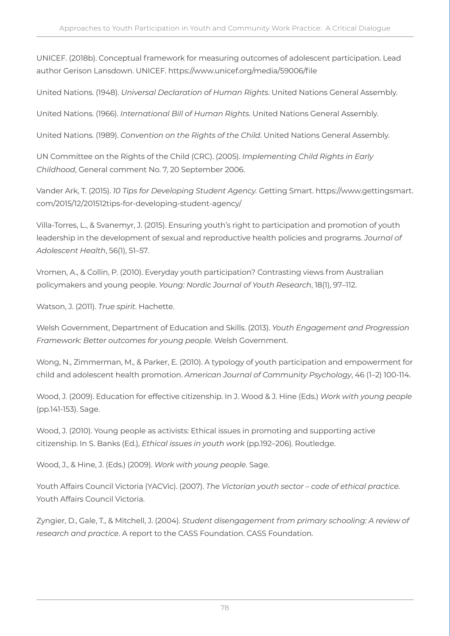UNICEF. (2018b). Conceptual framework for measuring outcomes of adolescent participation. Lead author Gerison Lansdown. UNICEF. https://www.unicef.org/media/59006/file

United Nations. (1948). *Universal Declaration of Human Rights*. United Nations General Assembly.

United Nations. (1966). *International Bill of Human Rights*. United Nations General Assembly.

United Nations. (1989). *Convention on the Rights of the Child*. United Nations General Assembly.

UN Committee on the Rights of the Child (CRC). (2005). *Implementing Child Rights in Early Childhood*, General comment No. 7, 20 September 2006.

Vander Ark, T. (2015). *10 Tips for Developing Student Agency.* Getting Smart. https://www.gettingsmart. com/2015/12/201512tips-for-developing-student-agency/

Villa-Torres, L., & Svanemyr, J. (2015). Ensuring youth's right to participation and promotion of youth leadership in the development of sexual and reproductive health policies and programs. *Journal of Adolescent Health*, 56(1), 51–57.

Vromen, A., & Collin, P. (2010). Everyday youth participation? Contrasting views from Australian policymakers and young people. *Young: Nordic Journal of Youth Research*, 18(1), 97–112.

Watson, J. (2011). *True spirit*. Hachette.

Welsh Government, Department of Education and Skills. (2013). *Youth Engagement and Progression Framework: Better outcomes for young people*. Welsh Government.

Wong, N., Zimmerman, M., & Parker, E. (2010). A typology of youth participation and empowerment for child and adolescent health promotion. *American Journal of Community Psychology*, 46 (1–2) 100-114.

Wood, J. (2009). Education for effective citizenship. In J. Wood & J. Hine (Eds.) *Work with young people*  (pp.141-153). Sage.

Wood, J. (2010). Young people as activists: Ethical issues in promoting and supporting active citizenship. In S. Banks (Ed.), *Ethical issues in youth work* (pp.192–206). Routledge.

Wood, J., & Hine, J. (Eds.) (2009). *Work with young people*. Sage.

Youth Affairs Council Victoria (YACVic). (2007). *The Victorian youth sector – code of ethical practice*. Youth Affairs Council Victoria.

Zyngier, D., Gale, T., & Mitchell, J. (2004). *Student disengagement from primary schooling: A review of research and practice*. A report to the CASS Foundation. CASS Foundation.